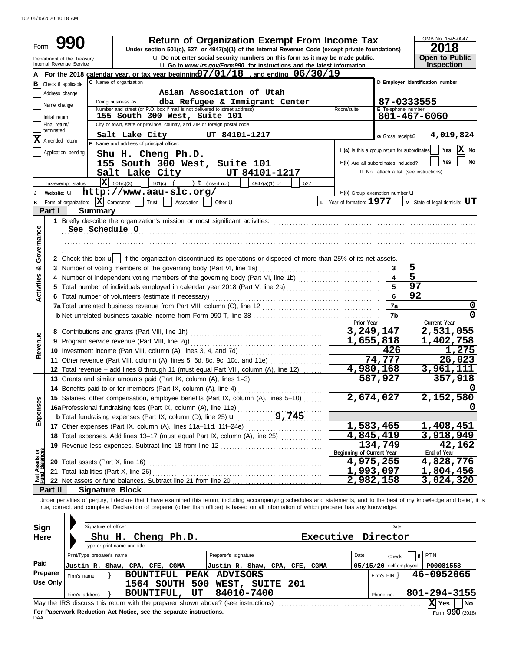102 05/15/2020 10:18 AM

| Form                  |                             | <b>Return of Organization Exempt From Income Tax</b><br>Under section 501(c), 527, or 4947(a)(1) of the Internal Revenue Code (except private foundations)<br><b>u</b> Do not enter social security numbers on this form as it may be made public.<br>Department of the Treasury |                           |                                     | OMB No. 1545-0047<br>2018<br><b>Open to Public</b>                       |
|-----------------------|-----------------------------|----------------------------------------------------------------------------------------------------------------------------------------------------------------------------------------------------------------------------------------------------------------------------------|---------------------------|-------------------------------------|--------------------------------------------------------------------------|
|                       |                             | Internal Revenue Service<br><b>u</b> Go to www.irs.gov/Form990 for instructions and the latest information.                                                                                                                                                                      |                           |                                     | Inspection                                                               |
|                       |                             | For the 2018 calendar year, or tax year beginning $07/01/18$ , and ending $06/30/19$<br>C Name of organization                                                                                                                                                                   |                           |                                     | D Employer identification number                                         |
|                       |                             | <b>B</b> Check if applicable:                                                                                                                                                                                                                                                    |                           |                                     |                                                                          |
|                       | Address change              | Asian Association of Utah<br>Doing business as<br>dba Refugee & Immigrant Center                                                                                                                                                                                                 |                           |                                     |                                                                          |
|                       | Name change                 | Number and street (or P.O. box if mail is not delivered to street address)<br>Room/suite                                                                                                                                                                                         |                           | E Telephone number                  | 87-0333555                                                               |
|                       | Initial return              | 155 South 300 West, Suite 101                                                                                                                                                                                                                                                    |                           |                                     | 801-467-6060                                                             |
|                       | Final return/<br>terminated | City or town, state or province, country, and ZIP or foreign postal code                                                                                                                                                                                                         |                           |                                     |                                                                          |
| X                     | Amended return              | UT 84101-1217<br>Salt Lake City                                                                                                                                                                                                                                                  |                           | G Gross receipts\$                  | 4,019,824                                                                |
|                       |                             | F Name and address of principal officer:                                                                                                                                                                                                                                         |                           |                                     | $ \mathbf{X} $ No<br>Yes<br>H(a) Is this a group return for subordinates |
|                       |                             | Application pending<br>Shu H. Cheng Ph.D.                                                                                                                                                                                                                                        |                           |                                     |                                                                          |
|                       |                             | 155 South 300 West, Suite 101                                                                                                                                                                                                                                                    |                           | H(b) Are all subordinates included? | Yes<br>No                                                                |
|                       |                             | Salt Lake City<br>UT 84101-1217                                                                                                                                                                                                                                                  |                           |                                     | If "No," attach a list. (see instructions)                               |
|                       |                             | $\overline{\mathbf{X}}$ 501(c)(3)<br>501(c) $($ $)$ $($ $)$ $($ (insert no.)<br>$4947(a)(1)$ or<br>Tax-exempt status:<br>527                                                                                                                                                     |                           |                                     |                                                                          |
|                       | Website: U                  | http://www.aau-slc.org/                                                                                                                                                                                                                                                          |                           | $H(c)$ Group exemption number $U$   |                                                                          |
|                       |                             | $ \mathbf{X} $ Corporation<br>L Year of formation: 1977<br>Form of organization:<br>Trust<br>Association<br>Other <b>u</b>                                                                                                                                                       |                           |                                     | <b>M</b> State of legal domicile: $UT$                                   |
|                       | Part I                      | <b>Summary</b>                                                                                                                                                                                                                                                                   |                           |                                     |                                                                          |
|                       |                             |                                                                                                                                                                                                                                                                                  |                           |                                     |                                                                          |
| Governance            |                             | See Schedule O                                                                                                                                                                                                                                                                   |                           |                                     |                                                                          |
|                       |                             |                                                                                                                                                                                                                                                                                  |                           |                                     |                                                                          |
|                       |                             |                                                                                                                                                                                                                                                                                  |                           |                                     |                                                                          |
|                       |                             | 2 Check this box u   if the organization discontinued its operations or disposed of more than 25% of its net assets.                                                                                                                                                             |                           |                                     |                                                                          |
| න්                    |                             | 3 Number of voting members of the governing body (Part VI, line 1a)                                                                                                                                                                                                              |                           | 3                                   | 5                                                                        |
|                       |                             |                                                                                                                                                                                                                                                                                  |                           |                                     | 5                                                                        |
| <b>Activities</b>     |                             | 5 Total number of individuals employed in calendar year 2018 (Part V, line 2a) [[[[[[[[[[[[[[[[[[[[[[[[[[[[[[[                                                                                                                                                                   |                           |                                     | 97                                                                       |
|                       |                             | 6 Total number of volunteers (estimate if necessary)                                                                                                                                                                                                                             |                           |                                     | 92                                                                       |
|                       |                             |                                                                                                                                                                                                                                                                                  |                           | 7a                                  | 0                                                                        |
|                       |                             |                                                                                                                                                                                                                                                                                  | Prior Year                | 7b                                  | 0<br>Current Year                                                        |
|                       |                             |                                                                                                                                                                                                                                                                                  | 3,249,147                 |                                     | 2,531,055                                                                |
|                       |                             |                                                                                                                                                                                                                                                                                  | 1,655,818                 |                                     | 1,402,758                                                                |
| Revenue               |                             |                                                                                                                                                                                                                                                                                  |                           | 426                                 | 1,275                                                                    |
|                       |                             | 11 Other revenue (Part VIII, column (A), lines 5, 6d, 8c, 9c, 10c, and 11e)                                                                                                                                                                                                      |                           | 74,777                              | 26,023                                                                   |
|                       |                             | 12 Total revenue - add lines 8 through 11 (must equal Part VIII, column (A), line 12)                                                                                                                                                                                            | 4,980,168                 |                                     | 3,961,111                                                                |
|                       |                             | 13 Grants and similar amounts paid (Part IX, column (A), lines 1-3)                                                                                                                                                                                                              |                           | 587,927                             | 357,918                                                                  |
|                       |                             | 14 Benefits paid to or for members (Part IX, column (A), line 4)                                                                                                                                                                                                                 |                           |                                     | 0                                                                        |
|                       |                             | 15 Salaries, other compensation, employee benefits (Part IX, column (A), lines 5-10)                                                                                                                                                                                             | 2,674,027                 |                                     | 2,152,580                                                                |
| Expenses              |                             | 16a Professional fundraising fees (Part IX, column (A), line 11e)                                                                                                                                                                                                                |                           |                                     |                                                                          |
|                       |                             | 9,745<br><b>b</b> Total fundraising expenses (Part IX, column (D), line 25) <b>u</b>                                                                                                                                                                                             |                           |                                     |                                                                          |
|                       |                             |                                                                                                                                                                                                                                                                                  | <u>1,583,465</u>          |                                     | <u>1,408,451</u>                                                         |
|                       |                             | 18 Total expenses. Add lines 13-17 (must equal Part IX, column (A), line 25)                                                                                                                                                                                                     | 4,845,419                 |                                     | 3,918,949                                                                |
|                       |                             |                                                                                                                                                                                                                                                                                  |                           | 134,749                             | 42, 162                                                                  |
| ಕ್ಷ                   |                             |                                                                                                                                                                                                                                                                                  | Beginning of Current Year |                                     | End of Year                                                              |
| Assets<br>1<br>Balanc |                             |                                                                                                                                                                                                                                                                                  | 4,975,255                 |                                     | 4,828,776                                                                |
| Net<br>Filmd          |                             | 21 Total liabilities (Part X, line 26)                                                                                                                                                                                                                                           | 1,993,097                 |                                     | <u>1,804,456</u>                                                         |
|                       |                             |                                                                                                                                                                                                                                                                                  | 2,982,158                 |                                     | 3,024,320                                                                |
|                       | Part II                     | <b>Signature Block</b>                                                                                                                                                                                                                                                           |                           |                                     |                                                                          |
|                       |                             | Under penalties of perjury, I declare that I have examined this return, including accompanying schedules and statements, and to the best of my knowledge and belief, it is                                                                                                       |                           |                                     |                                                                          |
|                       |                             | true, correct, and complete. Declaration of preparer (other than officer) is based on all information of which preparer has any knowledge.                                                                                                                                       |                           |                                     |                                                                          |
|                       |                             |                                                                                                                                                                                                                                                                                  |                           |                                     |                                                                          |
| Sign                  |                             | Signature of officer                                                                                                                                                                                                                                                             |                           | Date                                |                                                                          |
| <b>Here</b>           |                             | Executive<br>Shu H. Cheng Ph.D.                                                                                                                                                                                                                                                  |                           | Director                            |                                                                          |
|                       |                             | Type or print name and title                                                                                                                                                                                                                                                     |                           |                                     |                                                                          |
|                       |                             | Print/Type preparer's name<br>Preparer's signature                                                                                                                                                                                                                               | Date                      | Check                               | PTIN                                                                     |
| Paid                  |                             | Justin R. Shaw, CPA, CFE, CGMA<br>Justin R. Shaw, CPA, CFE, CGMA                                                                                                                                                                                                                 |                           | $05/15/20$ self-employed            | P00081558                                                                |
|                       | Preparer                    | <b>PEAK</b><br><b>BOUNTIFUL</b><br><b>ADVISORS</b><br>Firm's name                                                                                                                                                                                                                |                           | Firm's EIN                          | 46-0952065                                                               |
|                       | <b>Use Only</b>             | 1564 SOUTH<br>500 WEST, SUITE 201                                                                                                                                                                                                                                                |                           |                                     |                                                                          |
|                       |                             | 84010-7400<br>BOUNTIFUL,<br>UT<br>Firm's address                                                                                                                                                                                                                                 |                           | Phone no.                           | 801-294-3155                                                             |
|                       |                             | May the IRS discuss this return with the preparer shown above? (see instructions)                                                                                                                                                                                                |                           |                                     | X Yes<br><b>No</b>                                                       |

| raiu     | Justin R. Shaw, CPA, CFE, CGMA                                                    |  |  |                                | Justin R. Shaw, CPA, CFE, CGMA |  |  |  |                |  | 05/15/20 self-employed   P00081558 |                 |
|----------|-----------------------------------------------------------------------------------|--|--|--------------------------------|--------------------------------|--|--|--|----------------|--|------------------------------------|-----------------|
| Preparer | Firm's name                                                                       |  |  | BOUNTIFUL PEAK ADVISORS        |                                |  |  |  | Firm's $EIN$ } |  | 46-0952065                         |                 |
| Use Only |                                                                                   |  |  | 1564 SOUTH 500 WEST, SUITE 201 |                                |  |  |  |                |  |                                    |                 |
|          | Firm's address                                                                    |  |  | BOUNTIFUL, UT                  | 84010-7400                     |  |  |  | Phone no.      |  | 801-294-3155                       |                 |
|          | May the IRS discuss this return with the preparer shown above? (see instructions) |  |  |                                |                                |  |  |  |                |  | X  Yes                             | <b>No</b>       |
| DAA      | For Paperwork Reduction Act Notice, see the separate instructions.                |  |  |                                |                                |  |  |  |                |  |                                    | Form 990 (2018) |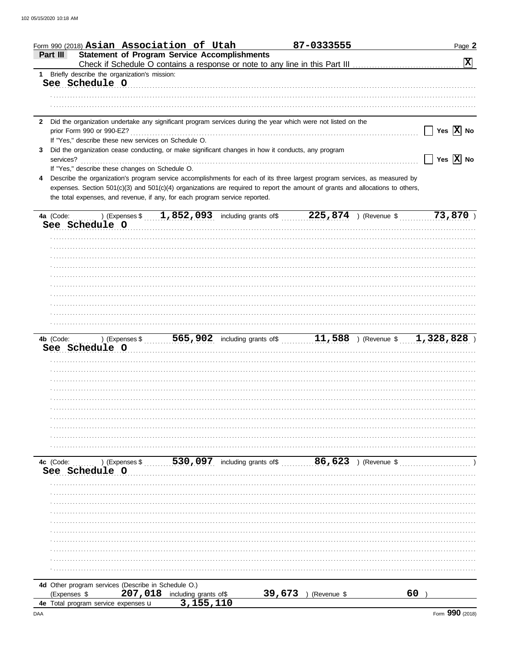|              |                                                     | Form 990 (2018) Asian Association of Utah                                                                                                                                                                     |        | 87-0333555                   | Page 2                                                                                      |
|--------------|-----------------------------------------------------|---------------------------------------------------------------------------------------------------------------------------------------------------------------------------------------------------------------|--------|------------------------------|---------------------------------------------------------------------------------------------|
| Part III     |                                                     | <b>Statement of Program Service Accomplishments</b>                                                                                                                                                           |        |                              | $\boxed{\mathbf{X}}$                                                                        |
|              | 1 Briefly describe the organization's mission:      |                                                                                                                                                                                                               |        |                              |                                                                                             |
|              | See Schedule O                                      |                                                                                                                                                                                                               |        |                              |                                                                                             |
|              |                                                     |                                                                                                                                                                                                               |        |                              |                                                                                             |
|              |                                                     |                                                                                                                                                                                                               |        |                              |                                                                                             |
|              |                                                     | 2 Did the organization undertake any significant program services during the year which were not listed on the                                                                                                |        |                              |                                                                                             |
|              |                                                     |                                                                                                                                                                                                               |        |                              | Yes $ X $ No                                                                                |
|              |                                                     | If "Yes," describe these new services on Schedule O.                                                                                                                                                          |        |                              |                                                                                             |
| 3            |                                                     | Did the organization cease conducting, or make significant changes in how it conducts, any program                                                                                                            |        |                              |                                                                                             |
| services?    |                                                     |                                                                                                                                                                                                               |        |                              | $\sqrt{}$ Yes $\sqrt{}$ No                                                                  |
|              | If "Yes," describe these changes on Schedule O.     |                                                                                                                                                                                                               |        |                              |                                                                                             |
|              |                                                     | Describe the organization's program service accomplishments for each of its three largest program services, as measured by                                                                                    |        |                              |                                                                                             |
|              |                                                     | expenses. Section 501(c)(3) and 501(c)(4) organizations are required to report the amount of grants and allocations to others,<br>the total expenses, and revenue, if any, for each program service reported. |        |                              |                                                                                             |
|              |                                                     |                                                                                                                                                                                                               |        |                              |                                                                                             |
|              |                                                     | 4a (Code:  ) (Expenses \$  1,852,093 including grants of \$  225,874 ) (Revenue \$                                                                                                                            |        |                              | 73,870                                                                                      |
|              | See Schedule O                                      |                                                                                                                                                                                                               |        |                              |                                                                                             |
|              |                                                     |                                                                                                                                                                                                               |        |                              |                                                                                             |
|              |                                                     |                                                                                                                                                                                                               |        |                              |                                                                                             |
|              |                                                     |                                                                                                                                                                                                               |        |                              |                                                                                             |
|              |                                                     |                                                                                                                                                                                                               |        |                              |                                                                                             |
|              |                                                     |                                                                                                                                                                                                               |        |                              |                                                                                             |
|              |                                                     |                                                                                                                                                                                                               |        |                              |                                                                                             |
|              |                                                     |                                                                                                                                                                                                               |        |                              |                                                                                             |
|              |                                                     |                                                                                                                                                                                                               |        |                              |                                                                                             |
|              |                                                     |                                                                                                                                                                                                               |        |                              |                                                                                             |
|              |                                                     |                                                                                                                                                                                                               |        |                              |                                                                                             |
|              |                                                     |                                                                                                                                                                                                               |        |                              |                                                                                             |
|              | See Schedule O                                      |                                                                                                                                                                                                               |        |                              | 4b (Code:  ) (Expenses \$  565,902 including grants of \$  11,588 ) (Revenue \$ 1,328,828 ) |
|              |                                                     |                                                                                                                                                                                                               |        |                              |                                                                                             |
|              |                                                     |                                                                                                                                                                                                               |        |                              |                                                                                             |
|              |                                                     |                                                                                                                                                                                                               |        |                              |                                                                                             |
|              |                                                     |                                                                                                                                                                                                               |        |                              |                                                                                             |
|              |                                                     |                                                                                                                                                                                                               |        |                              |                                                                                             |
|              |                                                     |                                                                                                                                                                                                               |        |                              |                                                                                             |
|              |                                                     |                                                                                                                                                                                                               |        |                              |                                                                                             |
|              |                                                     |                                                                                                                                                                                                               |        |                              |                                                                                             |
|              |                                                     |                                                                                                                                                                                                               |        |                              |                                                                                             |
|              |                                                     |                                                                                                                                                                                                               |        |                              |                                                                                             |
|              |                                                     |                                                                                                                                                                                                               |        |                              |                                                                                             |
| 4c (Code:    |                                                     | ) (Expenses \$530,097 including grants of \$6,623 ) (Revenue \$                                                                                                                                               |        |                              |                                                                                             |
|              | See Schedule O                                      |                                                                                                                                                                                                               |        |                              |                                                                                             |
|              |                                                     |                                                                                                                                                                                                               |        |                              |                                                                                             |
|              |                                                     |                                                                                                                                                                                                               |        |                              |                                                                                             |
|              |                                                     |                                                                                                                                                                                                               |        |                              |                                                                                             |
|              |                                                     |                                                                                                                                                                                                               |        |                              |                                                                                             |
|              |                                                     |                                                                                                                                                                                                               |        |                              |                                                                                             |
|              |                                                     |                                                                                                                                                                                                               |        |                              |                                                                                             |
|              |                                                     |                                                                                                                                                                                                               |        |                              |                                                                                             |
|              |                                                     |                                                                                                                                                                                                               |        |                              |                                                                                             |
|              |                                                     |                                                                                                                                                                                                               |        |                              |                                                                                             |
|              |                                                     |                                                                                                                                                                                                               |        |                              |                                                                                             |
|              | 4d Other program services (Describe in Schedule O.) |                                                                                                                                                                                                               |        |                              |                                                                                             |
| (Expenses \$ |                                                     | 207,018<br>including grants of\$                                                                                                                                                                              | 39,673 | (Revenue \$<br>$\rightarrow$ | 60                                                                                          |
|              | 4e Total program service expenses u                 | 3,155,110                                                                                                                                                                                                     |        |                              |                                                                                             |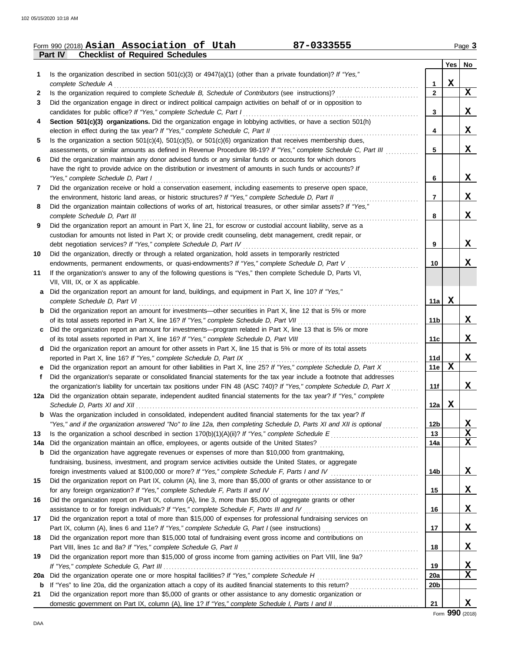|         | 87-0333555<br>Form 990 (2018) Asian Association of Utah                                                                                                                                                 |                        |             | Page 3      |
|---------|---------------------------------------------------------------------------------------------------------------------------------------------------------------------------------------------------------|------------------------|-------------|-------------|
|         | <b>Checklist of Required Schedules</b><br><b>Part IV</b>                                                                                                                                                |                        |             |             |
|         |                                                                                                                                                                                                         |                        | Yes         | No          |
| 1       | Is the organization described in section $501(c)(3)$ or $4947(a)(1)$ (other than a private foundation)? If "Yes,"                                                                                       |                        |             |             |
|         | complete Schedule A<br>Is the organization required to complete Schedule B, Schedule of Contributors (see instructions)?                                                                                | 1<br>$\mathbf{2}$      | $\mathbf X$ | $\mathbf x$ |
| 2<br>3  | Did the organization engage in direct or indirect political campaign activities on behalf of or in opposition to                                                                                        |                        |             |             |
|         | candidates for public office? If "Yes," complete Schedule C, Part I                                                                                                                                     | 3                      |             | X           |
| 4       | Section 501(c)(3) organizations. Did the organization engage in lobbying activities, or have a section 501(h)                                                                                           |                        |             |             |
|         | election in effect during the tax year? If "Yes," complete Schedule C, Part II                                                                                                                          | 4                      |             | X           |
| 5       | Is the organization a section $501(c)(4)$ , $501(c)(5)$ , or $501(c)(6)$ organization that receives membership dues,                                                                                    |                        |             |             |
|         | assessments, or similar amounts as defined in Revenue Procedure 98-19? If "Yes," complete Schedule C, Part III                                                                                          | 5                      |             | X           |
| 6       | Did the organization maintain any donor advised funds or any similar funds or accounts for which donors                                                                                                 |                        |             |             |
|         | have the right to provide advice on the distribution or investment of amounts in such funds or accounts? If                                                                                             |                        |             |             |
|         | "Yes," complete Schedule D, Part I                                                                                                                                                                      | 6                      |             | X           |
| 7       | Did the organization receive or hold a conservation easement, including easements to preserve open space,                                                                                               |                        |             |             |
|         | the environment, historic land areas, or historic structures? If "Yes," complete Schedule D, Part II                                                                                                    | 7                      |             | X           |
| 8       | Did the organization maintain collections of works of art, historical treasures, or other similar assets? If "Yes,"                                                                                     |                        |             |             |
|         | complete Schedule D, Part III                                                                                                                                                                           | 8                      |             | X           |
| 9       | Did the organization report an amount in Part X, line 21, for escrow or custodial account liability, serve as a                                                                                         |                        |             |             |
|         | custodian for amounts not listed in Part X; or provide credit counseling, debt management, credit repair, or                                                                                            |                        |             |             |
|         | debt negotiation services? If "Yes," complete Schedule D, Part IV                                                                                                                                       | 9                      |             | X           |
| 10      | Did the organization, directly or through a related organization, hold assets in temporarily restricted<br>endowments, permanent endowments, or quasi-endowments? If "Yes," complete Schedule D, Part V | 10                     |             | X           |
| 11      | If the organization's answer to any of the following questions is "Yes," then complete Schedule D, Parts VI,                                                                                            |                        |             |             |
|         | VII, VIII, IX, or X as applicable.                                                                                                                                                                      |                        |             |             |
| а       | Did the organization report an amount for land, buildings, and equipment in Part X, line 10? If "Yes,"                                                                                                  |                        |             |             |
|         | complete Schedule D, Part VI                                                                                                                                                                            | 11a                    | X           |             |
| b       | Did the organization report an amount for investments—other securities in Part X, line 12 that is 5% or more                                                                                            |                        |             |             |
|         | of its total assets reported in Part X, line 16? If "Yes," complete Schedule D, Part VII                                                                                                                | 11 <sub>b</sub>        |             | X           |
| c       | Did the organization report an amount for investments—program related in Part X, line 13 that is 5% or more                                                                                             |                        |             |             |
|         | of its total assets reported in Part X, line 16? If "Yes," complete Schedule D, Part VIII                                                                                                               | 11c                    |             | X           |
| d       | Did the organization report an amount for other assets in Part X, line 15 that is 5% or more of its total assets                                                                                        |                        |             |             |
|         | reported in Part X, line 16? If "Yes," complete Schedule D, Part IX                                                                                                                                     | 11d                    |             | X           |
|         | Did the organization report an amount for other liabilities in Part X, line 25? If "Yes," complete Schedule D, Part X                                                                                   | 11e                    | $\mathbf X$ |             |
| f       | Did the organization's separate or consolidated financial statements for the tax year include a footnote that addresses                                                                                 |                        |             |             |
|         | the organization's liability for uncertain tax positions under FIN 48 (ASC 740)? If "Yes," complete Schedule D, Part X                                                                                  | 11f                    |             | X           |
|         | 12a Did the organization obtain separate, independent audited financial statements for the tax year? If "Yes," complete                                                                                 |                        | X           |             |
| b       | Was the organization included in consolidated, independent audited financial statements for the tax year? If                                                                                            | 12a                    |             |             |
|         | "Yes," and if the organization answered "No" to line 12a, then completing Schedule D, Parts XI and XII is optional                                                                                      | 12b                    |             | X           |
| 13      |                                                                                                                                                                                                         | 13                     |             | $\mathbf X$ |
| 14a     | Did the organization maintain an office, employees, or agents outside of the United States?                                                                                                             | 14a                    |             | X           |
| b       | Did the organization have aggregate revenues or expenses of more than \$10,000 from grantmaking,                                                                                                        |                        |             |             |
|         | fundraising, business, investment, and program service activities outside the United States, or aggregate                                                                                               |                        |             |             |
|         |                                                                                                                                                                                                         | 14b                    |             | X           |
| 15      | Did the organization report on Part IX, column (A), line 3, more than \$5,000 of grants or other assistance to or                                                                                       |                        |             |             |
|         | for any foreign organization? If "Yes," complete Schedule F, Parts II and IV                                                                                                                            | 15                     |             | X           |
| 16      | Did the organization report on Part IX, column (A), line 3, more than \$5,000 of aggregate grants or other                                                                                              |                        |             |             |
|         |                                                                                                                                                                                                         | 16                     |             | X           |
| 17      | Did the organization report a total of more than \$15,000 of expenses for professional fundraising services on                                                                                          |                        |             |             |
|         |                                                                                                                                                                                                         | 17                     |             | X           |
| 18      | Did the organization report more than \$15,000 total of fundraising event gross income and contributions on                                                                                             |                        |             |             |
|         | Part VIII, lines 1c and 8a? If "Yes," complete Schedule G, Part II                                                                                                                                      | 18                     |             | X           |
| 19      | Did the organization report more than \$15,000 of gross income from gaming activities on Part VIII, line 9a?                                                                                            |                        |             |             |
|         |                                                                                                                                                                                                         | 19                     |             | X<br>X      |
| 20a     | Did the organization operate one or more hospital facilities? If "Yes," complete Schedule H                                                                                                             | 20a<br>20 <sub>b</sub> |             |             |
| b<br>21 | Did the organization report more than \$5,000 of grants or other assistance to any domestic organization or                                                                                             |                        |             |             |
|         |                                                                                                                                                                                                         | 21                     |             | X           |
|         |                                                                                                                                                                                                         |                        |             |             |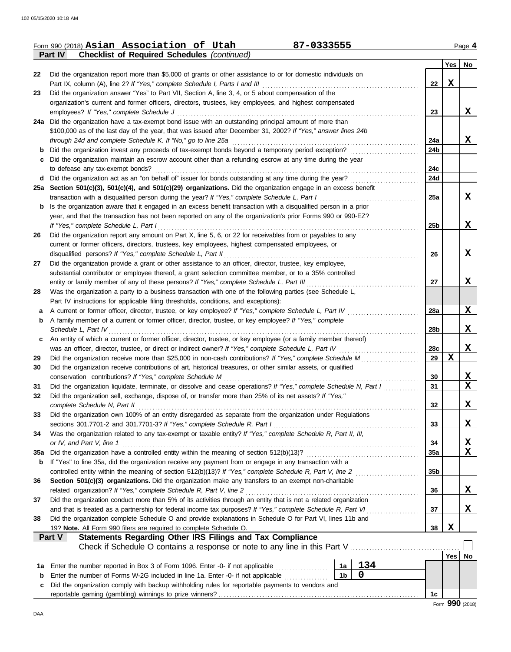|            | Form 990 (2018) Asian Association of Utah<br>87-0333555<br>Part IV<br><b>Checklist of Required Schedules (continued)</b>                                                                                          |                 |             | Page 4        |
|------------|-------------------------------------------------------------------------------------------------------------------------------------------------------------------------------------------------------------------|-----------------|-------------|---------------|
|            |                                                                                                                                                                                                                   |                 | Yes         | No.           |
| 22         | Did the organization report more than \$5,000 of grants or other assistance to or for domestic individuals on                                                                                                     |                 |             |               |
|            | Part IX, column (A), line 2? If "Yes," complete Schedule I, Parts I and III                                                                                                                                       | 22              | X           |               |
| 23         | Did the organization answer "Yes" to Part VII, Section A, line 3, 4, or 5 about compensation of the                                                                                                               |                 |             |               |
|            | organization's current and former officers, directors, trustees, key employees, and highest compensated                                                                                                           |                 |             |               |
|            | employees? If "Yes," complete Schedule J                                                                                                                                                                          | 23              |             | X             |
|            | 24a Did the organization have a tax-exempt bond issue with an outstanding principal amount of more than                                                                                                           |                 |             |               |
|            | \$100,000 as of the last day of the year, that was issued after December 31, 2002? If "Yes," answer lines 24b                                                                                                     |                 |             |               |
|            | through 24d and complete Schedule K. If "No," go to line 25a                                                                                                                                                      | 24a             |             | X             |
|            | <b>b</b> Did the organization invest any proceeds of tax-exempt bonds beyond a temporary period exception?                                                                                                        | 24b             |             |               |
|            | c Did the organization maintain an escrow account other than a refunding escrow at any time during the year                                                                                                       |                 |             |               |
|            | to defease any tax-exempt bonds?                                                                                                                                                                                  | 24c<br>24d      |             |               |
| d          |                                                                                                                                                                                                                   |                 |             |               |
|            | 25a Section 501(c)(3), 501(c)(4), and 501(c)(29) organizations. Did the organization engage in an excess benefit<br>transaction with a disqualified person during the year? If "Yes," complete Schedule L, Part I | 25a             |             | X             |
| b          | Is the organization aware that it engaged in an excess benefit transaction with a disqualified person in a prior                                                                                                  |                 |             |               |
|            | year, and that the transaction has not been reported on any of the organization's prior Forms 990 or 990-EZ?                                                                                                      |                 |             |               |
|            | If "Yes," complete Schedule L, Part I                                                                                                                                                                             | 25b             |             | $\mathbf x$   |
| 26         | Did the organization report any amount on Part X, line 5, 6, or 22 for receivables from or payables to any                                                                                                        |                 |             |               |
|            | current or former officers, directors, trustees, key employees, highest compensated employees, or                                                                                                                 |                 |             |               |
|            | disqualified persons? If "Yes," complete Schedule L, Part II                                                                                                                                                      | 26              |             | $\mathbf x$   |
| 27         | Did the organization provide a grant or other assistance to an officer, director, trustee, key employee,                                                                                                          |                 |             |               |
|            | substantial contributor or employee thereof, a grant selection committee member, or to a 35% controlled                                                                                                           |                 |             |               |
|            | entity or family member of any of these persons? If "Yes," complete Schedule L, Part III                                                                                                                          | 27              |             | $\mathbf x$   |
| 28         | Was the organization a party to a business transaction with one of the following parties (see Schedule L,                                                                                                         |                 |             |               |
|            | Part IV instructions for applicable filing thresholds, conditions, and exceptions):                                                                                                                               |                 |             |               |
| a          | A current or former officer, director, trustee, or key employee? If "Yes," complete Schedule L, Part IV                                                                                                           | 28a             |             | X             |
| b          | A family member of a current or former officer, director, trustee, or key employee? If "Yes," complete                                                                                                            |                 |             |               |
|            | Schedule L, Part IV                                                                                                                                                                                               | 28b             |             | $\mathbf x$   |
| c          | An entity of which a current or former officer, director, trustee, or key employee (or a family member thereof)                                                                                                   |                 |             |               |
|            | was an officer, director, trustee, or direct or indirect owner? If "Yes," complete Schedule L, Part IV entertainments                                                                                             | 28c             |             | $\mathbf X$   |
| 29         |                                                                                                                                                                                                                   | 29              | X           |               |
| 30         | Did the organization receive contributions of art, historical treasures, or other similar assets, or qualified                                                                                                    |                 |             |               |
|            | conservation contributions? If "Yes," complete Schedule M                                                                                                                                                         | 30              |             | X             |
| 31         | Did the organization liquidate, terminate, or dissolve and cease operations? If "Yes," complete Schedule N, Part I                                                                                                | 31              |             | $\mathbf x$   |
| 32         | Did the organization sell, exchange, dispose of, or transfer more than 25% of its net assets? If "Yes,"                                                                                                           |                 |             |               |
|            | complete Schedule N, Part II                                                                                                                                                                                      | 32              |             | X             |
| 33         | Did the organization own 100% of an entity disregarded as separate from the organization under Regulations                                                                                                        |                 |             |               |
|            | sections 301.7701-2 and 301.7701-3? If "Yes," complete Schedule R, Part I                                                                                                                                         | 33              |             | X             |
| 34         | Was the organization related to any tax-exempt or taxable entity? If "Yes," complete Schedule R, Part II, III,                                                                                                    |                 |             |               |
|            | or IV, and Part V, line 1                                                                                                                                                                                         | 34<br>35a       |             | <u>х</u><br>X |
| <b>35a</b> | If "Yes" to line 35a, did the organization receive any payment from or engage in any transaction with a                                                                                                           |                 |             |               |
| b          | controlled entity within the meaning of section 512(b)(13)? If "Yes," complete Schedule R, Part V, line 2                                                                                                         | 35 <sub>b</sub> |             |               |
| 36         | Section 501(c)(3) organizations. Did the organization make any transfers to an exempt non-charitable                                                                                                              |                 |             |               |
|            | related organization? If "Yes," complete Schedule R, Part V, line 2                                                                                                                                               | 36              |             | X             |
| 37         | Did the organization conduct more than 5% of its activities through an entity that is not a related organization                                                                                                  |                 |             |               |
|            | and that is treated as a partnership for federal income tax purposes? If "Yes," complete Schedule R, Part VI                                                                                                      | 37              |             | X             |
| 38         | .<br>Did the organization complete Schedule O and provide explanations in Schedule O for Part VI, lines 11b and                                                                                                   |                 |             |               |
|            | 19? Note. All Form 990 filers are required to complete Schedule O.                                                                                                                                                | 38              | $\mathbf x$ |               |
|            | <b>Statements Regarding Other IRS Filings and Tax Compliance</b><br>Part V                                                                                                                                        |                 |             |               |
|            |                                                                                                                                                                                                                   |                 |             |               |
|            |                                                                                                                                                                                                                   |                 | Yes         | No            |
| 1a         | 134<br>Enter the number reported in Box 3 of Form 1096. Enter -0- if not applicable<br>1a                                                                                                                         |                 |             |               |
| b          | $\mathbf 0$<br>1 <sub>b</sub><br>Enter the number of Forms W-2G included in line 1a. Enter -0- if not applicable                                                                                                  |                 |             |               |
| c          | Did the organization comply with backup withholding rules for reportable payments to vendors and                                                                                                                  |                 |             |               |
|            |                                                                                                                                                                                                                   | 1c              |             |               |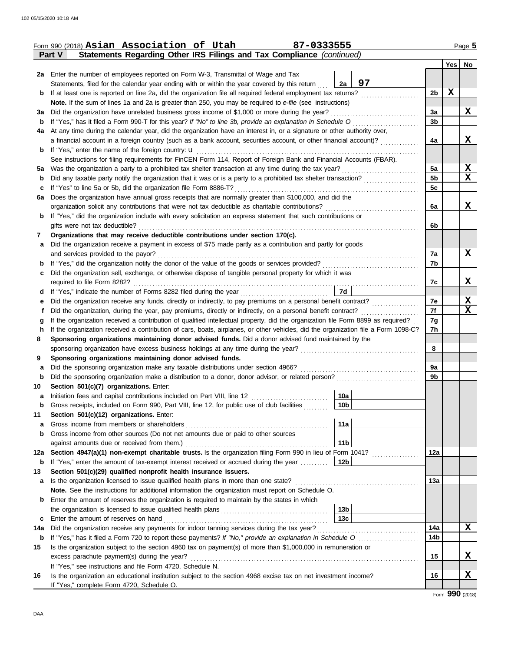|         | 87-0333555<br>Form 990 (2018) Asian Association of Utah                                                                                                                                                                                          |                 |                |                  | Page 5      |
|---------|--------------------------------------------------------------------------------------------------------------------------------------------------------------------------------------------------------------------------------------------------|-----------------|----------------|------------------|-------------|
|         | Statements Regarding Other IRS Filings and Tax Compliance (continued)<br><b>Part V</b>                                                                                                                                                           |                 |                |                  |             |
|         |                                                                                                                                                                                                                                                  |                 |                | Yes <sub>1</sub> | No          |
|         | 2a Enter the number of employees reported on Form W-3, Transmittal of Wage and Tax                                                                                                                                                               |                 |                |                  |             |
|         | Statements, filed for the calendar year ending with or within the year covered by this return                                                                                                                                                    | 97<br>2a        |                |                  |             |
| b       | If at least one is reported on line 2a, did the organization file all required federal employment tax returns?                                                                                                                                   |                 | 2b             | X                |             |
|         | Note. If the sum of lines 1a and 2a is greater than 250, you may be required to e-file (see instructions)                                                                                                                                        |                 |                |                  |             |
| За      | Did the organization have unrelated business gross income of \$1,000 or more during the year?                                                                                                                                                    |                 | За             |                  | x           |
| b       | If "Yes," has it filed a Form 990-T for this year? If "No" to line 3b, provide an explanation in Schedule O                                                                                                                                      |                 | 3 <sub>b</sub> |                  |             |
| 4a      | At any time during the calendar year, did the organization have an interest in, or a signature or other authority over,                                                                                                                          |                 |                |                  |             |
|         | a financial account in a foreign country (such as a bank account, securities account, or other financial account)?                                                                                                                               |                 | 4a             |                  | X           |
| b       | If "Yes," enter the name of the foreign country: <b>u</b>                                                                                                                                                                                        |                 |                |                  |             |
|         | See instructions for filing requirements for FinCEN Form 114, Report of Foreign Bank and Financial Accounts (FBAR).                                                                                                                              |                 |                |                  |             |
| 5а      | Was the organization a party to a prohibited tax shelter transaction at any time during the tax year?                                                                                                                                            |                 | 5a             |                  | X           |
| b       | Did any taxable party notify the organization that it was or is a party to a prohibited tax shelter transaction?                                                                                                                                 |                 | 5 <sub>b</sub> |                  | $\mathbf x$ |
| c       | If "Yes" to line 5a or 5b, did the organization file Form 8886-T?                                                                                                                                                                                |                 | 5c             |                  |             |
| 6a      | Does the organization have annual gross receipts that are normally greater than \$100,000, and did the                                                                                                                                           |                 |                |                  |             |
|         | organization solicit any contributions that were not tax deductible as charitable contributions?                                                                                                                                                 |                 | 6a             |                  | X           |
| b       | If "Yes," did the organization include with every solicitation an express statement that such contributions or                                                                                                                                   |                 |                |                  |             |
|         | gifts were not tax deductible?                                                                                                                                                                                                                   |                 | 6b             |                  |             |
| 7       | Organizations that may receive deductible contributions under section 170(c).                                                                                                                                                                    |                 |                |                  |             |
| a       | Did the organization receive a payment in excess of \$75 made partly as a contribution and partly for goods                                                                                                                                      |                 |                |                  |             |
|         | and services provided to the payor?                                                                                                                                                                                                              |                 | 7a             |                  | X           |
| b       |                                                                                                                                                                                                                                                  |                 | 7b             |                  |             |
| c       | Did the organization sell, exchange, or otherwise dispose of tangible personal property for which it was                                                                                                                                         |                 |                |                  |             |
|         | required to file Form 8282?                                                                                                                                                                                                                      |                 | 7c             |                  | X           |
| d       | If "Yes," indicate the number of Forms 8282 filed during the year<br>[[[[[[[[[[[[[[]]]]]]                                                                                                                                                        | 7d              |                |                  |             |
| е       |                                                                                                                                                                                                                                                  |                 | 7e<br>7f       |                  | X<br>X      |
| t       | Did the organization, during the year, pay premiums, directly or indirectly, on a personal benefit contract?<br>If the organization received a contribution of qualified intellectual property, did the organization file Form 8899 as required? |                 | 7g             |                  |             |
| g<br>n. | If the organization received a contribution of cars, boats, airplanes, or other vehicles, did the organization file a Form 1098-C?                                                                                                               |                 | 7h             |                  |             |
| 8       | Sponsoring organizations maintaining donor advised funds. Did a donor advised fund maintained by the                                                                                                                                             |                 |                |                  |             |
|         |                                                                                                                                                                                                                                                  |                 | 8              |                  |             |
| 9       | Sponsoring organizations maintaining donor advised funds.                                                                                                                                                                                        |                 |                |                  |             |
| a       | Did the sponsoring organization make any taxable distributions under section 4966?                                                                                                                                                               |                 | 9a             |                  |             |
| b       | Did the sponsoring organization make a distribution to a donor, donor advisor, or related person?                                                                                                                                                |                 | 9b             |                  |             |
| 10      | Section 501(c)(7) organizations. Enter:                                                                                                                                                                                                          |                 |                |                  |             |
|         |                                                                                                                                                                                                                                                  | 10a             |                |                  |             |
| b       | Gross receipts, included on Form 990, Part VIII, line 12, for public use of club facilities                                                                                                                                                      | 10b             |                |                  |             |
| 11      | Section 501(c)(12) organizations. Enter:                                                                                                                                                                                                         |                 |                |                  |             |
| a       | Gross income from members or shareholders                                                                                                                                                                                                        | 11a             |                |                  |             |
| b       | Gross income from other sources (Do not net amounts due or paid to other sources                                                                                                                                                                 |                 |                |                  |             |
|         | against amounts due or received from them.)                                                                                                                                                                                                      | 11 <sub>b</sub> |                |                  |             |
| 12a     | Section 4947(a)(1) non-exempt charitable trusts. Is the organization filing Form 990 in lieu of Form 1041?                                                                                                                                       |                 | 12a            |                  |             |
| b       | If "Yes," enter the amount of tax-exempt interest received or accrued during the year                                                                                                                                                            | 12 <sub>b</sub> |                |                  |             |
| 13      | Section 501(c)(29) qualified nonprofit health insurance issuers.                                                                                                                                                                                 |                 |                |                  |             |
| а       | Is the organization licensed to issue qualified health plans in more than one state?                                                                                                                                                             |                 | 13а            |                  |             |
|         | Note. See the instructions for additional information the organization must report on Schedule O.                                                                                                                                                |                 |                |                  |             |
| b       | Enter the amount of reserves the organization is required to maintain by the states in which                                                                                                                                                     |                 |                |                  |             |
|         |                                                                                                                                                                                                                                                  | 13 <sub>b</sub> |                |                  |             |
| c       | Enter the amount of reserves on hand                                                                                                                                                                                                             | 13 <sub>c</sub> |                |                  |             |
| 14a     | Did the organization receive any payments for indoor tanning services during the tax year?                                                                                                                                                       |                 | 14a            |                  | X           |
| b       |                                                                                                                                                                                                                                                  |                 | 14b            |                  |             |
| 15      | Is the organization subject to the section 4960 tax on payment(s) of more than \$1,000,000 in remuneration or                                                                                                                                    |                 |                |                  |             |
|         | excess parachute payment(s) during the year?                                                                                                                                                                                                     |                 | 15             |                  | X           |
|         | If "Yes," see instructions and file Form 4720, Schedule N.                                                                                                                                                                                       |                 |                |                  |             |
| 16      | Is the organization an educational institution subject to the section 4968 excise tax on net investment income?                                                                                                                                  |                 | 16             |                  | X           |
|         | If "Yes," complete Form 4720, Schedule O.                                                                                                                                                                                                        |                 |                |                  |             |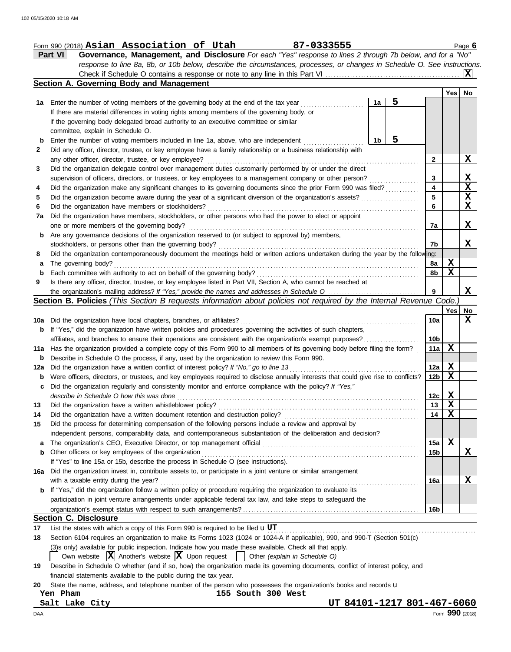|     | Part VI<br>Governance, Management, and Disclosure For each "Yes" response to lines 2 through 7b below, and for a "No"                                                                    |                 |                             |                         |
|-----|------------------------------------------------------------------------------------------------------------------------------------------------------------------------------------------|-----------------|-----------------------------|-------------------------|
|     | response to line 8a, 8b, or 10b below, describe the circumstances, processes, or changes in Schedule O. See instructions.                                                                |                 |                             |                         |
|     | Check if Schedule O contains a response or note to any line in this Part VI.                                                                                                             |                 |                             |                         |
|     | Section A. Governing Body and Management                                                                                                                                                 |                 |                             |                         |
|     |                                                                                                                                                                                          |                 | Yes                         | No                      |
|     | 5<br>1a<br>1a Enter the number of voting members of the governing body at the end of the tax year                                                                                        |                 |                             |                         |
|     | If there are material differences in voting rights among members of the governing body, or                                                                                               |                 |                             |                         |
|     | if the governing body delegated broad authority to an executive committee or similar                                                                                                     |                 |                             |                         |
|     | committee, explain in Schedule O.                                                                                                                                                        |                 |                             |                         |
| b   | 5<br>Enter the number of voting members included in line 1a, above, who are independent<br>1b                                                                                            |                 |                             |                         |
| 2   | Did any officer, director, trustee, or key employee have a family relationship or a business relationship with                                                                           |                 |                             |                         |
|     | any other officer, director, trustee, or key employee?                                                                                                                                   | 2               |                             | <u>x</u>                |
| 3   | Did the organization delegate control over management duties customarily performed by or under the direct                                                                                |                 |                             |                         |
|     | supervision of officers, directors, or trustees, or key employees to a management company or other person?                                                                               | 3               |                             | X                       |
|     | Did the organization make any significant changes to its governing documents since the prior Form 990 was filed?                                                                         | 4               |                             | $\overline{\mathbf{x}}$ |
|     |                                                                                                                                                                                          | 5               |                             | X                       |
| 5   | Did the organization become aware during the year of a significant diversion of the organization's assets?                                                                               | 6               |                             | $\mathbf{x}$            |
| 6   | Did the organization have members or stockholders?                                                                                                                                       |                 |                             |                         |
| 7a  | Did the organization have members, stockholders, or other persons who had the power to elect or appoint                                                                                  |                 |                             |                         |
|     | one or more members of the governing body?                                                                                                                                               | 7a              |                             | X                       |
| b   | Are any governance decisions of the organization reserved to (or subject to approval by) members,                                                                                        |                 |                             |                         |
|     | stockholders, or persons other than the governing body?                                                                                                                                  | 7b              |                             | X.                      |
| 8   | Did the organization contemporaneously document the meetings held or written actions undertaken during the year by the following:                                                        |                 |                             |                         |
| а   | The governing body?                                                                                                                                                                      | 8a              | X                           |                         |
| b   | Each committee with authority to act on behalf of the governing body?                                                                                                                    | 8b              | $\mathbf x$                 |                         |
| 9   | Is there any officer, director, trustee, or key employee listed in Part VII, Section A, who cannot be reached at                                                                         |                 |                             |                         |
|     | the organization's mailing address? If "Yes," provide the names and addresses in Schedule O                                                                                              | 9               |                             | X                       |
|     | Section B. Policies (This Section B requests information about policies not required by the Internal Revenue Code.                                                                       |                 |                             |                         |
|     |                                                                                                                                                                                          |                 | Yes                         | No                      |
| 10a | Did the organization have local chapters, branches, or affiliates?                                                                                                                       | 10a             |                             | X                       |
| b   | If "Yes," did the organization have written policies and procedures governing the activities of such chapters,                                                                           |                 |                             |                         |
|     | affiliates, and branches to ensure their operations are consistent with the organization's exempt purposes?                                                                              | 10 <sub>b</sub> |                             |                         |
|     | 11a Has the organization provided a complete copy of this Form 990 to all members of its governing body before filing the form?                                                          | 11a             | X                           |                         |
|     | Describe in Schedule O the process, if any, used by the organization to review this Form 990.                                                                                            |                 |                             |                         |
| b   |                                                                                                                                                                                          |                 |                             |                         |
| 12a | Did the organization have a written conflict of interest policy? If "No," go to line 13                                                                                                  | 12a             | $\mathbf{x}$<br>$\mathbf x$ |                         |
| b   | Were officers, directors, or trustees, and key employees required to disclose annually interests that could give rise to conflicts?                                                      | 12 <sub>b</sub> |                             |                         |
| с   | Did the organization regularly and consistently monitor and enforce compliance with the policy? If "Yes,"                                                                                |                 |                             |                         |
|     | describe in Schedule O how this was done                                                                                                                                                 | 12c             | X                           |                         |
| 13  | Did the organization have a written whistleblower policy?                                                                                                                                | 13              | $\overline{\mathbf{X}}$     |                         |
| 14  | Did the organization have a written document retention and destruction policy?                                                                                                           | 14              | X                           |                         |
| 15  | Did the process for determining compensation of the following persons include a review and approval by                                                                                   |                 |                             |                         |
|     | independent persons, comparability data, and contemporaneous substantiation of the deliberation and decision?                                                                            |                 |                             |                         |
| a   | The organization's CEO, Executive Director, or top management official<br>and a complete the contract of the complete the complete the complete the complete the complete the complete t | 15a             | X                           |                         |
| b   | Other officers or key employees of the organization                                                                                                                                      | 15 <sub>b</sub> |                             | X                       |
|     | If "Yes" to line 15a or 15b, describe the process in Schedule O (see instructions).                                                                                                      |                 |                             |                         |
|     | 16a Did the organization invest in, contribute assets to, or participate in a joint venture or similar arrangement                                                                       |                 |                             |                         |
|     | with a taxable entity during the year?                                                                                                                                                   | 16a             |                             | х                       |
| b   | If "Yes," did the organization follow a written policy or procedure requiring the organization to evaluate its                                                                           |                 |                             |                         |
|     | participation in joint venture arrangements under applicable federal tax law, and take steps to safeguard the                                                                            |                 |                             |                         |
|     |                                                                                                                                                                                          |                 |                             |                         |
|     |                                                                                                                                                                                          | 16b             |                             |                         |
|     | <b>Section C. Disclosure</b>                                                                                                                                                             |                 |                             |                         |
| 17  | List the states with which a copy of this Form 990 is required to be filed uUT                                                                                                           |                 |                             |                         |
| 18  | Section 6104 requires an organization to make its Forms 1023 (1024 or 1024-A if applicable), 990, and 990-T (Section 501(c)                                                              |                 |                             |                         |
|     | (3)s only) available for public inspection. Indicate how you made these available. Check all that apply.                                                                                 |                 |                             |                         |
|     | Own website $ \mathbf{X} $ Another's website $ \mathbf{X} $ Upon request $ \mathbf{X} $ Other (explain in Schedule O)                                                                    |                 |                             |                         |
| 19  | Describe in Schedule O whether (and if so, how) the organization made its governing documents, conflict of interest policy, and                                                          |                 |                             |                         |
|     | financial statements available to the public during the tax year.                                                                                                                        |                 |                             |                         |
| 20  | State the name, address, and telephone number of the person who possesses the organization's books and records u                                                                         |                 |                             |                         |
|     | 155 South 300 West<br>Yen Pham                                                                                                                                                           |                 |                             |                         |
|     | UT 84101-1217 801-467-6060<br>Salt Lake City                                                                                                                                             |                 |                             |                         |
| DAA |                                                                                                                                                                                          |                 | Form 990 (2018)             |                         |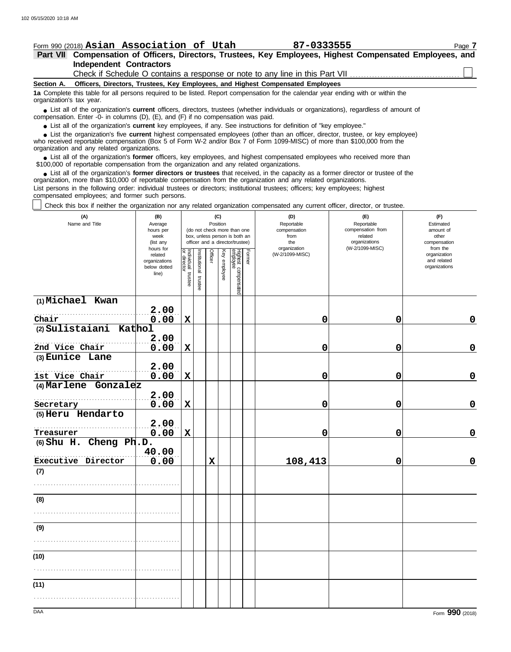## **Section A. Independent Contractors Part VII Compensation of Officers, Directors, Trustees, Key Employees, Highest Compensated Employees, and** Form 990 (2018) Page **7 Asian Association of Utah 87-0333555 Officers, Directors, Trustees, Key Employees, and Highest Compensated Employees 1a** Complete this table for all persons required to be listed. Report compensation for the calendar year ending with or within the ■ List all of the organization's **current** officers, directors, trustees (whether individuals or organizations), regardless of amount of the organization Enter -0- in columns (D), (E), and (E) if no compensation was paid compensation. Enter -0- in columns (D), (E), and (F) if no compensation was paid. ● List all of the organization's **current** key employees, if any. See instructions for definition of "key employee." who received reportable compensation (Box 5 of Form W-2 and/or Box 7 of Form 1099-MISC) of more than \$100,000 from the organization and any related organizations. ■ List all of the organization's **former** officers, key employees, and highest compensated employees who received more than<br>00,000 of reportable compensation from the organization and any related organizations \$100,000 of reportable compensation from the organization and any related organizations. organization's tax year. ■ List the organization's five **current** highest compensated employees (other than an officer, director, trustee, or key employee)<br>
a received reportable compensation (Box 5 of Form W-2 and/or Box 7 of Form 1099-MISC) of Check if Schedule O contains a response or note to any line in this Part VII

• List all of the organization's **former directors or trustees** that received, in the capacity as a former director or trustee of the prization more than \$10,000 of reportable compensation from the organization and any rel organization, more than \$10,000 of reportable compensation from the organization and any related organizations.

List persons in the following order: individual trustees or directors; institutional trustees; officers; key employees; highest compensated employees; and former such persons.

Check this box if neither the organization nor any related organization compensated any current officer, director, or trustee.

| (A)<br>Name and Title                  | (B)<br>Average<br>hours per<br>week<br>(list any               |                                      |                         | (C)<br>Position<br>(do not check more than one<br>box, unless person is both an<br>officer and a director/trustee) |              | (D)<br>Reportable<br>compensation<br>from<br>the | (E)<br>Reportable<br>compensation from<br>related<br>organizations | (F)<br>Estimated<br>amount of<br>other<br>compensation |                 |                                                          |
|----------------------------------------|----------------------------------------------------------------|--------------------------------------|-------------------------|--------------------------------------------------------------------------------------------------------------------|--------------|--------------------------------------------------|--------------------------------------------------------------------|--------------------------------------------------------|-----------------|----------------------------------------------------------|
|                                        | hours for<br>related<br>organizations<br>below dotted<br>line) | Individual<br>or director<br>trustee | nstitutional<br>trustee | Officer                                                                                                            | Key employee | Highest compensated<br>employee                  | Former                                                             | organization<br>(W-2/1099-MISC)                        | (W-2/1099-MISC) | from the<br>organization<br>and related<br>organizations |
| (1) Michael Kwan                       |                                                                |                                      |                         |                                                                                                                    |              |                                                  |                                                                    |                                                        |                 |                                                          |
|                                        | 2.00                                                           |                                      |                         |                                                                                                                    |              |                                                  |                                                                    |                                                        |                 |                                                          |
| Chair<br>(2) Sulistaiani<br>Kathol     | 0.00                                                           | $\mathbf X$                          |                         |                                                                                                                    |              |                                                  |                                                                    | 0                                                      | 0               | $\mathbf 0$                                              |
| 2nd Vice Chair                         | 2.00<br>0.00                                                   | X                                    |                         |                                                                                                                    |              |                                                  |                                                                    | 0                                                      | 0               | $\mathbf 0$                                              |
| (3) Eunice Lane                        |                                                                |                                      |                         |                                                                                                                    |              |                                                  |                                                                    |                                                        |                 |                                                          |
|                                        | 2.00                                                           |                                      |                         |                                                                                                                    |              |                                                  |                                                                    |                                                        |                 |                                                          |
| 1st Vice Chair<br>(4) Marlene Gonzalez | 0.00                                                           | $\mathbf X$                          |                         |                                                                                                                    |              |                                                  |                                                                    | 0                                                      | 0               | $\mathbf 0$                                              |
|                                        | 2.00                                                           |                                      |                         |                                                                                                                    |              |                                                  |                                                                    |                                                        |                 |                                                          |
| Secretary                              | 0.00                                                           | $\mathbf X$                          |                         |                                                                                                                    |              |                                                  |                                                                    | 0                                                      | 0               | $\mathbf 0$                                              |
| (5) Heru Hendarto                      |                                                                |                                      |                         |                                                                                                                    |              |                                                  |                                                                    |                                                        |                 |                                                          |
| Treasurer                              | 2.00<br>0.00                                                   | $\mathbf X$                          |                         |                                                                                                                    |              |                                                  |                                                                    | 0                                                      | 0               | $\mathbf 0$                                              |
| (6) Shu H. Cheng Ph.D.                 |                                                                |                                      |                         |                                                                                                                    |              |                                                  |                                                                    |                                                        |                 |                                                          |
| Executive Director                     | 40.00<br>0.00                                                  |                                      |                         | $\mathbf x$                                                                                                        |              |                                                  |                                                                    | 108,413                                                | 0               | $\mathbf 0$                                              |
| (7)                                    |                                                                |                                      |                         |                                                                                                                    |              |                                                  |                                                                    |                                                        |                 |                                                          |
|                                        |                                                                |                                      |                         |                                                                                                                    |              |                                                  |                                                                    |                                                        |                 |                                                          |
| (8)                                    |                                                                |                                      |                         |                                                                                                                    |              |                                                  |                                                                    |                                                        |                 |                                                          |
|                                        |                                                                |                                      |                         |                                                                                                                    |              |                                                  |                                                                    |                                                        |                 |                                                          |
| (9)                                    |                                                                |                                      |                         |                                                                                                                    |              |                                                  |                                                                    |                                                        |                 |                                                          |
|                                        |                                                                |                                      |                         |                                                                                                                    |              |                                                  |                                                                    |                                                        |                 |                                                          |
| (10)                                   |                                                                |                                      |                         |                                                                                                                    |              |                                                  |                                                                    |                                                        |                 |                                                          |
| (11)                                   |                                                                |                                      |                         |                                                                                                                    |              |                                                  |                                                                    |                                                        |                 |                                                          |
|                                        |                                                                |                                      |                         |                                                                                                                    |              |                                                  |                                                                    |                                                        |                 |                                                          |
| DAA                                    |                                                                |                                      |                         |                                                                                                                    |              |                                                  |                                                                    |                                                        |                 | Form 990 (2018)                                          |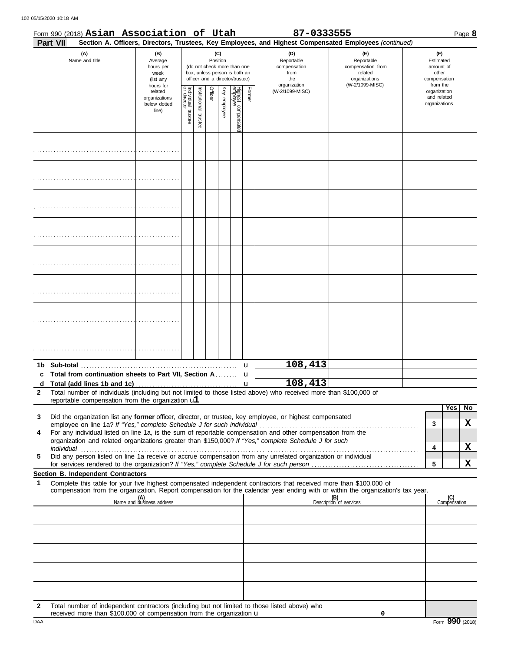|              | Form 990 (2018) Asian Association of Utah                                                                                                                                                                                                                                                                                                                                                |                                                               |                                      |                          |         |                 |                                                                                                 |        | 87-0333555                                                                                             |                                                                                       |                                                                    | Page 8                       |
|--------------|------------------------------------------------------------------------------------------------------------------------------------------------------------------------------------------------------------------------------------------------------------------------------------------------------------------------------------------------------------------------------------------|---------------------------------------------------------------|--------------------------------------|--------------------------|---------|-----------------|-------------------------------------------------------------------------------------------------|--------|--------------------------------------------------------------------------------------------------------|---------------------------------------------------------------------------------------|--------------------------------------------------------------------|------------------------------|
|              | <b>Part VII</b>                                                                                                                                                                                                                                                                                                                                                                          |                                                               |                                      |                          |         |                 |                                                                                                 |        | Section A. Officers, Directors, Trustees, Key Employees, and Highest Compensated Employees (continued) |                                                                                       |                                                                    |                              |
|              | (A)<br>Name and title                                                                                                                                                                                                                                                                                                                                                                    | (B)<br>Average<br>hours per<br>week<br>(list any<br>hours for |                                      |                          |         | (C)<br>Position | (do not check more than one<br>box, unless person is both an<br>officer and a director/trustee) |        | (D)<br>Reportable<br>compensation<br>from<br>the<br>organization                                       | (E)<br>Reportable<br>compensation from<br>related<br>organizations<br>(W-2/1099-MISC) | (F)<br>Estimated<br>amount of<br>other<br>compensation<br>from the |                              |
|              |                                                                                                                                                                                                                                                                                                                                                                                          | related<br>organizations<br>below dotted<br>line)             | Individual<br>or director<br>trustee | Institutional<br>trustee | Officer | Key employee    | Highest compensatec<br>employee                                                                 | Former | (W-2/1099-MISC)                                                                                        |                                                                                       | organization<br>and related<br>organizations                       |                              |
|              |                                                                                                                                                                                                                                                                                                                                                                                          |                                                               |                                      |                          |         |                 |                                                                                                 |        |                                                                                                        |                                                                                       |                                                                    |                              |
|              |                                                                                                                                                                                                                                                                                                                                                                                          |                                                               |                                      |                          |         |                 |                                                                                                 |        |                                                                                                        |                                                                                       |                                                                    |                              |
|              |                                                                                                                                                                                                                                                                                                                                                                                          |                                                               |                                      |                          |         |                 |                                                                                                 |        |                                                                                                        |                                                                                       |                                                                    |                              |
|              |                                                                                                                                                                                                                                                                                                                                                                                          |                                                               |                                      |                          |         |                 |                                                                                                 |        |                                                                                                        |                                                                                       |                                                                    |                              |
|              |                                                                                                                                                                                                                                                                                                                                                                                          |                                                               |                                      |                          |         |                 |                                                                                                 |        |                                                                                                        |                                                                                       |                                                                    |                              |
|              |                                                                                                                                                                                                                                                                                                                                                                                          |                                                               |                                      |                          |         |                 |                                                                                                 |        |                                                                                                        |                                                                                       |                                                                    |                              |
|              |                                                                                                                                                                                                                                                                                                                                                                                          |                                                               |                                      |                          |         |                 |                                                                                                 |        |                                                                                                        |                                                                                       |                                                                    |                              |
|              |                                                                                                                                                                                                                                                                                                                                                                                          |                                                               |                                      |                          |         |                 |                                                                                                 |        |                                                                                                        |                                                                                       |                                                                    |                              |
|              |                                                                                                                                                                                                                                                                                                                                                                                          |                                                               |                                      |                          |         |                 |                                                                                                 | u      | 108,413                                                                                                |                                                                                       |                                                                    |                              |
|              | c Total from continuation sheets to Part VII, Section A<br>d Total (add lines 1b and 1c) $\ldots$ $\ldots$ $\ldots$ $\ldots$ $\ldots$ $\ldots$ $\ldots$ $\ldots$ $\ldots$ $\ldots$ $\ldots$ $\ldots$ $\ldots$ $\ldots$ $\ldots$ $\ldots$ $\ldots$ $\ldots$ $\ldots$ $\ldots$ $\ldots$ $\ldots$ $\ldots$ $\ldots$ $\ldots$ $\ldots$ $\ldots$ $\ldots$ $\ldots$ $\ldots$ $\ldots$ $\ldots$ |                                                               |                                      |                          |         |                 |                                                                                                 | u      |                                                                                                        |                                                                                       |                                                                    |                              |
| $\mathbf{2}$ | Total number of individuals (including but not limited to those listed above) who received more than \$100,000 of<br>reportable compensation from the organization $ul$                                                                                                                                                                                                                  |                                                               |                                      |                          |         |                 |                                                                                                 |        |                                                                                                        |                                                                                       |                                                                    |                              |
|              |                                                                                                                                                                                                                                                                                                                                                                                          |                                                               |                                      |                          |         |                 |                                                                                                 |        |                                                                                                        |                                                                                       |                                                                    | <b>Yes</b><br>N <sub>o</sub> |
| 3            | Did the organization list any former officer, director, or trustee, key employee, or highest compensated                                                                                                                                                                                                                                                                                 |                                                               |                                      |                          |         |                 |                                                                                                 |        |                                                                                                        |                                                                                       | 3                                                                  | X                            |
| 4            | For any individual listed on line 1a, is the sum of reportable compensation and other compensation from the<br>organization and related organizations greater than \$150,000? If "Yes," complete Schedule J for such                                                                                                                                                                     |                                                               |                                      |                          |         |                 |                                                                                                 |        |                                                                                                        |                                                                                       |                                                                    |                              |
|              | individual <b>construction of the construction of the construction</b> of the construction of the construction of the construction of the construction of the construction of the construction of the construction of the construct                                                                                                                                                      |                                                               |                                      |                          |         |                 |                                                                                                 |        |                                                                                                        |                                                                                       | 4                                                                  | X                            |
| 5            | Did any person listed on line 1a receive or accrue compensation from any unrelated organization or individual                                                                                                                                                                                                                                                                            |                                                               |                                      |                          |         |                 |                                                                                                 |        |                                                                                                        |                                                                                       | 5                                                                  | X                            |
|              | Section B. Independent Contractors                                                                                                                                                                                                                                                                                                                                                       |                                                               |                                      |                          |         |                 |                                                                                                 |        |                                                                                                        |                                                                                       |                                                                    |                              |
| 1            | Complete this table for your five highest compensated independent contractors that received more than \$100,000 of<br>compensation from the organization. Report compensation for the calendar year ending with or within the organization's tax year.                                                                                                                                   |                                                               |                                      |                          |         |                 |                                                                                                 |        |                                                                                                        |                                                                                       |                                                                    |                              |
|              |                                                                                                                                                                                                                                                                                                                                                                                          | (A)<br>Name and business address                              |                                      |                          |         |                 |                                                                                                 |        |                                                                                                        | (B)<br>Description of services                                                        |                                                                    | (C)<br>Compensation          |
|              |                                                                                                                                                                                                                                                                                                                                                                                          |                                                               |                                      |                          |         |                 |                                                                                                 |        |                                                                                                        |                                                                                       |                                                                    |                              |
|              |                                                                                                                                                                                                                                                                                                                                                                                          |                                                               |                                      |                          |         |                 |                                                                                                 |        |                                                                                                        |                                                                                       |                                                                    |                              |
|              |                                                                                                                                                                                                                                                                                                                                                                                          |                                                               |                                      |                          |         |                 |                                                                                                 |        |                                                                                                        |                                                                                       |                                                                    |                              |
|              |                                                                                                                                                                                                                                                                                                                                                                                          |                                                               |                                      |                          |         |                 |                                                                                                 |        |                                                                                                        |                                                                                       |                                                                    |                              |
|              |                                                                                                                                                                                                                                                                                                                                                                                          |                                                               |                                      |                          |         |                 |                                                                                                 |        |                                                                                                        |                                                                                       |                                                                    |                              |

**2** Total number of independent contractors (including but not limited to those listed above) who received more than \$100,000 of compensation from the organization u

**0**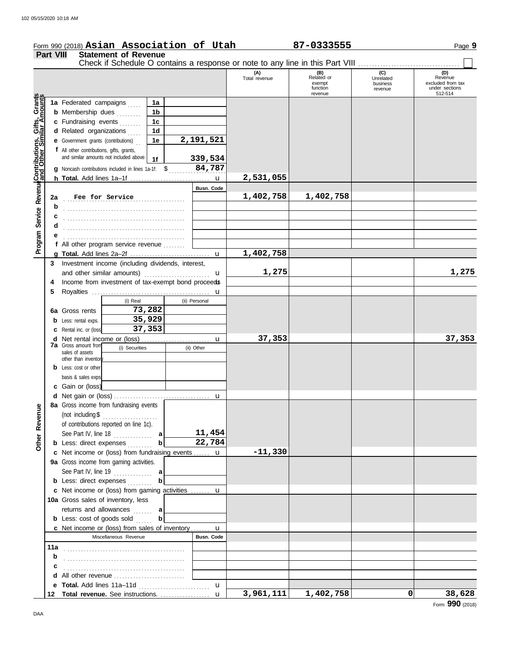|                                                             |                  | Form 990 (2018) Asian Association of Utah                                     |                |                   |                      | 87-0333555                                         |                                         | Page 9                                                           |
|-------------------------------------------------------------|------------------|-------------------------------------------------------------------------------|----------------|-------------------|----------------------|----------------------------------------------------|-----------------------------------------|------------------------------------------------------------------|
|                                                             | <b>Part VIII</b> | <b>Statement of Revenue</b>                                                   |                |                   |                      |                                                    |                                         |                                                                  |
|                                                             |                  | Check if Schedule O contains a response or note to any line in this Part VIII |                |                   |                      |                                                    |                                         |                                                                  |
|                                                             |                  |                                                                               |                |                   | (A)<br>Total revenue | (B)<br>Related or<br>exempt<br>function<br>revenue | (C)<br>Unrelated<br>business<br>revenue | (D)<br>Revenue<br>excluded from tax<br>under sections<br>512-514 |
|                                                             |                  | 1a Federated campaigns                                                        | 1a             |                   |                      |                                                    |                                         |                                                                  |
|                                                             |                  | <b>b</b> Membership dues                                                      | 1 <sub>b</sub> |                   |                      |                                                    |                                         |                                                                  |
| Program Service Revenue <b>Contributions, Gifts, Grants</b> |                  | c Fundraising events                                                          | 1 <sub>c</sub> |                   |                      |                                                    |                                         |                                                                  |
|                                                             |                  | d Related organizations                                                       | 1 <sub>d</sub> |                   |                      |                                                    |                                         |                                                                  |
|                                                             |                  | e Government grants (contributions)                                           | 1e             | 2,191,521         |                      |                                                    |                                         |                                                                  |
|                                                             |                  | f All other contributions, gifts, grants,                                     |                |                   |                      |                                                    |                                         |                                                                  |
|                                                             |                  | and similar amounts not included above                                        | 1f             | 339,534           |                      |                                                    |                                         |                                                                  |
|                                                             |                  | <b>g</b> Noncash contributions included in lines 1a-1f: $$$                   |                | 84,787            |                      |                                                    |                                         |                                                                  |
|                                                             |                  |                                                                               |                | $\mathbf u$       | 2,531,055            |                                                    |                                         |                                                                  |
|                                                             |                  |                                                                               |                | Busn. Code        |                      |                                                    |                                         |                                                                  |
|                                                             | 2a               | Fee for Service                                                               |                |                   | 1,402,758            | 1,402,758                                          |                                         |                                                                  |
|                                                             | b                |                                                                               |                |                   |                      |                                                    |                                         |                                                                  |
|                                                             |                  |                                                                               |                |                   |                      |                                                    |                                         |                                                                  |
|                                                             |                  |                                                                               |                |                   |                      |                                                    |                                         |                                                                  |
|                                                             |                  |                                                                               |                |                   |                      |                                                    |                                         |                                                                  |
|                                                             |                  | f All other program service revenue                                           |                |                   |                      |                                                    |                                         |                                                                  |
|                                                             |                  |                                                                               |                |                   | 1,402,758            |                                                    |                                         |                                                                  |
|                                                             | 3                | Investment income (including dividends, interest,                             |                |                   |                      |                                                    |                                         |                                                                  |
|                                                             |                  | and other similar amounts)                                                    |                | u                 | 1,275                |                                                    |                                         | 1,275                                                            |
|                                                             | 4                | Income from investment of tax-exempt bond proceeds                            |                |                   |                      |                                                    |                                         |                                                                  |
|                                                             | 5                |                                                                               |                | u                 |                      |                                                    |                                         |                                                                  |
|                                                             |                  | (i) Real                                                                      |                | (ii) Personal     |                      |                                                    |                                         |                                                                  |
|                                                             |                  | 6a Gross rents                                                                | 73,282         |                   |                      |                                                    |                                         |                                                                  |
|                                                             | b                | Less: rental exps.                                                            | 35,929         |                   |                      |                                                    |                                         |                                                                  |
|                                                             |                  | Rental inc. or (loss)                                                         | 37,353         |                   |                      |                                                    |                                         |                                                                  |
|                                                             | d                |                                                                               |                | u                 | 37,353               |                                                    |                                         | 37,353                                                           |
|                                                             |                  | <b>7a</b> Gross amount from<br>(i) Securities                                 |                | (ii) Other        |                      |                                                    |                                         |                                                                  |
|                                                             |                  | sales of assets<br>other than inventor                                        |                |                   |                      |                                                    |                                         |                                                                  |
|                                                             |                  | <b>b</b> Less: cost or other                                                  |                |                   |                      |                                                    |                                         |                                                                  |
|                                                             |                  | basis & sales exps.                                                           |                |                   |                      |                                                    |                                         |                                                                  |
|                                                             |                  | c Gain or (loss)                                                              |                |                   |                      |                                                    |                                         |                                                                  |
|                                                             |                  | d Net gain or (loss)                                                          |                |                   |                      |                                                    |                                         |                                                                  |
|                                                             |                  | 8a Gross income from fundraising events                                       |                |                   |                      |                                                    |                                         |                                                                  |
|                                                             |                  | (not including \$<br>.                                                        |                |                   |                      |                                                    |                                         |                                                                  |
|                                                             |                  | of contributions reported on line 1c).                                        |                |                   |                      |                                                    |                                         |                                                                  |
|                                                             |                  | See Part IV, line $18$                                                        | a              | 11,454            |                      |                                                    |                                         |                                                                  |
| Other Revenue                                               |                  | <b>b</b> Less: direct expenses                                                | b              | 22,784            |                      |                                                    |                                         |                                                                  |
|                                                             |                  | c Net income or (loss) from fundraising events  u                             |                |                   | $-11,330$            |                                                    |                                         |                                                                  |
|                                                             |                  | 9a Gross income from gaming activities.                                       |                |                   |                      |                                                    |                                         |                                                                  |
|                                                             |                  | See Part IV, line $19$                                                        | a              |                   |                      |                                                    |                                         |                                                                  |
|                                                             |                  | <b>b</b> Less: direct expenses                                                |                |                   |                      |                                                    |                                         |                                                                  |
|                                                             |                  | c Net income or (loss) from gaming activities  u                              |                |                   |                      |                                                    |                                         |                                                                  |
|                                                             |                  | 10a Gross sales of inventory, less                                            |                |                   |                      |                                                    |                                         |                                                                  |
|                                                             |                  | returns and allowances                                                        | a              |                   |                      |                                                    |                                         |                                                                  |
|                                                             |                  | <b>b</b> Less: cost of goods sold                                             |                |                   |                      |                                                    |                                         |                                                                  |
|                                                             |                  | <b>c</b> Net income or (loss) from sales of inventory                         |                | $\mathbf{u}$      |                      |                                                    |                                         |                                                                  |
|                                                             |                  | Miscellaneous Revenue                                                         |                | <b>Busn. Code</b> |                      |                                                    |                                         |                                                                  |
|                                                             |                  |                                                                               |                |                   |                      |                                                    |                                         |                                                                  |
|                                                             | b                |                                                                               |                |                   |                      |                                                    |                                         |                                                                  |
|                                                             |                  |                                                                               |                |                   |                      |                                                    |                                         |                                                                  |
|                                                             |                  |                                                                               |                |                   |                      |                                                    |                                         |                                                                  |
|                                                             |                  |                                                                               |                | $\mathbf{u}$      |                      |                                                    |                                         |                                                                  |
|                                                             | 12               |                                                                               |                |                   | 3,961,111            | 1,402,758                                          | $\Omega$                                | 38,628                                                           |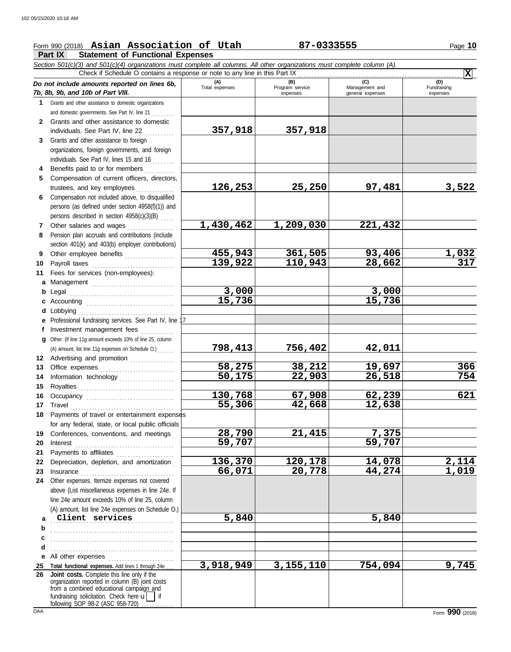## Form 990 (2018) Page **10 Asian Association of Utah 87-0333555**

**Part IX Statement of Functional Expenses**

|              | Section 501(c)(3) and 501(c)(4) organizations must complete all columns. All other organizations must complete column (A).<br>Check if Schedule O contains a response or note to any line in this Part IX                                                                         |                       |                             |                                    | $ \mathbf{x} $          |
|--------------|-----------------------------------------------------------------------------------------------------------------------------------------------------------------------------------------------------------------------------------------------------------------------------------|-----------------------|-----------------------------|------------------------------------|-------------------------|
|              | Do not include amounts reported on lines 6b,                                                                                                                                                                                                                                      | (A)<br>Total expenses | (B)                         | (C)                                | (D)                     |
|              | 7b, 8b, 9b, and 10b of Part VIII.                                                                                                                                                                                                                                                 |                       | Program service<br>expenses | Management and<br>general expenses | Fundraising<br>expenses |
| 1            | Grants and other assistance to domestic organizations                                                                                                                                                                                                                             |                       |                             |                                    |                         |
|              | and domestic governments. See Part IV, line 21                                                                                                                                                                                                                                    |                       |                             |                                    |                         |
| $\mathbf{2}$ | Grants and other assistance to domestic                                                                                                                                                                                                                                           |                       |                             |                                    |                         |
|              | individuals. See Part IV, line 22                                                                                                                                                                                                                                                 | 357,918               | 357,918                     |                                    |                         |
| 3            | Grants and other assistance to foreign                                                                                                                                                                                                                                            |                       |                             |                                    |                         |
|              | organizations, foreign governments, and foreign                                                                                                                                                                                                                                   |                       |                             |                                    |                         |
|              | individuals. See Part IV, lines 15 and 16                                                                                                                                                                                                                                         |                       |                             |                                    |                         |
| 4            | Benefits paid to or for members                                                                                                                                                                                                                                                   |                       |                             |                                    |                         |
| 5            | Compensation of current officers, directors,                                                                                                                                                                                                                                      |                       |                             |                                    |                         |
|              | trustees, and key employees                                                                                                                                                                                                                                                       | 126,253               | 25,250                      | 97,481                             | 3,522                   |
| 6            | Compensation not included above, to disqualified                                                                                                                                                                                                                                  |                       |                             |                                    |                         |
|              | persons (as defined under section 4958(f)(1)) and                                                                                                                                                                                                                                 |                       |                             |                                    |                         |
|              | persons described in section 4958(c)(3)(B)                                                                                                                                                                                                                                        |                       |                             |                                    |                         |
| 7            | Other salaries and wages                                                                                                                                                                                                                                                          | 1,430,462             | 1,209,030                   | 221, 432                           |                         |
| 8            | Pension plan accruals and contributions (include                                                                                                                                                                                                                                  |                       |                             |                                    |                         |
|              | section 401(k) and 403(b) employer contributions)                                                                                                                                                                                                                                 |                       |                             |                                    |                         |
| 9            | Other employee benefits                                                                                                                                                                                                                                                           | 455,943               | 361,505                     | 93,406                             | $\frac{1,032}{317}$     |
| 10           | Payroll taxes                                                                                                                                                                                                                                                                     | 139,922               | 110,943                     | 28,662                             |                         |
| 11           | Fees for services (non-employees):                                                                                                                                                                                                                                                |                       |                             |                                    |                         |
|              | a Management                                                                                                                                                                                                                                                                      |                       |                             |                                    |                         |
|              | <b>b</b> Legal                                                                                                                                                                                                                                                                    | 3,000                 |                             | 3,000                              |                         |
|              | c Accounting <b>contained</b>                                                                                                                                                                                                                                                     | 15,736                |                             | 15,736                             |                         |
|              | d Lobbying                                                                                                                                                                                                                                                                        |                       |                             |                                    |                         |
|              | e Professional fundraising services. See Part IV, line 1                                                                                                                                                                                                                          |                       |                             |                                    |                         |
| f            | Investment management fees                                                                                                                                                                                                                                                        |                       |                             |                                    |                         |
|              | g Other. (If line 11g amount exceeds 10% of line 25, column                                                                                                                                                                                                                       |                       |                             |                                    |                         |
|              | (A) amount, list line 11g expenses on Schedule O.)                                                                                                                                                                                                                                | 798, 413              | 756,402                     | 42,011                             |                         |
|              | 12 Advertising and promotion                                                                                                                                                                                                                                                      |                       |                             |                                    |                         |
| 13           |                                                                                                                                                                                                                                                                                   | 58,275                | 38,212                      | 19,697                             | 366                     |
| 14           | Information technology                                                                                                                                                                                                                                                            | 50,175                | 22,903                      | 26,518                             | 754                     |
| 15           |                                                                                                                                                                                                                                                                                   |                       |                             |                                    | 621                     |
| 16           |                                                                                                                                                                                                                                                                                   | 130,768<br>55,306     | 67,908<br>42,668            | 62,239<br>12,638                   |                         |
| 17           | Payments of travel or entertainment expenses                                                                                                                                                                                                                                      |                       |                             |                                    |                         |
|              | for any federal, state, or local public officials                                                                                                                                                                                                                                 |                       |                             |                                    |                         |
|              | Conferences, conventions, and meetings                                                                                                                                                                                                                                            | 28,790                | 21,415                      | 7,375                              |                         |
| 19<br>20     |                                                                                                                                                                                                                                                                                   | 59,707                |                             | 59,707                             |                         |
| 21           | $Interest$                                                                                                                                                                                                                                                                        |                       |                             |                                    |                         |
| 22           | Payments to affiliates [11] production of the symmetric state of the symmetric state of the symmetric state of the symmetric state of the symmetric state of the symmetric state of the symmetric state of the symmetric state<br>Depreciation, depletion, and amortization       | 136,370               | 120,178                     | 14,078                             |                         |
| 23           |                                                                                                                                                                                                                                                                                   | 66,071                | 20,778                      | 44,274                             | $\frac{2,114}{1,019}$   |
|              | Insurance with a construction of the construction of the construction of the construction of the construction of the construction of the construction of the construction of the construction of the construction of the const<br>24 Other expenses. Itemize expenses not covered |                       |                             |                                    |                         |
|              | above (List miscellaneous expenses in line 24e. If                                                                                                                                                                                                                                |                       |                             |                                    |                         |
|              | line 24e amount exceeds 10% of line 25, column                                                                                                                                                                                                                                    |                       |                             |                                    |                         |
|              | (A) amount, list line 24e expenses on Schedule O.)                                                                                                                                                                                                                                |                       |                             |                                    |                         |
| a            | Client services                                                                                                                                                                                                                                                                   | 5,840                 |                             | 5,840                              |                         |
| b            |                                                                                                                                                                                                                                                                                   |                       |                             |                                    |                         |
|              |                                                                                                                                                                                                                                                                                   |                       |                             |                                    |                         |
| d            |                                                                                                                                                                                                                                                                                   |                       |                             |                                    |                         |
| е            | All other expenses                                                                                                                                                                                                                                                                |                       |                             |                                    |                         |
| 25           | Total functional expenses. Add lines 1 through 24e                                                                                                                                                                                                                                | 3,918,949             | 3, 155, 110                 | 754,094                            | 9,745                   |
| 26           | Joint costs. Complete this line only if the                                                                                                                                                                                                                                       |                       |                             |                                    |                         |
|              | organization reported in column (B) joint costs<br>from a combined educational campaign and                                                                                                                                                                                       |                       |                             |                                    |                         |
|              | fundraising solicitation. Check here $\mathbf{u}$   if                                                                                                                                                                                                                            |                       |                             |                                    |                         |
|              | following SOP 98-2 (ASC 958-720)                                                                                                                                                                                                                                                  |                       |                             |                                    |                         |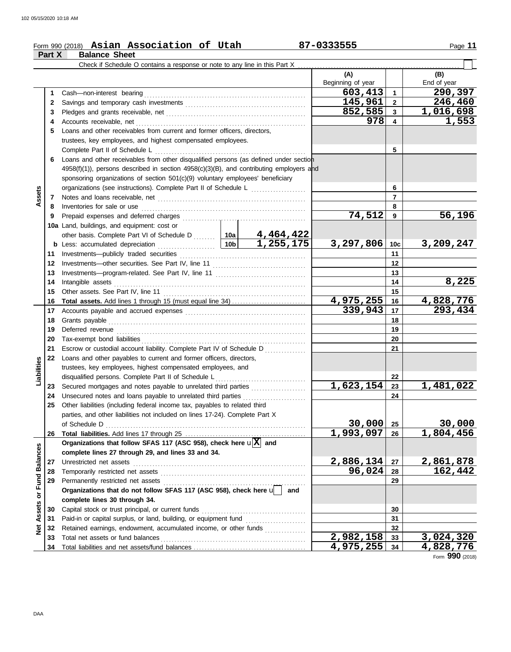### Form 990 (2018) Page **11 Asian Association of Utah 87-0333555**

|                      | Part X   | <b>Balance Sheet</b>                                                                                                                       |  |     |                          |                         |                        |
|----------------------|----------|--------------------------------------------------------------------------------------------------------------------------------------------|--|-----|--------------------------|-------------------------|------------------------|
|                      |          | Check if Schedule O contains a response or note to any line in this Part X.                                                                |  |     |                          |                         |                        |
|                      |          |                                                                                                                                            |  |     | (A)<br>Beginning of year |                         | (B)<br>End of year     |
|                      | 1        | Cash-non-interest bearing                                                                                                                  |  |     | 603, 413                 | $\overline{\mathbf{1}}$ | 290,397                |
|                      | 2        |                                                                                                                                            |  |     | 145,961                  | $\overline{\mathbf{2}}$ | 246,460                |
|                      | 3        |                                                                                                                                            |  |     | 852,585                  | $\mathbf{3}$            | 1,016,698              |
|                      | 4        |                                                                                                                                            |  |     | 978                      | 4                       | 1,553                  |
|                      | 5        | Loans and other receivables from current and former officers, directors,                                                                   |  |     |                          |                         |                        |
|                      |          | trustees, key employees, and highest compensated employees.                                                                                |  |     |                          |                         |                        |
|                      |          | Complete Part II of Schedule L                                                                                                             |  |     |                          | 5                       |                        |
|                      | 6        | Loans and other receivables from other disqualified persons (as defined under section                                                      |  |     |                          |                         |                        |
|                      |          | 4958(f)(1)), persons described in section 4958(c)(3)(B), and contributing employers and                                                    |  |     |                          |                         |                        |
|                      |          | sponsoring organizations of section 501(c)(9) voluntary employees' beneficiary                                                             |  |     |                          |                         |                        |
|                      |          | organizations (see instructions). Complete Part II of Schedule L                                                                           |  |     |                          | 6                       |                        |
| Assets               | 7        |                                                                                                                                            |  |     |                          | $\overline{7}$          |                        |
|                      | 8        | Inventories for sale or use                                                                                                                |  |     |                          | 8                       |                        |
|                      | 9        |                                                                                                                                            |  |     | 74,512                   | 9                       | 56,196                 |
|                      |          | 10a Land, buildings, and equipment: cost or                                                                                                |  |     |                          |                         |                        |
|                      |          |                                                                                                                                            |  |     |                          |                         |                        |
|                      | b        | other basis. Complete Part VI of Schedule D<br>Less: accumulated depreciation<br>10b 1, 255, 175<br>Less: accumulated depreciation         |  |     | 3,297,806                | 10c                     | 3,209,247              |
|                      | 11       | Investments-publicly traded securities                                                                                                     |  |     |                          | 11                      |                        |
|                      | 12       |                                                                                                                                            |  |     |                          | 12                      |                        |
|                      | 13       |                                                                                                                                            |  | 13  |                          |                         |                        |
|                      | 14       | Intangible assets                                                                                                                          |  |     |                          | 14                      | 8,225                  |
|                      | 15       | Other assets. See Part IV, line 11                                                                                                         |  |     |                          | 15                      |                        |
|                      | 16       | <b>Total assets.</b> Add lines 1 through 15 (must equal line 34)                                                                           |  |     | 4,975,255<br>339,943     | 16                      | 4,828,776              |
|                      | 17       |                                                                                                                                            |  |     |                          | 17                      | 293,434                |
|                      | 18       |                                                                                                                                            |  | 18  |                          |                         |                        |
|                      | 19       |                                                                                                                                            |  |     | 19                       |                         |                        |
|                      | 20       |                                                                                                                                            |  |     | 20                       |                         |                        |
|                      | 21       | Escrow or custodial account liability. Complete Part IV of Schedule D                                                                      |  |     |                          | 21                      |                        |
|                      | 22       | Loans and other payables to current and former officers, directors,                                                                        |  |     |                          |                         |                        |
|                      |          | trustees, key employees, highest compensated employees, and                                                                                |  |     |                          |                         |                        |
| Liabilities          |          | disqualified persons. Complete Part II of Schedule L                                                                                       |  |     |                          | 22                      |                        |
|                      | 23       | Secured mortgages and notes payable to unrelated third parties                                                                             |  |     | 1,623,154                | 23                      | 1,481,022              |
|                      | 24<br>25 | Unsecured notes and loans payable to unrelated third parties<br>Other liabilities (including federal income tax, payables to related third |  |     |                          | 24                      |                        |
|                      |          | parties, and other liabilities not included on lines 17-24). Complete Part X                                                               |  |     |                          |                         |                        |
|                      |          | of Schedule D                                                                                                                              |  |     | 30,000                   | 25                      | <u>30,000</u>          |
|                      | 26       |                                                                                                                                            |  |     | $\overline{1,993,097}$   | 26                      | $\overline{1,804,456}$ |
|                      |          | Organizations that follow SFAS 117 (ASC 958), check here $\mathbf{u}[\overline{\mathbf{X}}]$ and                                           |  |     |                          |                         |                        |
| <b>Fund Balances</b> |          | complete lines 27 through 29, and lines 33 and 34.                                                                                         |  |     |                          |                         |                        |
|                      | 27       | Unrestricted net assets                                                                                                                    |  |     | 2,886,134                | 27                      | 2,861,878              |
|                      | 28       | Temporarily restricted net assets                                                                                                          |  |     | 96,024                   | 28                      | 162,442                |
|                      | 29       | Permanently restricted net assets                                                                                                          |  |     |                          | 29                      |                        |
|                      |          | Organizations that do not follow SFAS 117 (ASC 958), check here u                                                                          |  | and |                          |                         |                        |
| $\overline{\sigma}$  |          | complete lines 30 through 34.                                                                                                              |  |     |                          |                         |                        |
| <b>Net Assets</b>    | 30       | Capital stock or trust principal, or current funds                                                                                         |  |     |                          | 30                      |                        |
|                      | 31       |                                                                                                                                            |  |     |                          | 31                      |                        |
|                      | 32       | Retained earnings, endowment, accumulated income, or other funds                                                                           |  |     |                          | 32                      |                        |
|                      | 33       | Total net assets or fund balances                                                                                                          |  |     | 2,982,158                | 33                      | 3,024,320              |
|                      | 34       |                                                                                                                                            |  |     | <u>4,975,255 </u>        | 34                      | <u>4,828,776</u>       |

Form **990** (2018)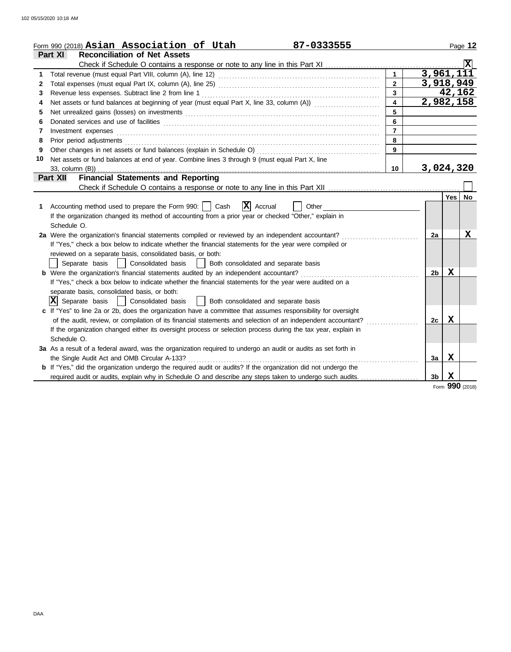|    | Form 990 (2018) Asian Association of Utah<br>87-0333555                                                                                                                                                                        |                  |                |                    | Page 12     |
|----|--------------------------------------------------------------------------------------------------------------------------------------------------------------------------------------------------------------------------------|------------------|----------------|--------------------|-------------|
|    | <b>Reconciliation of Net Assets</b><br>Part XI                                                                                                                                                                                 |                  |                |                    |             |
|    |                                                                                                                                                                                                                                |                  |                |                    | $ {\bf x} $ |
| 1  |                                                                                                                                                                                                                                | $\mathbf{1}$     | 3,961,111      |                    |             |
| 2  |                                                                                                                                                                                                                                | $\overline{2}$   | 3,918,949      |                    |             |
| 3  | Revenue less expenses. Subtract line 2 from line 1                                                                                                                                                                             | $\overline{3}$   |                | 42,162             |             |
| 4  | Net assets or fund balances at beginning of year (must equal Part X, line 33, column (A))                                                                                                                                      | $\blacktriangle$ | 2,982,158      |                    |             |
| 5  | Net unrealized gains (losses) on investments [11] matter contracts and the state of the state of the state of the state of the state of the state of the state of the state of the state of the state of the state of the stat | 5                |                |                    |             |
| 6  |                                                                                                                                                                                                                                | 6                |                |                    |             |
| 7  | Investment expenses                                                                                                                                                                                                            | $\overline{7}$   |                |                    |             |
| 8  | Prior period adjustments [11, 12] and the contract of the contract of the contract of the contract of the contract of the contract of the contract of the contract of the contract of the contract of the contract of the cont | 8                |                |                    |             |
| 9  |                                                                                                                                                                                                                                | 9                |                |                    |             |
| 10 | Net assets or fund balances at end of year. Combine lines 3 through 9 (must equal Part X, line                                                                                                                                 |                  |                |                    |             |
|    | 33, column (B))                                                                                                                                                                                                                | 10               | 3,024,320      |                    |             |
|    | <b>Financial Statements and Reporting</b><br>Part XII                                                                                                                                                                          |                  |                |                    |             |
|    |                                                                                                                                                                                                                                |                  |                |                    |             |
|    |                                                                                                                                                                                                                                |                  |                | Yes l              | No          |
| 1. | $ \mathbf{X} $ Accrual<br>Accounting method used to prepare the Form 990:     Cash<br>Other                                                                                                                                    |                  |                |                    |             |
|    | If the organization changed its method of accounting from a prior year or checked "Other," explain in                                                                                                                          |                  |                |                    |             |
|    | Schedule O.                                                                                                                                                                                                                    |                  |                |                    |             |
|    | 2a Were the organization's financial statements compiled or reviewed by an independent accountant?                                                                                                                             |                  | 2a             |                    | x           |
|    | If "Yes," check a box below to indicate whether the financial statements for the year were compiled or                                                                                                                         |                  |                |                    |             |
|    | reviewed on a separate basis, consolidated basis, or both:                                                                                                                                                                     |                  |                |                    |             |
|    | Consolidated basis<br>  Both consolidated and separate basis<br>Separate basis                                                                                                                                                 |                  |                |                    |             |
|    | <b>b</b> Were the organization's financial statements audited by an independent accountant?                                                                                                                                    |                  | 2b             | X                  |             |
|    | If "Yes," check a box below to indicate whether the financial statements for the year were audited on a                                                                                                                        |                  |                |                    |             |
|    | separate basis, consolidated basis, or both:                                                                                                                                                                                   |                  |                |                    |             |
|    | $ \mathbf{X} $ Separate basis<br>  Consolidated basis<br>  Both consolidated and separate basis                                                                                                                                |                  |                |                    |             |
|    | c If "Yes" to line 2a or 2b, does the organization have a committee that assumes responsibility for oversight                                                                                                                  |                  |                |                    |             |
|    | of the audit, review, or compilation of its financial statements and selection of an independent accountant?                                                                                                                   |                  | 2c             | $\mathbf x$        |             |
|    | If the organization changed either its oversight process or selection process during the tax year, explain in                                                                                                                  |                  |                |                    |             |
|    | Schedule O.                                                                                                                                                                                                                    |                  |                |                    |             |
|    | 3a As a result of a federal award, was the organization required to undergo an audit or audits as set forth in                                                                                                                 |                  |                |                    |             |
|    | the Single Audit Act and OMB Circular A-133?                                                                                                                                                                                   |                  | За             | X                  |             |
|    | b If "Yes," did the organization undergo the required audit or audits? If the organization did not undergo the                                                                                                                 |                  |                |                    |             |
|    | required audit or audits, explain why in Schedule O and describe any steps taken to undergo such audits.                                                                                                                       |                  | 3 <sub>b</sub> | $\mathbf x$<br>000 |             |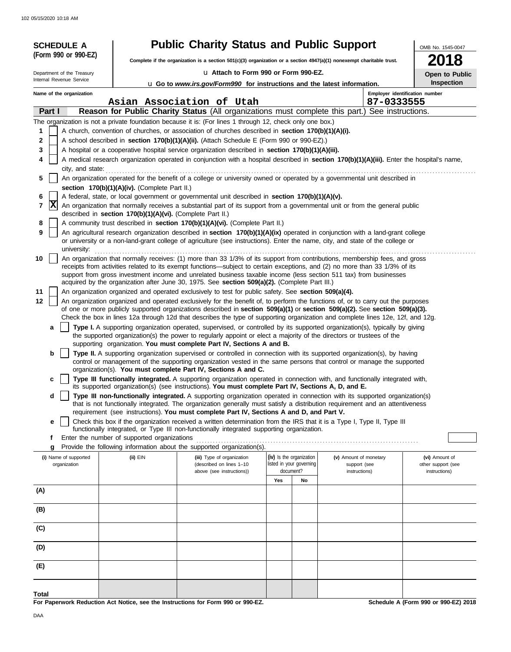|       | <b>SCHEDULE A</b>          |                                                            | <b>Public Charity Status and Public Support</b>                                                                                                                                                                                                                         |                                       |                                       |                               | OMB No. 1545-0047                    |  |
|-------|----------------------------|------------------------------------------------------------|-------------------------------------------------------------------------------------------------------------------------------------------------------------------------------------------------------------------------------------------------------------------------|---------------------------------------|---------------------------------------|-------------------------------|--------------------------------------|--|
|       | (Form 990 or 990-EZ)       |                                                            | Complete if the organization is a section 501(c)(3) organization or a section 4947(a)(1) nonexempt charitable trust.                                                                                                                                                    |                                       | 2018                                  |                               |                                      |  |
|       | Department of the Treasury |                                                            |                                                                                                                                                                                                                                                                         | La Attach to Form 990 or Form 990-EZ. |                                       |                               |                                      |  |
|       | Internal Revenue Service   |                                                            | u Go to www.irs.gov/Form990 for instructions and the latest information.                                                                                                                                                                                                | Open to Public<br><b>Inspection</b>   |                                       |                               |                                      |  |
|       | Name of the organization   |                                                            |                                                                                                                                                                                                                                                                         |                                       |                                       |                               | Employer identification number       |  |
|       | Part I                     |                                                            | Asian Association of Utah<br>Reason for Public Charity Status (All organizations must complete this part.)                                                                                                                                                              |                                       |                                       | 87-0333555                    | See instructions.                    |  |
|       |                            |                                                            | The organization is not a private foundation because it is: (For lines 1 through 12, check only one box.)                                                                                                                                                               |                                       |                                       |                               |                                      |  |
| 1     |                            |                                                            | A church, convention of churches, or association of churches described in <b>section 170(b)(1)(A)(i).</b>                                                                                                                                                               |                                       |                                       |                               |                                      |  |
| 2     |                            |                                                            | A school described in section 170(b)(1)(A)(ii). (Attach Schedule E (Form 990 or 990-EZ).)                                                                                                                                                                               |                                       |                                       |                               |                                      |  |
| 3     |                            |                                                            | A hospital or a cooperative hospital service organization described in section 170(b)(1)(A)(iii).                                                                                                                                                                       |                                       |                                       |                               |                                      |  |
| 4     |                            |                                                            | A medical research organization operated in conjunction with a hospital described in section 170(b)(1)(A)(iii). Enter the hospital's name,                                                                                                                              |                                       |                                       |                               |                                      |  |
| 5     | city, and state:           |                                                            | An organization operated for the benefit of a college or university owned or operated by a governmental unit described in                                                                                                                                               |                                       |                                       |                               |                                      |  |
|       |                            | section 170(b)(1)(A)(iv). (Complete Part II.)              |                                                                                                                                                                                                                                                                         |                                       |                                       |                               |                                      |  |
| 6     |                            |                                                            | A federal, state, or local government or governmental unit described in section 170(b)(1)(A)(v).                                                                                                                                                                        |                                       |                                       |                               |                                      |  |
| 7     | X                          | described in section 170(b)(1)(A)(vi). (Complete Part II.) | An organization that normally receives a substantial part of its support from a governmental unit or from the general public                                                                                                                                            |                                       |                                       |                               |                                      |  |
| 8     |                            |                                                            | A community trust described in section 170(b)(1)(A)(vi). (Complete Part II.)                                                                                                                                                                                            |                                       |                                       |                               |                                      |  |
| 9     |                            |                                                            | An agricultural research organization described in section 170(b)(1)(A)(ix) operated in conjunction with a land-grant college                                                                                                                                           |                                       |                                       |                               |                                      |  |
|       | university:                |                                                            | or university or a non-land-grant college of agriculture (see instructions). Enter the name, city, and state of the college or                                                                                                                                          |                                       |                                       |                               |                                      |  |
| 10    |                            |                                                            | An organization that normally receives: (1) more than 33 1/3% of its support from contributions, membership fees, and gross                                                                                                                                             |                                       |                                       |                               |                                      |  |
|       |                            |                                                            | receipts from activities related to its exempt functions—subject to certain exceptions, and (2) no more than 33 1/3% of its<br>support from gross investment income and unrelated business taxable income (less section 511 tax) from businesses                        |                                       |                                       |                               |                                      |  |
|       |                            |                                                            | acquired by the organization after June 30, 1975. See section 509(a)(2). (Complete Part III.)                                                                                                                                                                           |                                       |                                       |                               |                                      |  |
| 11    |                            |                                                            | An organization organized and operated exclusively to test for public safety. See section 509(a)(4).                                                                                                                                                                    |                                       |                                       |                               |                                      |  |
| 12    |                            |                                                            | An organization organized and operated exclusively for the benefit of, to perform the functions of, or to carry out the purposes<br>of one or more publicly supported organizations described in section $509(a)(1)$ or section $509(a)(2)$ . See section $509(a)(3)$ . |                                       |                                       |                               |                                      |  |
|       |                            |                                                            | Check the box in lines 12a through 12d that describes the type of supporting organization and complete lines 12e, 12f, and 12g.                                                                                                                                         |                                       |                                       |                               |                                      |  |
|       | a                          |                                                            | Type I. A supporting organization operated, supervised, or controlled by its supported organization(s), typically by giving                                                                                                                                             |                                       |                                       |                               |                                      |  |
|       |                            |                                                            | the supported organization(s) the power to regularly appoint or elect a majority of the directors or trustees of the<br>supporting organization. You must complete Part IV, Sections A and B.                                                                           |                                       |                                       |                               |                                      |  |
|       | b                          |                                                            | Type II. A supporting organization supervised or controlled in connection with its supported organization(s), by having                                                                                                                                                 |                                       |                                       |                               |                                      |  |
|       |                            |                                                            | control or management of the supporting organization vested in the same persons that control or manage the supported                                                                                                                                                    |                                       |                                       |                               |                                      |  |
|       |                            |                                                            | organization(s). You must complete Part IV, Sections A and C.<br>Type III functionally integrated. A supporting organization operated in connection with, and functionally integrated with,                                                                             |                                       |                                       |                               |                                      |  |
|       | c                          |                                                            | its supported organization(s) (see instructions). You must complete Part IV, Sections A, D, and E.                                                                                                                                                                      |                                       |                                       |                               |                                      |  |
|       | d                          |                                                            | Type III non-functionally integrated. A supporting organization operated in connection with its supported organization(s)                                                                                                                                               |                                       |                                       |                               |                                      |  |
|       |                            |                                                            | that is not functionally integrated. The organization generally must satisfy a distribution requirement and an attentiveness<br>requirement (see instructions). You must complete Part IV, Sections A and D, and Part V.                                                |                                       |                                       |                               |                                      |  |
|       | е                          |                                                            | Check this box if the organization received a written determination from the IRS that it is a Type I, Type II, Type III                                                                                                                                                 |                                       |                                       |                               |                                      |  |
|       |                            |                                                            | functionally integrated, or Type III non-functionally integrated supporting organization.                                                                                                                                                                               |                                       |                                       |                               |                                      |  |
|       | f<br>g                     | Enter the number of supported organizations                | Provide the following information about the supported organization(s).                                                                                                                                                                                                  |                                       |                                       |                               |                                      |  |
|       | (i) Name of supported      | (ii) EIN                                                   | (iii) Type of organization                                                                                                                                                                                                                                              |                                       | (iv) Is the organization              | (v) Amount of monetary        | (vi) Amount of                       |  |
|       | organization               |                                                            | (described on lines 1-10<br>above (see instructions))                                                                                                                                                                                                                   |                                       | listed in your governing<br>document? | support (see<br>instructions) | other support (see<br>instructions)  |  |
|       |                            |                                                            |                                                                                                                                                                                                                                                                         | Yes                                   | No                                    |                               |                                      |  |
| (A)   |                            |                                                            |                                                                                                                                                                                                                                                                         |                                       |                                       |                               |                                      |  |
|       |                            |                                                            |                                                                                                                                                                                                                                                                         |                                       |                                       |                               |                                      |  |
| (B)   |                            |                                                            |                                                                                                                                                                                                                                                                         |                                       |                                       |                               |                                      |  |
| (C)   |                            |                                                            |                                                                                                                                                                                                                                                                         |                                       |                                       |                               |                                      |  |
| (D)   |                            |                                                            |                                                                                                                                                                                                                                                                         |                                       |                                       |                               |                                      |  |
|       |                            |                                                            |                                                                                                                                                                                                                                                                         |                                       |                                       |                               |                                      |  |
| (E)   |                            |                                                            |                                                                                                                                                                                                                                                                         |                                       |                                       |                               |                                      |  |
|       |                            |                                                            |                                                                                                                                                                                                                                                                         |                                       |                                       |                               |                                      |  |
| Total |                            |                                                            | For Paperwork Reduction Act Notice, see the Instructions for Form 990 or 990-F7                                                                                                                                                                                         |                                       |                                       |                               | Schodule A (Form 990 or 990-F7) 2018 |  |

**For Paperwork Reduction Act Notice, see the Instructions for Form 990 or 990-EZ.**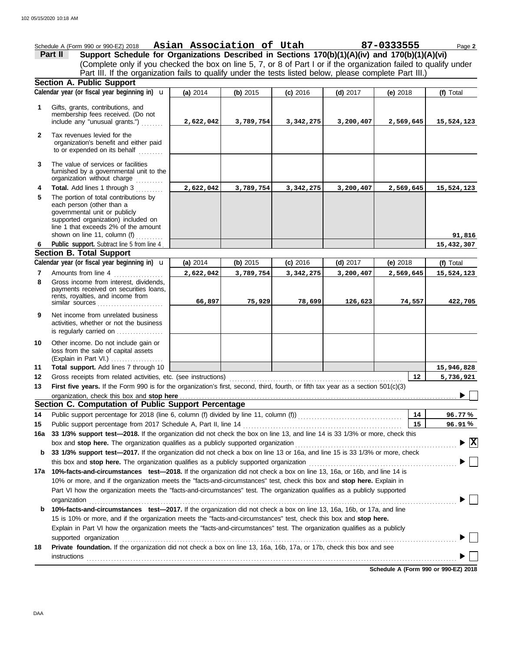(Explain in Part VI.) . . . . . . . . . . . . . . . . . . . governmental unit or publicly **Section A. Public Support Total support.** Add lines 7 through 10 loss from the sale of capital assets Other income. Do not include gain or is regularly carried on . . . . . . . . . . . . . . . activities, whether or not the business Net income from unrelated business rents, royalties, and income from payments received on securities loans, Gross income from interest, dividends, line 1 that exceeds 2% of the amount supported organization) included on each person (other than a The portion of total contributions by **Total.** Add lines 1 through 3 .......... The value of services or facilities to or expended on its behalf ......... organization's benefit and either paid Tax revenues levied for the First five years. If the Form 990 is for the organization's first, second, third, fourth, or fifth tax year as a section 501(c)(3) Gross receipts from related activities, etc. (see instructions) . . . . . . . . . . . . . . . . . . . . . . . . . . . . . . . . . . . . . . . . . . . . . . . . . . . . . . . . . . . . . . . Amounts from line 4 Public support. Subtract line 5 from line 4 include any "unusual grants.") . . . . . . . . membership fees received. (Do not Gifts, grants, contributions, and Schedule A (Form 990 or 990-EZ) 2018 Page **2 Asian Association of Utah 87-0333555 13 12 11 9 8 6 4 3 2 1 (a)** 2014 **(b)** 2015 **(c)** 2016 **(d)** 2017 **(e)** 2018 (Complete only if you checked the box on line 5, 7, or 8 of Part I or if the organization failed to qualify under **Part II Support Schedule for Organizations Described in Sections 170(b)(1)(A)(iv) and 170(b)(1)(A)(vi)** Calendar year (or fiscal year beginning in) **\u** | (a) 2014 | (b) 2015 | (c) 2016 | (d) 2017 | (e) 2018 | (f) Total furnished by a governmental unit to the organization without charge **5 Section B. Total Support 7** similar sources **10** organization, check this box and stop here **Section C. Computation of Public Support Percentage 12 14** Public support percentage for 2018 (line 6, column (f) divided by line 11, column (f)) . . . . . . . . . . . . . . . . . . . . . . . . . . . . . . . . . . . . . . Public support percentage from 2017 Schedule A, Part II, line 14 . . . . . . . . . . . . . . . . . . . . . . . . . . . . . . . . . . . . . . . . . . . . . . . . . . . . . . . . . . **15 16a 33 1/3% support test—2018.** If the organization did not check the box on line 13, and line 14 is 33 1/3% or more, check this box and stop here. The organization qualifies as a publicly supported organization ............... **b 33 1/3% support test—2017.** If the organization did not check a box on line 13 or 16a, and line 15 is 33 1/3% or more, check this box and **stop here.** The organization qualifies as a publicly supported organization . . . . . . . . . . . . . . . . . . . . . . . . . . . . . . . . . . . . . . . . . . . . . . . . . . . . . . **17a 10%-facts-and-circumstances test—2018.** If the organization did not check a box on line 13, 16a, or 16b, and line 14 is 10% or more, and if the organization meets the "facts-and-circumstances" test, check this box and **stop here.** Explain in Part VI how the organization meets the "facts-and-circumstances" test. The organization qualifies as a publicly supported **b 10%-facts-and-circumstances test—2017.** If the organization did not check a box on line 13, 16a, 16b, or 17a, and line Explain in Part VI how the organization meets the "facts-and-circumstances" test. The organization qualifies as a publicly 15 is 10% or more, and if the organization meets the "facts-and-circumstances" test, check this box and **stop here. 18 Private foundation.** If the organization did not check a box on line 13, 16a, 16b, 17a, or 17b, check this box and see **14 15 % 96.77 % 96.91** Calendar year (or fiscal year beginning in)  $\mathbf{u}$  (a) 2014 (b) 2015 (c) 2016 (d) 2017 (e) 2018 (f) Total Part III. If the organization fails to qualify under the tests listed below, please complete Part III.) **(a)** 2014 shown on line 11, column (f)  $\ldots$ organization content to the content of the content of the content of the content of the content of the content of the content of the content of the content of the content of the content of the content of the content of the supported organization . . . . . . . . . . . . . . . . . . . . . . . . . . . . . . . . . . . . . . . . . . . . . . . . . . . . . . . . . . . . . . . . . . . . . . . . . . . . . . . . . . . . . . . . . . . . . . . . . . . . . . . . . . . . . . . . . . . . . . . . . . instructions . . . . . . . . . . . . . . . . . . . . . . . . . . . . . . . . . . . . . . . . . . . . . . . . . . . . . . . . . . . . . . . . . . . . . . . . . . . . . . . . . . . . . . . . . . . . . . . . . . . . . . . . . . . . . . . . . . . . . . . . . . . . . . . . . . . . . . . u **(b)** 2015 **(c)** 2016 **(d)** 2017 **(e)** 2018 **2,622,042 3,789,754 3,342,275 3,200,407 2,569,645 15,524,123 2,622,042 3,789,754 3,342,275 3,200,407 2,569,645 15,524,123 91,816 15,432,307 2,622,042 3,789,754 3,342,275 3,200,407 2,569,645 15,524,123 66,897 75,929 78,699 126,623 74,557 422,705 15,946,828 5,736,921 X**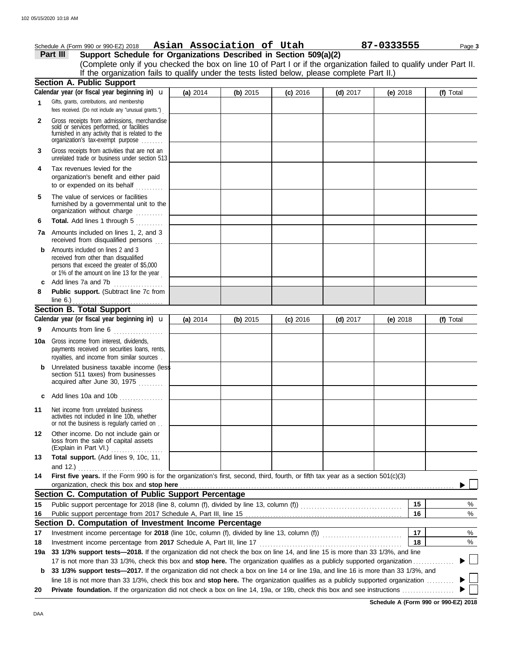|          | Schedule A (Form 990 or 990-EZ) 2018                              | Asian Association of Utah |  | 87-0333555 | Page 3 |
|----------|-------------------------------------------------------------------|---------------------------|--|------------|--------|
| Part III | Support Schedule for Organizations Described in Section 509(a)(2) |                           |  |            |        |

(Complete only if you checked the box on line 10 of Part I or if the organization failed to qualify under Part II. If the organization fails to qualify under the tests listed below, please complete Part II.)

|     | <b>Section A. Public Support</b>                                                                                                                                                  |          |          |            |            |            |    |           |
|-----|-----------------------------------------------------------------------------------------------------------------------------------------------------------------------------------|----------|----------|------------|------------|------------|----|-----------|
|     | Calendar year (or fiscal year beginning in) <b>u</b>                                                                                                                              | (a) 2014 | (b) 2015 | $(c)$ 2016 | $(d)$ 2017 | (e) $2018$ |    | (f) Total |
| 1   | Gifts, grants, contributions, and membership<br>fees received. (Do not include any "unusual grants.")                                                                             |          |          |            |            |            |    |           |
| 2   | Gross receipts from admissions, merchandise<br>sold or services performed, or facilities<br>furnished in any activity that is related to the<br>organization's fax-exempt purpose |          |          |            |            |            |    |           |
| 3   | Gross receipts from activities that are not an<br>unrelated trade or business under section 513                                                                                   |          |          |            |            |            |    |           |
| 4   | Tax revenues levied for the<br>organization's benefit and either paid<br>to or expended on its behalf                                                                             |          |          |            |            |            |    |           |
| 5   | The value of services or facilities<br>furnished by a governmental unit to the<br>organization without charge                                                                     |          |          |            |            |            |    |           |
| 6   | Total. Add lines 1 through 5                                                                                                                                                      |          |          |            |            |            |    |           |
| 7a  | Amounts included on lines 1, 2, and 3<br>received from disqualified persons                                                                                                       |          |          |            |            |            |    |           |
| b   | Amounts included on lines 2 and 3<br>received from other than disqualified<br>persons that exceed the greater of \$5,000<br>or 1% of the amount on line 13 for the year           |          |          |            |            |            |    |           |
| c   | Add lines 7a and 7b<br>.                                                                                                                                                          |          |          |            |            |            |    |           |
| 8   | Public support. (Subtract line 7c from                                                                                                                                            |          |          |            |            |            |    |           |
|     | line $6$ .)<br><b>Section B. Total Support</b>                                                                                                                                    |          |          |            |            |            |    |           |
|     | Calendar year (or fiscal year beginning in) $\mathbf u$                                                                                                                           | (a) 2014 | (b) 2015 | $(c)$ 2016 | $(d)$ 2017 | (e) $2018$ |    | (f) Total |
| 9   | Amounts from line 6                                                                                                                                                               |          |          |            |            |            |    |           |
|     |                                                                                                                                                                                   |          |          |            |            |            |    |           |
| 10a | Gross income from interest, dividends,<br>payments received on securities loans, rents,<br>royalties, and income from similar sources.                                            |          |          |            |            |            |    |           |
| b   | Unrelated business taxable income (less<br>section 511 taxes) from businesses<br>acquired after June 30, 1975                                                                     |          |          |            |            |            |    |           |
| c   | Add lines 10a and 10b                                                                                                                                                             |          |          |            |            |            |    |           |
| 11  | Net income from unrelated business<br>activities not included in line 10b, whether<br>or not the business is regularly carried on                                                 |          |          |            |            |            |    |           |
| 12  | Other income. Do not include gain or<br>loss from the sale of capital assets<br>(Explain in Part VI.)                                                                             |          |          |            |            |            |    |           |
| 13  | Total support. (Add lines 9, 10c, 11,                                                                                                                                             |          |          |            |            |            |    |           |
|     | and 12.)                                                                                                                                                                          |          |          |            |            |            |    |           |
| 14  | First five years. If the Form 990 is for the organization's first, second, third, fourth, or fifth tax year as a section 501(c)(3)<br>organization, check this box and stop here  |          |          |            |            |            |    |           |
|     | Section C. Computation of Public Support Percentage                                                                                                                               |          |          |            |            |            |    |           |
| 15  |                                                                                                                                                                                   |          |          |            |            |            | 15 | %         |
| 16  |                                                                                                                                                                                   |          |          |            |            |            | 16 | $\%$      |
|     | Section D. Computation of Investment Income Percentage                                                                                                                            |          |          |            |            |            |    |           |
| 17  |                                                                                                                                                                                   |          |          |            |            |            | 17 | $\%$      |
| 18  | Investment income percentage from 2017 Schedule A, Part III, line 17                                                                                                              |          |          |            |            |            | 18 | %         |
| 19a | 33 1/3% support tests-2018. If the organization did not check the box on line 14, and line 15 is more than 33 1/3%, and line                                                      |          |          |            |            |            |    |           |
|     | 17 is not more than 33 1/3%, check this box and stop here. The organization qualifies as a publicly supported organization                                                        |          |          |            |            |            |    |           |
| b   | 33 1/3% support tests-2017. If the organization did not check a box on line 14 or line 19a, and line 16 is more than 33 1/3%, and                                                 |          |          |            |            |            |    |           |
|     | line 18 is not more than 33 1/3%, check this box and stop here. The organization qualifies as a publicly supported organization                                                   |          |          |            |            |            |    |           |
| 20  |                                                                                                                                                                                   |          |          |            |            |            |    |           |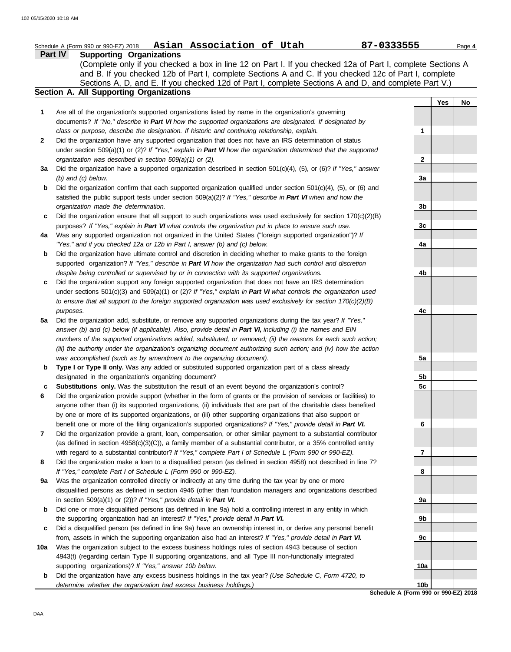### **Part IV Supporting Organizations** Sections A, D, and E. If you checked 12d of Part I, complete Sections A and D, and complete Part V.) Schedule A (Form 990 or 990-EZ) 2018 Page **4 Asian Association of Utah 87-0333555 Section A. All Supporting Organizations** (Complete only if you checked a box in line 12 on Part I. If you checked 12a of Part I, complete Sections A and B. If you checked 12b of Part I, complete Sections A and C. If you checked 12c of Part I, complete Are all of the organization's supported organizations listed by name in the organization's governing documents? *If "No," describe in Part VI how the supported organizations are designated. If designated by class or purpose, describe the designation. If historic and continuing relationship, explain.* Did the organization have any supported organization that does not have an IRS determination of status under section 509(a)(1) or (2)? *If "Yes," explain in Part VI how the organization determined that the supported organization was described in section 509(a)(1) or (2).* **1 2 3a** Did the organization have a supported organization described in section 501(c)(4), (5), or (6)? *If "Yes," answer* **b** Did the organization confirm that each supported organization qualified under section 501(c)(4), (5), or (6) and **c** Did the organization ensure that all support to such organizations was used exclusively for section 170(c)(2)(B) **4a b** Did the organization have ultimate control and discretion in deciding whether to make grants to the foreign **c** Did the organization support any foreign supported organization that does not have an IRS determination **5a** Did the organization add, substitute, or remove any supported organizations during the tax year? *If "Yes,"* **b** Type I or Type II only. Was any added or substituted supported organization part of a class already **c Substitutions only.** Was the substitution the result of an event beyond the organization's control? **6 7 8 9a** Was the organization controlled directly or indirectly at any time during the tax year by one or more **b** Did one or more disqualified persons (as defined in line 9a) hold a controlling interest in any entity in which **c** Did a disqualified person (as defined in line 9a) have an ownership interest in, or derive any personal benefit **10a** *(b) and (c) below.* satisfied the public support tests under section 509(a)(2)? *If "Yes," describe in Part VI when and how the organization made the determination.* purposes? *If "Yes," explain in Part VI what controls the organization put in place to ensure such use.* Was any supported organization not organized in the United States ("foreign supported organization")? *If "Yes," and if you checked 12a or 12b in Part I, answer (b) and (c) below.* supported organization? *If "Yes," describe in Part VI how the organization had such control and discretion despite being controlled or supervised by or in connection with its supported organizations.* under sections 501(c)(3) and 509(a)(1) or (2)? *If "Yes," explain in Part VI what controls the organization used to ensure that all support to the foreign supported organization was used exclusively for section 170(c)(2)(B) purposes.* answer (b) and (c) below (if applicable). Also, provide detail in Part VI, including (i) the names and EIN *numbers of the supported organizations added, substituted, or removed; (ii) the reasons for each such action; (iii) the authority under the organization's organizing document authorizing such action; and (iv) how the action was accomplished (such as by amendment to the organizing document).* designated in the organization's organizing document? Did the organization provide support (whether in the form of grants or the provision of services or facilities) to anyone other than (i) its supported organizations, (ii) individuals that are part of the charitable class benefited by one or more of its supported organizations, or (iii) other supporting organizations that also support or benefit one or more of the filing organization's supported organizations? *If "Yes," provide detail in Part VI.* Did the organization provide a grant, loan, compensation, or other similar payment to a substantial contributor (as defined in section 4958(c)(3)(C)), a family member of a substantial contributor, or a 35% controlled entity with regard to a substantial contributor? *If "Yes," complete Part I of Schedule L (Form 990 or 990-EZ).* Did the organization make a loan to a disqualified person (as defined in section 4958) not described in line 7? *If "Yes," complete Part I of Schedule L (Form 990 or 990-EZ).* disqualified persons as defined in section 4946 (other than foundation managers and organizations described in section 509(a)(1) or (2))? *If "Yes," provide detail in Part VI.* the supporting organization had an interest? *If "Yes," provide detail in Part VI.* from, assets in which the supporting organization also had an interest? *If "Yes," provide detail in Part VI.* Was the organization subject to the excess business holdings rules of section 4943 because of section 4943(f) (regarding certain Type II supporting organizations, and all Type III non-functionally integrated supporting organizations)? *If "Yes," answer 10b below.* **Yes No 1 2 3a 3b 3c 4a 4b 4c 5a 5b 5c 6 7 8 9a 9b 9c 10a**

**b** Did the organization have any excess business holdings in the tax year? *(Use Schedule C, Form 4720, to determine whether the organization had excess business holdings.)*

**Schedule A (Form 990 or 990-EZ) 2018 10b**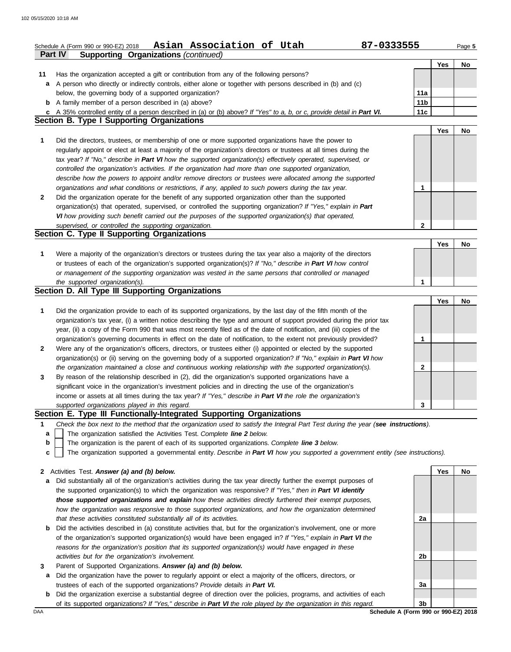|              | Asian Association of Utah<br>Schedule A (Form 990 or 990-EZ) 2018                                                                                                                       | 87-0333555             |            | Page 5 |
|--------------|-----------------------------------------------------------------------------------------------------------------------------------------------------------------------------------------|------------------------|------------|--------|
|              | <b>Supporting Organizations (continued)</b><br>Part IV                                                                                                                                  |                        |            |        |
|              |                                                                                                                                                                                         |                        | Yes        | No     |
| 11           | Has the organization accepted a gift or contribution from any of the following persons?                                                                                                 |                        |            |        |
| a            | A person who directly or indirectly controls, either alone or together with persons described in (b) and (c)                                                                            |                        |            |        |
|              | below, the governing body of a supported organization?                                                                                                                                  | 11a                    |            |        |
|              | <b>b</b> A family member of a person described in (a) above?<br>c A 35% controlled entity of a person described in (a) or (b) above? If "Yes" to a, b, or c, provide detail in Part VI. | 11 <sub>b</sub><br>11c |            |        |
|              | Section B. Type I Supporting Organizations                                                                                                                                              |                        |            |        |
|              |                                                                                                                                                                                         |                        | <b>Yes</b> | No     |
| 1            | Did the directors, trustees, or membership of one or more supported organizations have the power to                                                                                     |                        |            |        |
|              | regularly appoint or elect at least a majority of the organization's directors or trustees at all times during the                                                                      |                        |            |        |
|              | tax year? If "No," describe in Part VI how the supported organization(s) effectively operated, supervised, or                                                                           |                        |            |        |
|              | controlled the organization's activities. If the organization had more than one supported organization,                                                                                 |                        |            |        |
|              | describe how the powers to appoint and/or remove directors or trustees were allocated among the supported                                                                               |                        |            |        |
|              | organizations and what conditions or restrictions, if any, applied to such powers during the tax year.                                                                                  | 1                      |            |        |
| 2            | Did the organization operate for the benefit of any supported organization other than the supported                                                                                     |                        |            |        |
|              | organization(s) that operated, supervised, or controlled the supporting organization? If "Yes," explain in Part                                                                         |                        |            |        |
|              | VI how providing such benefit carried out the purposes of the supported organization(s) that operated,                                                                                  |                        |            |        |
|              | supervised, or controlled the supporting organization.                                                                                                                                  | $\mathbf{2}$           |            |        |
|              | Section C. Type II Supporting Organizations                                                                                                                                             |                        |            |        |
|              |                                                                                                                                                                                         |                        | Yes        | No     |
| 1            | Were a majority of the organization's directors or trustees during the tax year also a majority of the directors                                                                        |                        |            |        |
|              | or trustees of each of the organization's supported organization(s)? If "No," describe in Part VI how control                                                                           |                        |            |        |
|              | or management of the supporting organization was vested in the same persons that controlled or managed                                                                                  |                        |            |        |
|              | the supported organization(s).                                                                                                                                                          | 1                      |            |        |
|              | Section D. All Type III Supporting Organizations                                                                                                                                        |                        |            |        |
|              |                                                                                                                                                                                         |                        | Yes        | No     |
| 1            | Did the organization provide to each of its supported organizations, by the last day of the fifth month of the                                                                          |                        |            |        |
|              | organization's tax year, (i) a written notice describing the type and amount of support provided during the prior tax                                                                   |                        |            |        |
|              | year, (ii) a copy of the Form 990 that was most recently filed as of the date of notification, and (iii) copies of the                                                                  |                        |            |        |
|              | organization's governing documents in effect on the date of notification, to the extent not previously provided?                                                                        | 1                      |            |        |
| 2            | Were any of the organization's officers, directors, or trustees either (i) appointed or elected by the supported                                                                        |                        |            |        |
|              | organization(s) or (ii) serving on the governing body of a supported organization? If "No," explain in Part VI how                                                                      |                        |            |        |
|              | the organization maintained a close and continuous working relationship with the supported organization(s).                                                                             | 2                      |            |        |
| 3            | By reason of the relationship described in (2), did the organization's supported organizations have a                                                                                   |                        |            |        |
|              | significant voice in the organization's investment policies and in directing the use of the organization's                                                                              |                        |            |        |
|              | income or assets at all times during the tax year? If "Yes," describe in Part VI the role the organization's                                                                            |                        |            |        |
|              | supported organizations played in this regard.                                                                                                                                          | 3                      |            |        |
|              | Section E. Type III Functionally-Integrated Supporting Organizations                                                                                                                    |                        |            |        |
| 1            | Check the box next to the method that the organization used to satisfy the Integral Part Test during the year (see instructions).                                                       |                        |            |        |
| a            | The organization satisfied the Activities Test. Complete line 2 below.                                                                                                                  |                        |            |        |
| b            | The organization is the parent of each of its supported organizations. Complete line 3 below.                                                                                           |                        |            |        |
| c            | The organization supported a governmental entity. Describe in Part VI how you supported a government entity (see instructions).                                                         |                        |            |        |
| $\mathbf{2}$ | Activities Test. Answer (a) and (b) below.                                                                                                                                              |                        | Yes        | No     |
| a            | Did substantially all of the organization's activities during the tax year directly further the exempt purposes of                                                                      |                        |            |        |
|              | the supported organization(s) to which the organization was responsive? If "Yes," then in Part VI identify                                                                              |                        |            |        |
|              | those supported organizations and explain how these activities directly furthered their exempt purposes,                                                                                |                        |            |        |
|              | how the organization was responsive to those supported organizations, and how the organization determined                                                                               |                        |            |        |
|              | that these activities constituted substantially all of its activities.                                                                                                                  | 2a                     |            |        |
| b            | Did the activities described in (a) constitute activities that, but for the organization's involvement, one or more                                                                     |                        |            |        |
|              | of the organization's supported organization(s) would have been engaged in? If "Yes," explain in Part VI the                                                                            |                        |            |        |
|              | reasons for the organization's position that its supported organization(s) would have engaged in these                                                                                  |                        |            |        |

**3** *activities but for the organization's involvement.* Parent of Supported Organizations. *Answer (a) and (b) below.*

**a** Did the organization have the power to regularly appoint or elect a majority of the officers, directors, or trustees of each of the supported organizations? *Provide details in Part VI.*

**b** Did the organization exercise a substantial degree of direction over the policies, programs, and activities of each of its supported organizations? *If "Yes," describe in Part VI the role played by the organization in this regard.*

DAA **SChedule A (Form 990 or 990-EZ) 2018 3b**

**3a**

**2b**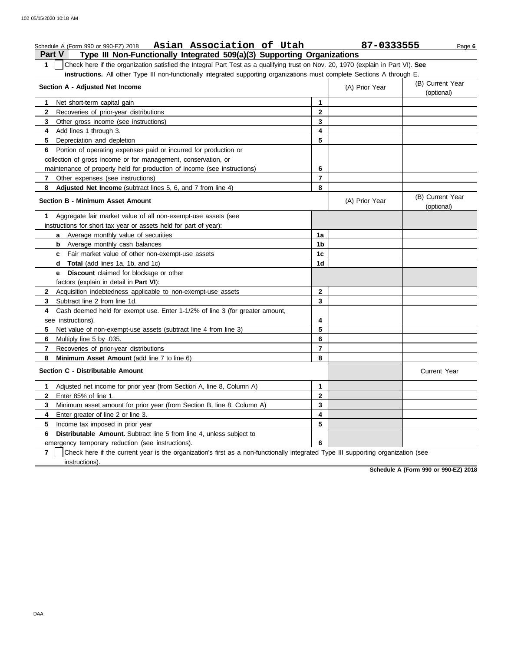### **Part V Type III Non-Functionally Integrated 509(a)(3) Supporting Organizations** Schedule A (Form 990 or 990-EZ) 2018 Page **6 Asian Association of Utah 87-0333555 1** Check here if the organization satisfied the Integral Part Test as a qualifying trust on Nov. 20, 1970 (explain in Part VI). **See instructions.** All other Type III non-functionally integrated supporting organizations must complete Sections A through E. **1** Net short-term capital gain **2** Recoveries of prior-year distributions **3 4** Add lines 1 through 3. **5** Depreciation and depletion **6** Portion of operating expenses paid or incurred for production or **7** Other expenses (see instructions) **8 Adjusted Net Income** (subtract lines 5, 6, and 7 from line 4) **1** Aggregate fair market value of all non-exempt-use assets (see **Section A - Adjusted Net Income** Other gross income (see instructions) collection of gross income or for management, conservation, or maintenance of property held for production of income (see instructions) **Section B - Minimum Asset Amount** instructions for short tax year or assets held for part of year): **a** Average monthly value of securities **b** Average monthly cash balances **c** Fair market value of other non-exempt-use assets **d Total** (add lines 1a, 1b, and 1c) **e Discount** claimed for blockage or other factors (explain in detail in **Part VI**): **5** Net value of non-exempt-use assets (subtract line 4 from line 3) **4** Cash deemed held for exempt use. Enter 1-1/2% of line 3 (for greater amount, **3** Subtract line 2 from line 1d. **2** Acquisition indebtedness applicable to non-exempt-use assets see instructions). **8 7 6 5 4 3 2 1** (A) Prior Year (B) Current Year (optional) (optional) (B) Current Year (A) Prior Year **1a 1b 1c 1d 2 3 4 5**

**7 6 Distributable Amount.** Subtract line 5 from line 4, unless subject to **5** Income tax imposed in prior year **4** Enter greater of line 2 or line 3. **3 2** Enter 85% of line 1. **1** Adjusted net income for prior year (from Section A, line 8, Column A) Minimum asset amount for prior year (from Section B, line 8, Column A) emergency temporary reduction (see instructions). instructions). Check here if the current year is the organization's first as a non-functionally integrated Type III supporting organization (see **3 2 1 6 5 4**

**6 7 8**

**Schedule A (Form 990 or 990-EZ) 2018**

Current Year

**7**

**6** Multiply line 5 by .035.

**Section C - Distributable Amount**

**8 Minimum Asset Amount** (add line 7 to line 6)

Recoveries of prior-year distributions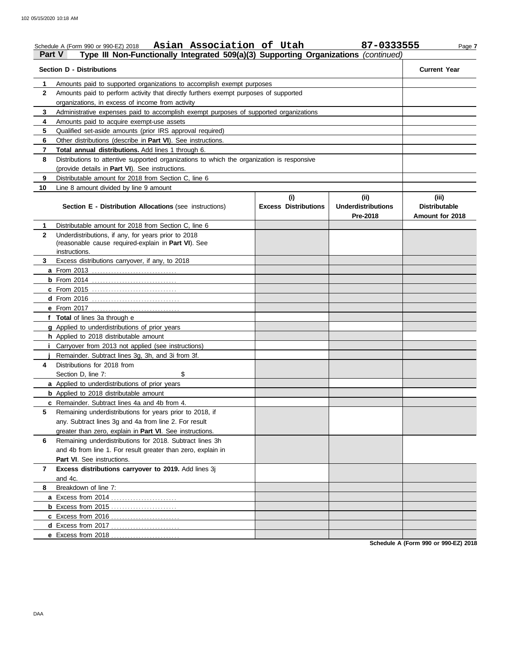organizations, in excess of income from activity

## Schedule A (Form 990 or 990-EZ) 2018 Page **7 Asian Association of Utah 87-0333555 Part V Type III Non-Functionally Integrated 509(a)(3) Supporting Organizations** *(continued)* **Section D - Distributions Current Year 1** Amounts paid to supported organizations to accomplish exempt purposes **2** Amounts paid to perform activity that directly furthers exempt purposes of supported

| 3            | Administrative expenses paid to accomplish exempt purposes of supported organizations                                       |                                    |                                               |                                                  |
|--------------|-----------------------------------------------------------------------------------------------------------------------------|------------------------------------|-----------------------------------------------|--------------------------------------------------|
| 4            | Amounts paid to acquire exempt-use assets                                                                                   |                                    |                                               |                                                  |
| 5            | Qualified set-aside amounts (prior IRS approval required)                                                                   |                                    |                                               |                                                  |
| 6            | Other distributions (describe in <b>Part VI</b> ). See instructions.                                                        |                                    |                                               |                                                  |
| 7            | Total annual distributions. Add lines 1 through 6.                                                                          |                                    |                                               |                                                  |
| 8            | Distributions to attentive supported organizations to which the organization is responsive                                  |                                    |                                               |                                                  |
|              | (provide details in Part VI). See instructions.                                                                             |                                    |                                               |                                                  |
| 9            | Distributable amount for 2018 from Section C, line 6                                                                        |                                    |                                               |                                                  |
| 10           | Line 8 amount divided by line 9 amount                                                                                      |                                    |                                               |                                                  |
|              | <b>Section E - Distribution Allocations (see instructions)</b>                                                              | (i)<br><b>Excess Distributions</b> | (ii)<br><b>Underdistributions</b><br>Pre-2018 | (iii)<br><b>Distributable</b><br>Amount for 2018 |
| 1.           | Distributable amount for 2018 from Section C, line 6                                                                        |                                    |                                               |                                                  |
| $\mathbf{2}$ | Underdistributions, if any, for years prior to 2018<br>(reasonable cause required-explain in Part VI). See<br>instructions. |                                    |                                               |                                                  |
| 3.           | Excess distributions carryover, if any, to 2018                                                                             |                                    |                                               |                                                  |
|              |                                                                                                                             |                                    |                                               |                                                  |
|              |                                                                                                                             |                                    |                                               |                                                  |
|              | <b>c</b> From 2015                                                                                                          |                                    |                                               |                                                  |
|              |                                                                                                                             |                                    |                                               |                                                  |
|              |                                                                                                                             |                                    |                                               |                                                  |
|              | f Total of lines 3a through e                                                                                               |                                    |                                               |                                                  |
|              | g Applied to underdistributions of prior years<br>h Applied to 2018 distributable amount                                    |                                    |                                               |                                                  |
| i.           | Carryover from 2013 not applied (see instructions)                                                                          |                                    |                                               |                                                  |
|              | Remainder. Subtract lines 3g, 3h, and 3i from 3f.                                                                           |                                    |                                               |                                                  |
| 4            | Distributions for 2018 from                                                                                                 |                                    |                                               |                                                  |
|              | Section D, line 7:<br>\$                                                                                                    |                                    |                                               |                                                  |
|              | a Applied to underdistributions of prior years                                                                              |                                    |                                               |                                                  |
|              | <b>b</b> Applied to 2018 distributable amount                                                                               |                                    |                                               |                                                  |
|              | c Remainder. Subtract lines 4a and 4b from 4.                                                                               |                                    |                                               |                                                  |
| 5            | Remaining underdistributions for years prior to 2018, if                                                                    |                                    |                                               |                                                  |
|              | any. Subtract lines 3g and 4a from line 2. For result                                                                       |                                    |                                               |                                                  |
|              | greater than zero, explain in Part VI. See instructions.                                                                    |                                    |                                               |                                                  |
| 6            | Remaining underdistributions for 2018. Subtract lines 3h                                                                    |                                    |                                               |                                                  |
|              | and 4b from line 1. For result greater than zero, explain in                                                                |                                    |                                               |                                                  |
|              | <b>Part VI.</b> See instructions.                                                                                           |                                    |                                               |                                                  |
| 7            | Excess distributions carryover to 2019. Add lines 3j                                                                        |                                    |                                               |                                                  |
|              | and 4c.                                                                                                                     |                                    |                                               |                                                  |
| 8            | Breakdown of line 7:                                                                                                        |                                    |                                               |                                                  |
|              | a Excess from 2014                                                                                                          |                                    |                                               |                                                  |
|              | <b>b</b> Excess from 2015                                                                                                   |                                    |                                               |                                                  |
|              |                                                                                                                             |                                    |                                               |                                                  |
|              |                                                                                                                             |                                    |                                               |                                                  |
|              |                                                                                                                             |                                    |                                               | Schodule A (Form 990 or 990-F7) 2018             |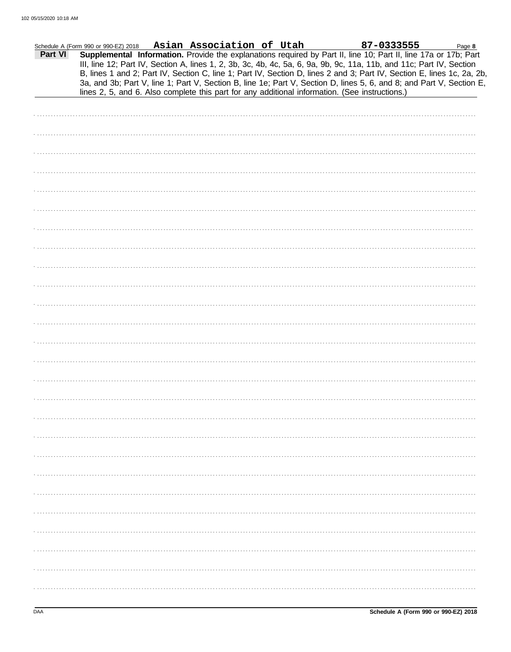|         | Schedule A (Form 990 or 990-EZ) 2018 Asian Association of Utah                                                                                                                                                                                                                                                                                                                                                                                                                                                                                                                              |  |  | 87-0333555 | Page 8 |
|---------|---------------------------------------------------------------------------------------------------------------------------------------------------------------------------------------------------------------------------------------------------------------------------------------------------------------------------------------------------------------------------------------------------------------------------------------------------------------------------------------------------------------------------------------------------------------------------------------------|--|--|------------|--------|
| Part VI | Supplemental Information. Provide the explanations required by Part II, line 10; Part II, line 17a or 17b; Part<br>III, line 12; Part IV, Section A, lines 1, 2, 3b, 3c, 4b, 4c, 5a, 6, 9a, 9b, 9c, 11a, 11b, and 11c; Part IV, Section<br>B, lines 1 and 2; Part IV, Section C, line 1; Part IV, Section D, lines 2 and 3; Part IV, Section E, lines 1c, 2a, 2b,<br>3a, and 3b; Part V, line 1; Part V, Section B, line 1e; Part V, Section D, lines 5, 6, and 8; and Part V, Section E,<br>lines 2, 5, and 6. Also complete this part for any additional information. (See instructions.) |  |  |            |        |
|         |                                                                                                                                                                                                                                                                                                                                                                                                                                                                                                                                                                                             |  |  |            |        |
|         |                                                                                                                                                                                                                                                                                                                                                                                                                                                                                                                                                                                             |  |  |            |        |
|         |                                                                                                                                                                                                                                                                                                                                                                                                                                                                                                                                                                                             |  |  |            |        |
|         |                                                                                                                                                                                                                                                                                                                                                                                                                                                                                                                                                                                             |  |  |            |        |
|         |                                                                                                                                                                                                                                                                                                                                                                                                                                                                                                                                                                                             |  |  |            |        |
|         |                                                                                                                                                                                                                                                                                                                                                                                                                                                                                                                                                                                             |  |  |            |        |
|         |                                                                                                                                                                                                                                                                                                                                                                                                                                                                                                                                                                                             |  |  |            |        |
|         |                                                                                                                                                                                                                                                                                                                                                                                                                                                                                                                                                                                             |  |  |            |        |
|         |                                                                                                                                                                                                                                                                                                                                                                                                                                                                                                                                                                                             |  |  |            |        |
|         |                                                                                                                                                                                                                                                                                                                                                                                                                                                                                                                                                                                             |  |  |            |        |
|         |                                                                                                                                                                                                                                                                                                                                                                                                                                                                                                                                                                                             |  |  |            |        |
|         |                                                                                                                                                                                                                                                                                                                                                                                                                                                                                                                                                                                             |  |  |            |        |
|         |                                                                                                                                                                                                                                                                                                                                                                                                                                                                                                                                                                                             |  |  |            |        |
|         |                                                                                                                                                                                                                                                                                                                                                                                                                                                                                                                                                                                             |  |  |            |        |
|         |                                                                                                                                                                                                                                                                                                                                                                                                                                                                                                                                                                                             |  |  |            |        |
|         |                                                                                                                                                                                                                                                                                                                                                                                                                                                                                                                                                                                             |  |  |            |        |
|         |                                                                                                                                                                                                                                                                                                                                                                                                                                                                                                                                                                                             |  |  |            |        |
|         |                                                                                                                                                                                                                                                                                                                                                                                                                                                                                                                                                                                             |  |  |            |        |
|         |                                                                                                                                                                                                                                                                                                                                                                                                                                                                                                                                                                                             |  |  |            |        |
|         |                                                                                                                                                                                                                                                                                                                                                                                                                                                                                                                                                                                             |  |  |            |        |
|         |                                                                                                                                                                                                                                                                                                                                                                                                                                                                                                                                                                                             |  |  |            |        |
|         |                                                                                                                                                                                                                                                                                                                                                                                                                                                                                                                                                                                             |  |  |            |        |
|         |                                                                                                                                                                                                                                                                                                                                                                                                                                                                                                                                                                                             |  |  |            |        |
|         |                                                                                                                                                                                                                                                                                                                                                                                                                                                                                                                                                                                             |  |  |            |        |
|         |                                                                                                                                                                                                                                                                                                                                                                                                                                                                                                                                                                                             |  |  |            |        |
|         |                                                                                                                                                                                                                                                                                                                                                                                                                                                                                                                                                                                             |  |  |            |        |
|         |                                                                                                                                                                                                                                                                                                                                                                                                                                                                                                                                                                                             |  |  |            |        |
|         |                                                                                                                                                                                                                                                                                                                                                                                                                                                                                                                                                                                             |  |  |            |        |
|         |                                                                                                                                                                                                                                                                                                                                                                                                                                                                                                                                                                                             |  |  |            |        |
|         |                                                                                                                                                                                                                                                                                                                                                                                                                                                                                                                                                                                             |  |  |            |        |
|         |                                                                                                                                                                                                                                                                                                                                                                                                                                                                                                                                                                                             |  |  |            |        |
|         |                                                                                                                                                                                                                                                                                                                                                                                                                                                                                                                                                                                             |  |  |            |        |
|         |                                                                                                                                                                                                                                                                                                                                                                                                                                                                                                                                                                                             |  |  |            |        |
|         |                                                                                                                                                                                                                                                                                                                                                                                                                                                                                                                                                                                             |  |  |            |        |
|         |                                                                                                                                                                                                                                                                                                                                                                                                                                                                                                                                                                                             |  |  |            |        |
|         |                                                                                                                                                                                                                                                                                                                                                                                                                                                                                                                                                                                             |  |  |            |        |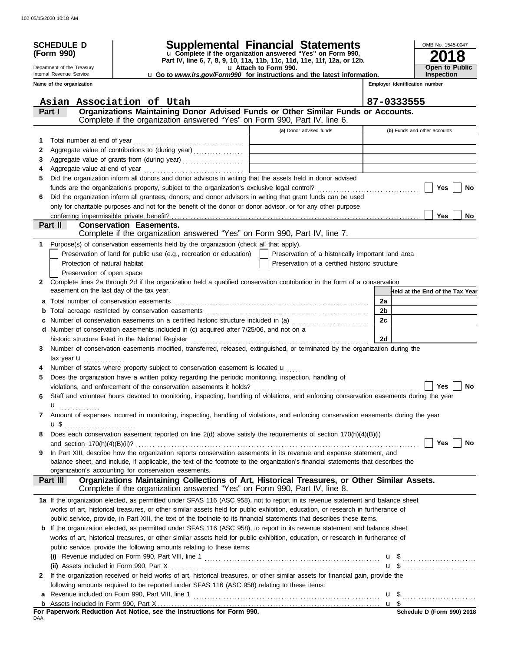|        | <b>SCHEDULE D</b>                                      |                                                                                                                                                                                                                  | Supplemental Financial Statements                                                                 |                                | OMB No. 1545-0047                   |
|--------|--------------------------------------------------------|------------------------------------------------------------------------------------------------------------------------------------------------------------------------------------------------------------------|---------------------------------------------------------------------------------------------------|--------------------------------|-------------------------------------|
|        | (Form 990)                                             |                                                                                                                                                                                                                  | u Complete if the organization answered "Yes" on Form 990,                                        |                                |                                     |
|        |                                                        |                                                                                                                                                                                                                  | Part IV, line 6, 7, 8, 9, 10, 11a, 11b, 11c, 11d, 11e, 11f, 12a, or 12b.                          |                                |                                     |
|        | Department of the Treasury<br>Internal Revenue Service |                                                                                                                                                                                                                  | u Attach to Form 990.<br>u Go to www.irs.gov/Form990 for instructions and the latest information. |                                | <b>Open to Public</b><br>Inspection |
|        | Name of the organization                               |                                                                                                                                                                                                                  |                                                                                                   | Employer identification number |                                     |
|        |                                                        |                                                                                                                                                                                                                  |                                                                                                   |                                |                                     |
|        |                                                        | Asian Association of Utah<br>Organizations Maintaining Donor Advised Funds or Other Similar Funds or Accounts.                                                                                                   |                                                                                                   | 87-0333555                     |                                     |
|        | Part I                                                 | Complete if the organization answered "Yes" on Form 990, Part IV, line 6.                                                                                                                                        |                                                                                                   |                                |                                     |
|        |                                                        |                                                                                                                                                                                                                  | (a) Donor advised funds                                                                           | (b) Funds and other accounts   |                                     |
| 1      |                                                        |                                                                                                                                                                                                                  |                                                                                                   |                                |                                     |
| 2<br>3 |                                                        | Aggregate value of contributions to (during year)                                                                                                                                                                |                                                                                                   |                                |                                     |
| 4      |                                                        |                                                                                                                                                                                                                  |                                                                                                   |                                |                                     |
| 5      |                                                        | Did the organization inform all donors and donor advisors in writing that the assets held in donor advised                                                                                                       |                                                                                                   |                                |                                     |
|        |                                                        |                                                                                                                                                                                                                  |                                                                                                   |                                | Yes<br>No                           |
| 6      |                                                        | Did the organization inform all grantees, donors, and donor advisors in writing that grant funds can be used                                                                                                     |                                                                                                   |                                |                                     |
|        |                                                        | only for charitable purposes and not for the benefit of the donor or donor advisor, or for any other purpose                                                                                                     |                                                                                                   |                                |                                     |
|        |                                                        |                                                                                                                                                                                                                  |                                                                                                   |                                | <b>Yes</b><br>No.                   |
|        | Part II                                                | <b>Conservation Easements.</b>                                                                                                                                                                                   |                                                                                                   |                                |                                     |
|        |                                                        | Complete if the organization answered "Yes" on Form 990, Part IV, line 7.                                                                                                                                        |                                                                                                   |                                |                                     |
|        |                                                        | 1 Purpose(s) of conservation easements held by the organization (check all that apply).                                                                                                                          |                                                                                                   |                                |                                     |
|        | Protection of natural habitat                          | Preservation of land for public use (e.g., recreation or education)                                                                                                                                              | Preservation of a historically important land area                                                |                                |                                     |
|        | Preservation of open space                             |                                                                                                                                                                                                                  | Preservation of a certified historic structure                                                    |                                |                                     |
| 2      |                                                        | Complete lines 2a through 2d if the organization held a qualified conservation contribution in the form of a conservation                                                                                        |                                                                                                   |                                |                                     |
|        | easement on the last day of the tax year.              |                                                                                                                                                                                                                  |                                                                                                   |                                | Held at the End of the Tax Year     |
|        |                                                        |                                                                                                                                                                                                                  |                                                                                                   | 2a                             |                                     |
| b      |                                                        |                                                                                                                                                                                                                  |                                                                                                   | 2 <sub>b</sub>                 |                                     |
| c      |                                                        | Number of conservation easements on a certified historic structure included in (a) <i>manumeron</i> conservation                                                                                                 |                                                                                                   | 2c                             |                                     |
|        |                                                        | d Number of conservation easements included in (c) acquired after 7/25/06, and not on a                                                                                                                          |                                                                                                   |                                |                                     |
|        |                                                        | historic structure listed in the National Register                                                                                                                                                               |                                                                                                   | 2d                             |                                     |
| 3      |                                                        | Number of conservation easements modified, transferred, released, extinguished, or terminated by the organization during the                                                                                     |                                                                                                   |                                |                                     |
|        | tax year $\mathbf{u}$                                  |                                                                                                                                                                                                                  |                                                                                                   |                                |                                     |
|        |                                                        | Number of states where property subject to conservation easement is located u                                                                                                                                    |                                                                                                   |                                |                                     |
| 5      |                                                        | Does the organization have a written policy regarding the periodic monitoring, inspection, handling of                                                                                                           |                                                                                                   |                                |                                     |
| 6      |                                                        | violations, and enforcement of the conservation easements it holds?<br>Staff and volunteer hours devoted to monitoring, inspecting, handling of violations, and enforcing conservation easements during the year |                                                                                                   |                                | Yes<br>No                           |
|        | u                                                      |                                                                                                                                                                                                                  |                                                                                                   |                                |                                     |
| 7      |                                                        | Amount of expenses incurred in monitoring, inspecting, handling of violations, and enforcing conservation easements during the year                                                                              |                                                                                                   |                                |                                     |
|        |                                                        |                                                                                                                                                                                                                  |                                                                                                   |                                |                                     |
| 8      |                                                        | Does each conservation easement reported on line 2(d) above satisfy the requirements of section 170(h)(4)(B)(i)                                                                                                  |                                                                                                   |                                |                                     |
|        |                                                        |                                                                                                                                                                                                                  |                                                                                                   |                                | <b>Yes</b><br>No                    |
| 9      |                                                        | In Part XIII, describe how the organization reports conservation easements in its revenue and expense statement, and                                                                                             |                                                                                                   |                                |                                     |
|        |                                                        | balance sheet, and include, if applicable, the text of the footnote to the organization's financial statements that describes the                                                                                |                                                                                                   |                                |                                     |
|        |                                                        | organization's accounting for conservation easements.                                                                                                                                                            |                                                                                                   |                                |                                     |
|        | Part III                                               | Organizations Maintaining Collections of Art, Historical Treasures, or Other Similar Assets.<br>Complete if the organization answered "Yes" on Form 990, Part IV, line 8.                                        |                                                                                                   |                                |                                     |
|        |                                                        | 1a If the organization elected, as permitted under SFAS 116 (ASC 958), not to report in its revenue statement and balance sheet                                                                                  |                                                                                                   |                                |                                     |
|        |                                                        | works of art, historical treasures, or other similar assets held for public exhibition, education, or research in furtherance of                                                                                 |                                                                                                   |                                |                                     |
|        |                                                        | public service, provide, in Part XIII, the text of the footnote to its financial statements that describes these items.                                                                                          |                                                                                                   |                                |                                     |
|        |                                                        | <b>b</b> If the organization elected, as permitted under SFAS 116 (ASC 958), to report in its revenue statement and balance sheet                                                                                |                                                                                                   |                                |                                     |
|        |                                                        | works of art, historical treasures, or other similar assets held for public exhibition, education, or research in furtherance of                                                                                 |                                                                                                   |                                |                                     |
|        |                                                        | public service, provide the following amounts relating to these items:                                                                                                                                           |                                                                                                   |                                |                                     |
|        |                                                        |                                                                                                                                                                                                                  |                                                                                                   |                                |                                     |
| 2      | (ii) Assets included in Form 990, Part X               | If the organization received or held works of art, historical treasures, or other similar assets for financial gain, provide the                                                                                 |                                                                                                   |                                |                                     |
|        |                                                        | following amounts required to be reported under SFAS 116 (ASC 958) relating to these items:                                                                                                                      |                                                                                                   |                                |                                     |
|        |                                                        | a Revenue included on Form 990, Part VIII, line 1                                                                                                                                                                |                                                                                                   |                                |                                     |
|        |                                                        |                                                                                                                                                                                                                  |                                                                                                   |                                |                                     |
|        |                                                        |                                                                                                                                                                                                                  |                                                                                                   |                                |                                     |

**For Paperwork Reduction Act Notice, see the Instructions for Form 990.**<br><sub>DAA</sub>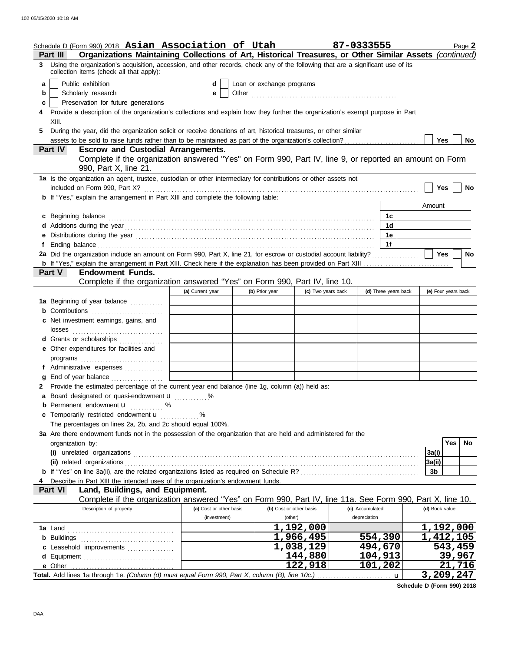|                 | Schedule D (Form 990) 2018 Asian Association of Utah                                                                                                                                                                           |                         |                           |                         | 87-0333555           | Page 2                 |
|-----------------|--------------------------------------------------------------------------------------------------------------------------------------------------------------------------------------------------------------------------------|-------------------------|---------------------------|-------------------------|----------------------|------------------------|
| <b>Part III</b> | Organizations Maintaining Collections of Art, Historical Treasures, or Other Similar Assets (continued)                                                                                                                        |                         |                           |                         |                      |                        |
|                 | 3 Using the organization's acquisition, accession, and other records, check any of the following that are a significant use of its<br>collection items (check all that apply):                                                 |                         |                           |                         |                      |                        |
| a               | Public exhibition                                                                                                                                                                                                              | d                       | Loan or exchange programs |                         |                      |                        |
| b               | Scholarly research                                                                                                                                                                                                             | е                       |                           |                         |                      |                        |
| c               | Preservation for future generations                                                                                                                                                                                            |                         |                           |                         |                      |                        |
|                 | Provide a description of the organization's collections and explain how they further the organization's exempt purpose in Part                                                                                                 |                         |                           |                         |                      |                        |
| 5.              | XIII.<br>During the year, did the organization solicit or receive donations of art, historical treasures, or other similar                                                                                                     |                         |                           |                         |                      |                        |
|                 |                                                                                                                                                                                                                                |                         |                           |                         |                      | Yes  <br>No            |
|                 | Part IV<br><b>Escrow and Custodial Arrangements.</b>                                                                                                                                                                           |                         |                           |                         |                      |                        |
|                 | Complete if the organization answered "Yes" on Form 990, Part IV, line 9, or reported an amount on Form<br>990, Part X, line 21.                                                                                               |                         |                           |                         |                      |                        |
|                 | 1a Is the organization an agent, trustee, custodian or other intermediary for contributions or other assets not                                                                                                                |                         |                           |                         |                      |                        |
|                 | included on Form 990, Part X?                                                                                                                                                                                                  |                         |                           |                         |                      | Yes<br>No              |
|                 | <b>b</b> If "Yes," explain the arrangement in Part XIII and complete the following table:                                                                                                                                      |                         |                           |                         |                      |                        |
|                 |                                                                                                                                                                                                                                |                         |                           |                         |                      | Amount                 |
|                 | c Beginning balance                                                                                                                                                                                                            |                         |                           |                         | 1c                   |                        |
|                 |                                                                                                                                                                                                                                |                         |                           |                         | 1d                   |                        |
|                 | e Distributions during the year manufactured contains and the year manufactured with the set of the set of the set of the set of the set of the set of the set of the set of the set of the set of the set of the set of the s |                         |                           |                         | 1e<br>1f             |                        |
|                 | 2a Did the organization include an amount on Form 990, Part X, line 21, for escrow or custodial account liability?                                                                                                             |                         |                           |                         |                      | Yes<br><b>No</b>       |
|                 |                                                                                                                                                                                                                                |                         |                           |                         |                      |                        |
|                 | <b>Endowment Funds.</b><br>Part V                                                                                                                                                                                              |                         |                           |                         |                      |                        |
|                 | Complete if the organization answered "Yes" on Form 990, Part IV, line 10.                                                                                                                                                     |                         |                           |                         |                      |                        |
|                 |                                                                                                                                                                                                                                | (a) Current year        | (b) Prior year            | (c) Two years back      | (d) Three years back | (e) Four years back    |
|                 | 1a Beginning of year balance                                                                                                                                                                                                   |                         |                           |                         |                      |                        |
|                 | <b>b</b> Contributions <b>contributions</b>                                                                                                                                                                                    |                         |                           |                         |                      |                        |
|                 | c Net investment earnings, gains, and                                                                                                                                                                                          |                         |                           |                         |                      |                        |
|                 | d Grants or scholarships                                                                                                                                                                                                       |                         |                           |                         |                      |                        |
|                 | e Other expenditures for facilities and                                                                                                                                                                                        |                         |                           |                         |                      |                        |
|                 |                                                                                                                                                                                                                                |                         |                           |                         |                      |                        |
|                 | f Administrative expenses                                                                                                                                                                                                      |                         |                           |                         |                      |                        |
|                 |                                                                                                                                                                                                                                |                         |                           |                         |                      |                        |
|                 | 2 Provide the estimated percentage of the current year end balance (line 1g, column (a)) held as:                                                                                                                              |                         |                           |                         |                      |                        |
|                 | a Board designated or quasi-endowment u                                                                                                                                                                                        | %                       |                           |                         |                      |                        |
|                 | <b>b</b> Permanent endowment <b>u</b> %<br>c Temporarily restricted endowment u                                                                                                                                                |                         |                           |                         |                      |                        |
|                 | The percentages on lines 2a, 2b, and 2c should equal 100%.                                                                                                                                                                     | . %                     |                           |                         |                      |                        |
|                 | 3a Are there endowment funds not in the possession of the organization that are held and administered for the                                                                                                                  |                         |                           |                         |                      |                        |
|                 | organization by:                                                                                                                                                                                                               |                         |                           |                         |                      | Yes<br>No              |
|                 |                                                                                                                                                                                                                                |                         |                           |                         |                      | 3a(i)                  |
|                 | (ii) related organizations                                                                                                                                                                                                     |                         |                           |                         |                      | 3a(ii)                 |
|                 |                                                                                                                                                                                                                                |                         |                           |                         |                      | 3b                     |
|                 | Describe in Part XIII the intended uses of the organization's endowment funds.                                                                                                                                                 |                         |                           |                         |                      |                        |
|                 | Part VI<br>Land, Buildings, and Equipment.<br>Complete if the organization answered "Yes" on Form 990, Part IV, line 11a. See Form 990, Part X, line 10.                                                                       |                         |                           |                         |                      |                        |
|                 | Description of property                                                                                                                                                                                                        | (a) Cost or other basis |                           | (b) Cost or other basis | (c) Accumulated      | (d) Book value         |
|                 |                                                                                                                                                                                                                                | (investment)            | (other)                   |                         | depreciation         |                        |
|                 |                                                                                                                                                                                                                                |                         |                           | 1,192,000               |                      | 1,192,000              |
|                 |                                                                                                                                                                                                                                |                         |                           | 1,966,495               | 554,390              | $\overline{1,412,105}$ |
|                 | c Leasehold improvements                                                                                                                                                                                                       |                         |                           | 1,038,129               | 494,670              | 543,459                |
|                 |                                                                                                                                                                                                                                |                         |                           | 144,880                 | 104,913              | 39,967                 |
|                 |                                                                                                                                                                                                                                |                         |                           | 122,918                 | 101,202              | 21,716                 |
|                 |                                                                                                                                                                                                                                |                         |                           |                         | $\mathbf u$          | 3,209,247              |

**Schedule D (Form 990) 2018**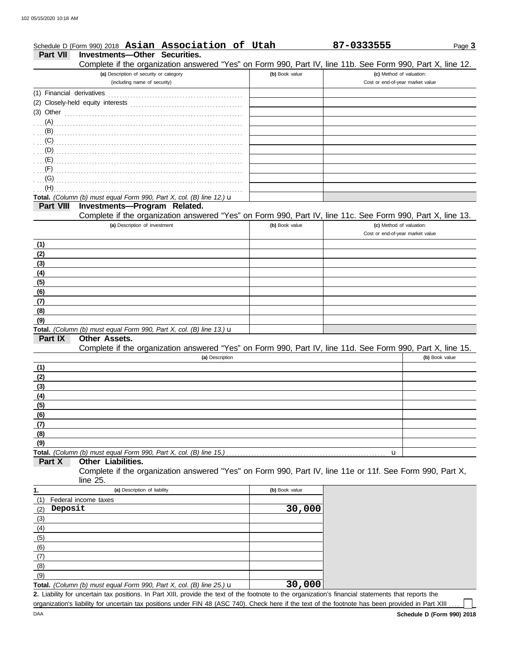### Page **3** Schedule D (Form 990) 2018 **Asian Association of Utah 87-0333555**

## **Part VII Investments—Other Securities.**

Complete if the organization answered "Yes" on Form 990, Part IV, line 11b. See Form 990, Part X, line 12.

| Complete if the organization answered "Yes" on Form 990, Part IV, line 11b. See Form 990, Part X, line 12.<br>(a) Description of security or category | (b) Book value | (c) Method of valuation:         |
|-------------------------------------------------------------------------------------------------------------------------------------------------------|----------------|----------------------------------|
| (including name of security)                                                                                                                          |                | Cost or end-of-year market value |
| (1) Financial derivatives                                                                                                                             |                |                                  |
|                                                                                                                                                       |                |                                  |
| (3) Other $\ldots$ and $\ldots$ and $\ldots$ and $\ldots$ and $\ldots$                                                                                |                |                                  |
|                                                                                                                                                       |                |                                  |
|                                                                                                                                                       |                |                                  |
| (C)                                                                                                                                                   |                |                                  |
| $\Box$ (D)                                                                                                                                            |                |                                  |
| $\overline{E}$ (E)                                                                                                                                    |                |                                  |
| (F)                                                                                                                                                   |                |                                  |
| (G)                                                                                                                                                   |                |                                  |
| (H)<br>Total. (Column (b) must equal Form 990, Part X, col. (B) line 12.) u                                                                           |                |                                  |
| Investments-Program Related.<br>Part VIII                                                                                                             |                |                                  |
| Complete if the organization answered "Yes" on Form 990, Part IV, line 11c. See Form 990, Part X, line 13.                                            |                |                                  |
| (a) Description of investment                                                                                                                         | (b) Book value | (c) Method of valuation:         |
|                                                                                                                                                       |                | Cost or end-of-year market value |
| (1)                                                                                                                                                   |                |                                  |
| (2)                                                                                                                                                   |                |                                  |
| (3)                                                                                                                                                   |                |                                  |
| (4)                                                                                                                                                   |                |                                  |
| (5)                                                                                                                                                   |                |                                  |
| (6)                                                                                                                                                   |                |                                  |
| (7)                                                                                                                                                   |                |                                  |
| (8)                                                                                                                                                   |                |                                  |
| (9)                                                                                                                                                   |                |                                  |
| Total. (Column (b) must equal Form 990, Part X, col. (B) line 13.) u                                                                                  |                |                                  |
| Part IX<br><b>Other Assets.</b>                                                                                                                       |                |                                  |
| Complete if the organization answered "Yes" on Form 990, Part IV, line 11d. See Form 990, Part X, line 15.                                            |                |                                  |
| (a) Description                                                                                                                                       |                | (b) Book value                   |
| (1)                                                                                                                                                   |                |                                  |
| (2)<br>(3)                                                                                                                                            |                |                                  |
| (4)                                                                                                                                                   |                |                                  |
| (5)                                                                                                                                                   |                |                                  |
| (6)                                                                                                                                                   |                |                                  |
| (7)                                                                                                                                                   |                |                                  |
| (8)                                                                                                                                                   |                |                                  |
| (9)                                                                                                                                                   |                |                                  |
|                                                                                                                                                       |                | u                                |
| Part X<br>Other Liabilities.                                                                                                                          |                |                                  |
| Complete if the organization answered "Yes" on Form 990, Part IV, line 11e or 11f. See Form 990, Part X,                                              |                |                                  |
| line $25$ .                                                                                                                                           |                |                                  |
| 1.<br>(a) Description of liability                                                                                                                    | (b) Book value |                                  |
| (1)<br>Federal income taxes                                                                                                                           |                |                                  |
| Deposit<br>(2)                                                                                                                                        | 30,000         |                                  |
| (3)                                                                                                                                                   |                |                                  |
| (4)                                                                                                                                                   |                |                                  |
| (5)                                                                                                                                                   |                |                                  |
| (6)                                                                                                                                                   |                |                                  |
| (7)                                                                                                                                                   |                |                                  |
| (8)                                                                                                                                                   |                |                                  |
|                                                                                                                                                       |                |                                  |
| (9)<br>Total. (Column (b) must equal Form 990, Part X, col. (B) line 25.) $\mathbf u$                                                                 | 30,000         |                                  |

organization's liability for uncertain tax positions under FIN 48 (ASC 740). Check here if the text of the footnote has been provided in Part XIII.

l L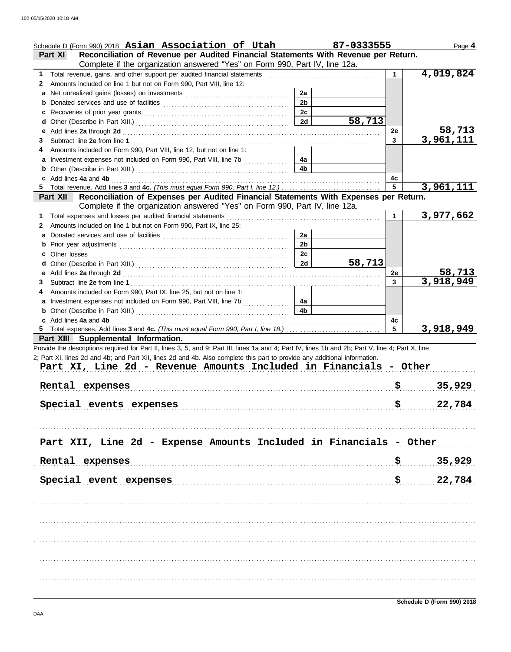|    | Schedule D (Form 990) 2018 Asian Association of Utah                                                                                               |                | 87-0333555 |     | Page 4        |
|----|----------------------------------------------------------------------------------------------------------------------------------------------------|----------------|------------|-----|---------------|
|    | Reconciliation of Revenue per Audited Financial Statements With Revenue per Return.<br><b>Part XI</b>                                              |                |            |     |               |
|    | Complete if the organization answered "Yes" on Form 990, Part IV, line 12a.                                                                        |                |            |     |               |
| 1. | Total revenue, gains, and other support per audited financial statements                                                                           |                |            |     | 4,019,824     |
| 2  | Amounts included on line 1 but not on Form 990, Part VIII, line 12:                                                                                |                |            |     |               |
| a  |                                                                                                                                                    | 2a             |            |     |               |
| b  |                                                                                                                                                    | 2 <sub>b</sub> |            |     |               |
| c  |                                                                                                                                                    | 2c             |            |     |               |
| d  |                                                                                                                                                    | 2d             | 58,713     |     |               |
| е  |                                                                                                                                                    |                |            | 2e  | <u>58,713</u> |
| 3  |                                                                                                                                                    |                |            | 3   | 3,961,111     |
| 4  | Amounts included on Form 990, Part VIII, line 12, but not on line 1:                                                                               |                |            |     |               |
| a  | Investment expenses not included on Form 990, Part VIII, line 7b [[[[[[[[[[[[[[[[[[[[[[[[]]]]]]]]]                                                 | 4a             |            |     |               |
| b  |                                                                                                                                                    | 4b             |            |     |               |
|    | Add lines 4a and 4b                                                                                                                                |                |            | 4c  |               |
| 5  |                                                                                                                                                    |                |            | 5   | 3,961,111     |
|    | Reconciliation of Expenses per Audited Financial Statements With Expenses per Return.<br><b>Part XII</b>                                           |                |            |     |               |
|    | Complete if the organization answered "Yes" on Form 990, Part IV, line 12a.                                                                        |                |            |     |               |
| 1  | Total expenses and losses per audited financial statements                                                                                         |                |            | 1   | 3,977,662     |
| 2  | Amounts included on line 1 but not on Form 990, Part IX, line 25:                                                                                  |                |            |     |               |
|    |                                                                                                                                                    | 2a             |            |     |               |
| a  |                                                                                                                                                    | 2 <sub>b</sub> |            |     |               |
| b  |                                                                                                                                                    |                |            |     |               |
|    | Other losses                                                                                                                                       | 2c             | 58,713     |     |               |
| d  |                                                                                                                                                    | 2d             |            |     |               |
| е  |                                                                                                                                                    |                |            | 2e  | 58,713        |
| 3  |                                                                                                                                                    |                |            | 3   | 3,918,949     |
| 4  | Amounts included on Form 990, Part IX, line 25, but not on line 1:                                                                                 |                |            |     |               |
|    |                                                                                                                                                    | 4а             |            |     |               |
|    |                                                                                                                                                    | 4b             |            |     |               |
|    | Add lines 4a and 4b                                                                                                                                |                |            | 4c  |               |
|    |                                                                                                                                                    |                |            | 5   | 3,918,949     |
|    | Part XIII Supplemental Information.                                                                                                                |                |            |     |               |
|    | Provide the descriptions required for Part II, lines 3, 5, and 9; Part III, lines 1a and 4; Part IV, lines 1b and 2b; Part V, line 4; Part X, line |                |            |     |               |
|    | 2; Part XI, lines 2d and 4b; and Part XII, lines 2d and 4b. Also complete this part to provide any additional information.                         |                |            |     |               |
|    | Part XI, Line 2d - Revenue Amounts Included in Financials - Other                                                                                  |                |            |     |               |
|    |                                                                                                                                                    |                |            |     |               |
|    | Rental expenses                                                                                                                                    |                |            |     | 35,929        |
|    |                                                                                                                                                    |                |            |     |               |
|    | Special events expenses                                                                                                                            |                |            | \$  | 22,784        |
|    |                                                                                                                                                    |                |            |     |               |
|    |                                                                                                                                                    |                |            |     |               |
|    |                                                                                                                                                    |                |            |     |               |
|    | Part XII, Line 2d - Expense Amounts Included in Financials - Other                                                                                 |                |            |     |               |
|    |                                                                                                                                                    |                |            |     |               |
|    | Rental expenses                                                                                                                                    |                |            | \$. | 35,929        |
|    |                                                                                                                                                    |                |            |     |               |
|    | Special event expenses                                                                                                                             |                |            | \$  | 22,784        |
|    |                                                                                                                                                    |                |            |     |               |
|    |                                                                                                                                                    |                |            |     |               |
|    |                                                                                                                                                    |                |            |     |               |
|    |                                                                                                                                                    |                |            |     |               |
|    |                                                                                                                                                    |                |            |     |               |
|    |                                                                                                                                                    |                |            |     |               |
|    |                                                                                                                                                    |                |            |     |               |
|    |                                                                                                                                                    |                |            |     |               |
|    |                                                                                                                                                    |                |            |     |               |
|    |                                                                                                                                                    |                |            |     |               |
|    |                                                                                                                                                    |                |            |     |               |
|    |                                                                                                                                                    |                |            |     |               |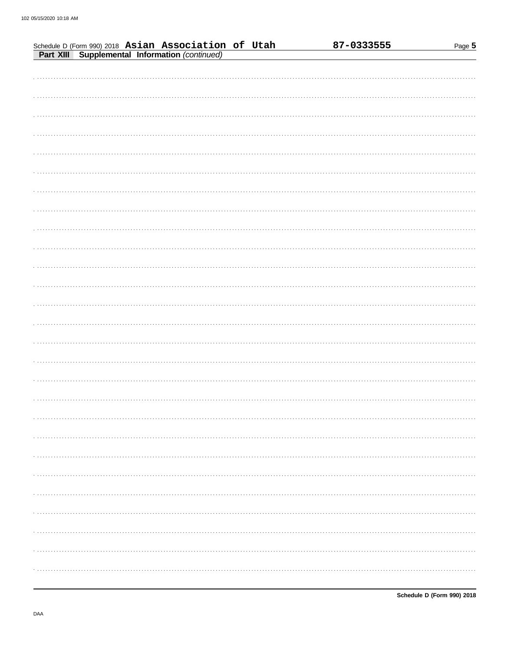| Schedule D (Form 990) 2018 Asian Association of Utah |  |  | 87-0333555 | Page 5 |
|------------------------------------------------------|--|--|------------|--------|
| Part XIII Supplemental Information (continued)       |  |  |            |        |
|                                                      |  |  |            |        |
|                                                      |  |  |            |        |
|                                                      |  |  |            |        |
|                                                      |  |  |            |        |
|                                                      |  |  |            |        |
|                                                      |  |  |            |        |
|                                                      |  |  |            |        |
|                                                      |  |  |            |        |
|                                                      |  |  |            |        |
|                                                      |  |  |            |        |
|                                                      |  |  |            |        |
|                                                      |  |  |            |        |
|                                                      |  |  |            |        |
|                                                      |  |  |            |        |
|                                                      |  |  |            |        |
|                                                      |  |  |            |        |
|                                                      |  |  |            |        |
|                                                      |  |  |            |        |
|                                                      |  |  |            |        |
|                                                      |  |  |            |        |
|                                                      |  |  |            |        |
|                                                      |  |  |            |        |
|                                                      |  |  |            |        |
|                                                      |  |  |            |        |
|                                                      |  |  |            |        |
|                                                      |  |  |            |        |
|                                                      |  |  |            |        |
|                                                      |  |  |            |        |
|                                                      |  |  |            |        |
|                                                      |  |  |            |        |
|                                                      |  |  |            |        |
|                                                      |  |  |            |        |
|                                                      |  |  |            |        |
|                                                      |  |  |            |        |
|                                                      |  |  |            | .      |
|                                                      |  |  |            |        |
|                                                      |  |  |            |        |
|                                                      |  |  |            |        |
|                                                      |  |  |            |        |
|                                                      |  |  |            |        |
|                                                      |  |  |            |        |
|                                                      |  |  |            |        |
|                                                      |  |  |            |        |
|                                                      |  |  |            |        |
|                                                      |  |  |            |        |
|                                                      |  |  |            |        |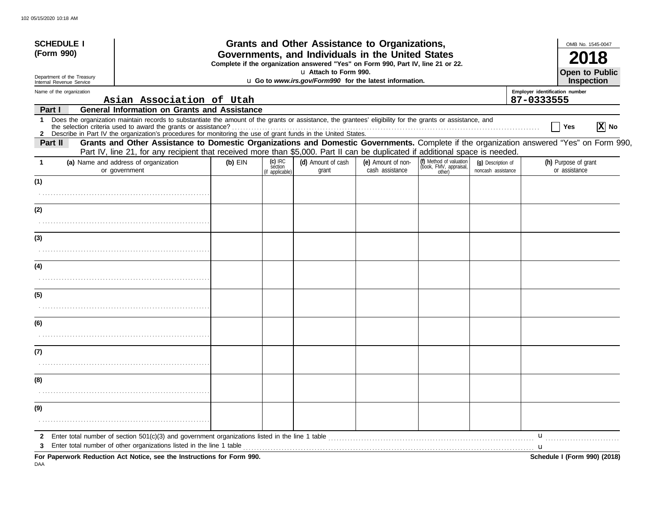| <b>SCHEDULE I</b><br>(Form 990)                        |                                                                                                                                                                                                                                                                               |           |                                         | Grants and Other Assistance to Organizations,<br>Governments, and Individuals in the United States |                                       |                                                             |                                          |                                              | OMB No. 1545-0047                     |          |
|--------------------------------------------------------|-------------------------------------------------------------------------------------------------------------------------------------------------------------------------------------------------------------------------------------------------------------------------------|-----------|-----------------------------------------|----------------------------------------------------------------------------------------------------|---------------------------------------|-------------------------------------------------------------|------------------------------------------|----------------------------------------------|---------------------------------------|----------|
|                                                        | Complete if the organization answered "Yes" on Form 990, Part IV, line 21 or 22.<br>u Attach to Form 990.                                                                                                                                                                     |           |                                         |                                                                                                    |                                       |                                                             |                                          | <b>Open to Public</b>                        |                                       |          |
| Department of the Treasury<br>Internal Revenue Service |                                                                                                                                                                                                                                                                               |           |                                         | u Go to www.irs.gov/Form990 for the latest information.                                            |                                       |                                                             |                                          | Inspection                                   |                                       |          |
| Name of the organization                               | Asian Association of Utah                                                                                                                                                                                                                                                     |           |                                         |                                                                                                    |                                       |                                                             |                                          | Employer identification number<br>87-0333555 |                                       |          |
| Part I                                                 | <b>General Information on Grants and Assistance</b>                                                                                                                                                                                                                           |           |                                         |                                                                                                    |                                       |                                                             |                                          |                                              |                                       |          |
| $\mathbf{1}$                                           | Does the organization maintain records to substantiate the amount of the grants or assistance, the grantees' eligibility for the grants or assistance, and<br>2 Describe in Part IV the organization's procedures for monitoring the use of grant funds in the United States. |           |                                         |                                                                                                    |                                       |                                                             |                                          |                                              | Yes                                   | $ X $ No |
| Part II                                                | Grants and Other Assistance to Domestic Organizations and Domestic Governments. Complete if the organization answered "Yes" on Form 990,<br>Part IV, line 21, for any recipient that received more than \$5,000. Part II can be duplicated if additional space is needed.     |           |                                         |                                                                                                    |                                       |                                                             |                                          |                                              |                                       |          |
|                                                        | (a) Name and address of organization<br>or government                                                                                                                                                                                                                         | $(b)$ EIN | $(c)$ IRC<br>section<br>(if applicable) | (d) Amount of cash<br>grant                                                                        | (e) Amount of non-<br>cash assistance | (f) Method of valuation<br>(book, FMV, appraisal,<br>other) | (q) Description of<br>noncash assistance |                                              | (h) Purpose of grant<br>or assistance |          |
| (1)                                                    |                                                                                                                                                                                                                                                                               |           |                                         |                                                                                                    |                                       |                                                             |                                          |                                              |                                       |          |
| (2)                                                    |                                                                                                                                                                                                                                                                               |           |                                         |                                                                                                    |                                       |                                                             |                                          |                                              |                                       |          |
|                                                        |                                                                                                                                                                                                                                                                               |           |                                         |                                                                                                    |                                       |                                                             |                                          |                                              |                                       |          |
| (3)                                                    |                                                                                                                                                                                                                                                                               |           |                                         |                                                                                                    |                                       |                                                             |                                          |                                              |                                       |          |
|                                                        |                                                                                                                                                                                                                                                                               |           |                                         |                                                                                                    |                                       |                                                             |                                          |                                              |                                       |          |
| (4)                                                    |                                                                                                                                                                                                                                                                               |           |                                         |                                                                                                    |                                       |                                                             |                                          |                                              |                                       |          |
| (5)                                                    |                                                                                                                                                                                                                                                                               |           |                                         |                                                                                                    |                                       |                                                             |                                          |                                              |                                       |          |
|                                                        |                                                                                                                                                                                                                                                                               |           |                                         |                                                                                                    |                                       |                                                             |                                          |                                              |                                       |          |
| (6)                                                    |                                                                                                                                                                                                                                                                               |           |                                         |                                                                                                    |                                       |                                                             |                                          |                                              |                                       |          |
|                                                        |                                                                                                                                                                                                                                                                               |           |                                         |                                                                                                    |                                       |                                                             |                                          |                                              |                                       |          |
| (7)                                                    |                                                                                                                                                                                                                                                                               |           |                                         |                                                                                                    |                                       |                                                             |                                          |                                              |                                       |          |
|                                                        |                                                                                                                                                                                                                                                                               |           |                                         |                                                                                                    |                                       |                                                             |                                          |                                              |                                       |          |
| (8)                                                    |                                                                                                                                                                                                                                                                               |           |                                         |                                                                                                    |                                       |                                                             |                                          |                                              |                                       |          |
| (9)                                                    |                                                                                                                                                                                                                                                                               |           |                                         |                                                                                                    |                                       |                                                             |                                          |                                              |                                       |          |
|                                                        |                                                                                                                                                                                                                                                                               |           |                                         |                                                                                                    |                                       |                                                             |                                          |                                              |                                       |          |
| 2                                                      | Enter total number of section 501(c)(3) and government organizations listed in the line 1 table<br>Enter total number of other organizations listed in the line 1 table                                                                                                       |           |                                         |                                                                                                    |                                       |                                                             |                                          | u<br><b>u</b>                                |                                       |          |
|                                                        | For Paperwork Reduction Act Notice, see the Instructions for Form 990.                                                                                                                                                                                                        |           |                                         |                                                                                                    |                                       |                                                             |                                          |                                              | Schedule I (Form 990) (2018)          |          |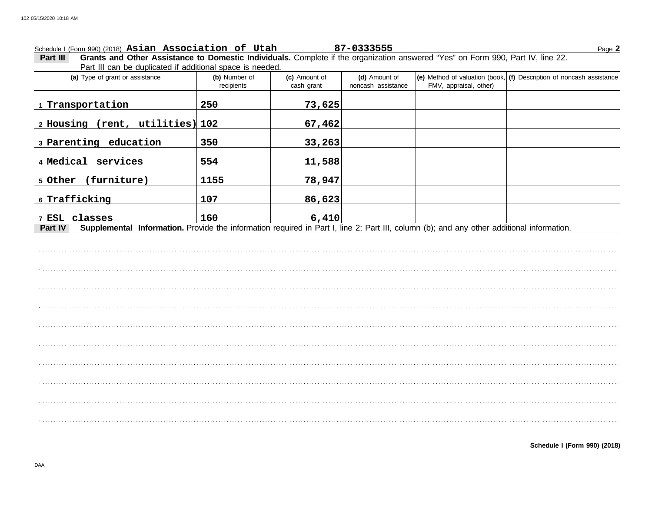Page 2

Schedule I (Form 990) (2018) Asian Association of Utah 87-0333555<br>Part III Grants and Other Assistance to Domestic Individuals. Complete if the organization answered "Yes" on Form 990, Part IV, line 22. Part III can be duplicated if additional space is needed.

| (a) Type of grant or assistance                                                                                                                      | (b) Number of<br>recipients | (c) Amount of<br>cash grant | (d) Amount of<br>noncash assistance | FMV, appraisal, other) | (e) Method of valuation (book, $(f)$ Description of noncash assistance |
|------------------------------------------------------------------------------------------------------------------------------------------------------|-----------------------------|-----------------------------|-------------------------------------|------------------------|------------------------------------------------------------------------|
| Transportation                                                                                                                                       | 250                         | 73,625                      |                                     |                        |                                                                        |
| $(rent, utilities)$ 102<br>2 Housing                                                                                                                 |                             | 67,462                      |                                     |                        |                                                                        |
| education<br>3 Parenting                                                                                                                             | 350                         | 33, 263                     |                                     |                        |                                                                        |
| services<br>4 Medical                                                                                                                                | 554                         | 11,588                      |                                     |                        |                                                                        |
| (furniture)<br>5 Other                                                                                                                               | 1155                        | 78,947                      |                                     |                        |                                                                        |
| 6 Trafficking                                                                                                                                        | 107                         | 86,623                      |                                     |                        |                                                                        |
| 7 ESL classes                                                                                                                                        | 160                         | 6,410                       |                                     |                        |                                                                        |
| Supplemental Information. Provide the information required in Part I, line 2; Part III, column (b); and any other additional information.<br>Part IV |                             |                             |                                     |                        |                                                                        |
|                                                                                                                                                      |                             |                             |                                     |                        |                                                                        |
|                                                                                                                                                      |                             |                             |                                     |                        |                                                                        |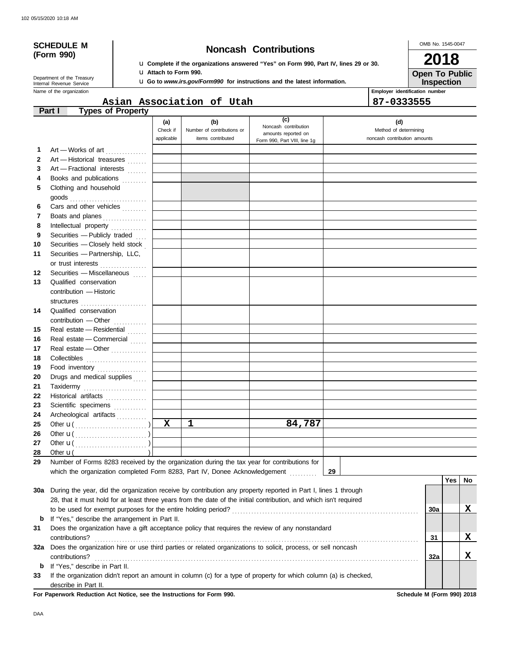# **(Form 990)**

## **SCHEDULE M Noncash Contributions**

u **Complete if the organizations answered "Yes" on Form 990, Part IV, lines 29 or 30.** u **Attach to Form 990.**

u **Go to** *www.irs.gov/Form990* **for instructions and the latest information.**

OMB No. 1545-0047 **2018**

**Iion Open To Public**

**Name of the organization** Internal Revenue Service Department of the Treasury

|                                |  | <b>IIISPEC</b> |
|--------------------------------|--|----------------|
| Employer identification number |  |                |

|              |                                                                                                                    |             | Asian Association of Utah  |                                             | 87-0333555                   |     |            |    |
|--------------|--------------------------------------------------------------------------------------------------------------------|-------------|----------------------------|---------------------------------------------|------------------------------|-----|------------|----|
|              | <b>Types of Property</b><br>Part I                                                                                 |             |                            |                                             |                              |     |            |    |
|              |                                                                                                                    | (a)         | (b)                        | (c)                                         | (d)                          |     |            |    |
|              |                                                                                                                    | Check if    | Number of contributions or | Noncash contribution<br>amounts reported on | Method of determining        |     |            |    |
|              |                                                                                                                    | applicable  | items contributed          | Form 990, Part VIII, line 1g                | noncash contribution amounts |     |            |    |
| 1            | Art - Works of art                                                                                                 |             |                            |                                             |                              |     |            |    |
| $\mathbf{2}$ | Art - Historical treasures                                                                                         |             |                            |                                             |                              |     |            |    |
| 3            | Art - Fractional interests                                                                                         |             |                            |                                             |                              |     |            |    |
| 4            | Books and publications                                                                                             |             |                            |                                             |                              |     |            |    |
| 5            | Clothing and household                                                                                             |             |                            |                                             |                              |     |            |    |
|              |                                                                                                                    |             |                            |                                             |                              |     |            |    |
| 6            | Cars and other vehicles                                                                                            |             |                            |                                             |                              |     |            |    |
| 7            | Boats and planes                                                                                                   |             |                            |                                             |                              |     |            |    |
| 8            | Intellectual property                                                                                              |             |                            |                                             |                              |     |            |    |
| 9            | Securities - Publicly traded                                                                                       |             |                            |                                             |                              |     |            |    |
| 10           | Securities - Closely held stock                                                                                    |             |                            |                                             |                              |     |            |    |
| 11           | Securities - Partnership, LLC,                                                                                     |             |                            |                                             |                              |     |            |    |
|              | or trust interests                                                                                                 |             |                            |                                             |                              |     |            |    |
| 12           | Securities - Miscellaneous                                                                                         |             |                            |                                             |                              |     |            |    |
| 13           | Qualified conservation                                                                                             |             |                            |                                             |                              |     |            |    |
|              | contribution - Historic                                                                                            |             |                            |                                             |                              |     |            |    |
|              |                                                                                                                    |             |                            |                                             |                              |     |            |    |
| 14           | structures<br>Qualified conservation                                                                               |             |                            |                                             |                              |     |            |    |
|              | contribution - Other                                                                                               |             |                            |                                             |                              |     |            |    |
| 15           | Real estate - Residential                                                                                          |             |                            |                                             |                              |     |            |    |
| 16           | Real estate - Commercial                                                                                           |             |                            |                                             |                              |     |            |    |
|              |                                                                                                                    |             |                            |                                             |                              |     |            |    |
| 17           | Real estate - Other                                                                                                |             |                            |                                             |                              |     |            |    |
| 18           |                                                                                                                    |             |                            |                                             |                              |     |            |    |
| 19           | Food inventory                                                                                                     |             |                            |                                             |                              |     |            |    |
| 20           | Drugs and medical supplies                                                                                         |             |                            |                                             |                              |     |            |    |
| 21           | Taxidermy                                                                                                          |             |                            |                                             |                              |     |            |    |
| 22           | Historical artifacts                                                                                               |             |                            |                                             |                              |     |            |    |
| 23           | Scientific specimens                                                                                               |             |                            |                                             |                              |     |            |    |
| 24           | Archeological artifacts                                                                                            |             | $\mathbf{1}$               |                                             |                              |     |            |    |
| 25           |                                                                                                                    | $\mathbf X$ |                            | 84,787                                      |                              |     |            |    |
| 26           |                                                                                                                    |             |                            |                                             |                              |     |            |    |
| 27           |                                                                                                                    |             |                            |                                             |                              |     |            |    |
| 28           | Other $\mathbf{u}$ (<br>- 71                                                                                       |             |                            |                                             |                              |     |            |    |
| 29           | Number of Forms 8283 received by the organization during the tax year for contributions for                        |             |                            |                                             |                              |     |            |    |
|              | which the organization completed Form 8283, Part IV, Donee Acknowledgement                                         |             |                            |                                             | 29                           |     |            |    |
|              |                                                                                                                    |             |                            |                                             |                              |     | <b>Yes</b> | No |
|              | 30a During the year, did the organization receive by contribution any property reported in Part I, lines 1 through |             |                            |                                             |                              |     |            |    |
|              | 28, that it must hold for at least three years from the date of the initial contribution, and which isn't required |             |                            |                                             |                              |     |            |    |
|              | to be used for exempt purposes for the entire holding period?                                                      |             |                            |                                             |                              | 30a |            | X  |
| b            | If "Yes," describe the arrangement in Part II.                                                                     |             |                            |                                             |                              |     |            |    |
| 31           | Does the organization have a gift acceptance policy that requires the review of any nonstandard                    |             |                            |                                             |                              |     |            |    |
|              | contributions?                                                                                                     |             |                            |                                             |                              | 31  |            | X  |
| 32a          | Does the organization hire or use third parties or related organizations to solicit, process, or sell noncash      |             |                            |                                             |                              |     |            |    |

contributions? . . . . . . . . . . . . . . . . . . . . . . . . . . . . . . . . . . . . . . . . . . . . . . . . . . . . . . . . . . . . . . . . . . . . . . . . . . . . . . . . . . . . . . . . . . . . . . . . . . . . . . . . . . . . . . . . . . . . . . **b** If "Yes," describe in Part II. **33** If the organization didn't report an amount in column (c) for a type of property for which column (a) is checked,

describe in Part II.

**For Paperwork Reduction Act Notice, see the Instructions for Form 990. Schedule M (Form 990) 2018**

**32a**

**X**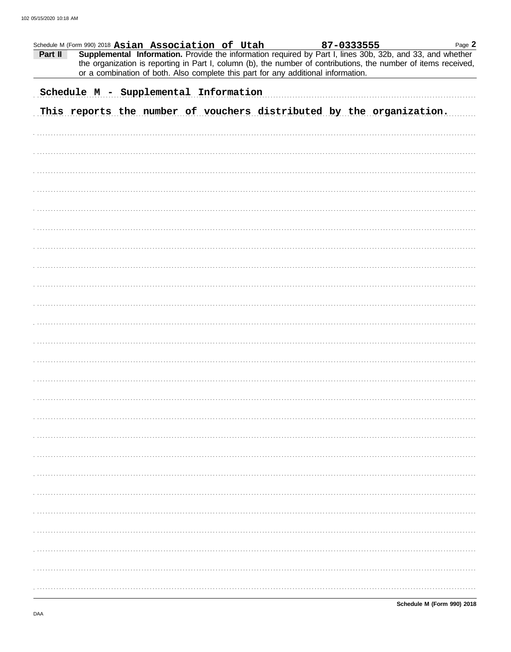| Part II | Schedule M (Form 990) 2018 Asian Association of Utah |  |  | 87-0333555                                                                        |                                                                      | Page 2<br>Supplemental Information. Provide the information required by Part I, lines 30b, 32b, and 33, and whether<br>the organization is reporting in Part I, column (b), the number of contributions, the number of items received, |
|---------|------------------------------------------------------|--|--|-----------------------------------------------------------------------------------|----------------------------------------------------------------------|----------------------------------------------------------------------------------------------------------------------------------------------------------------------------------------------------------------------------------------|
|         |                                                      |  |  | or a combination of both. Also complete this part for any additional information. |                                                                      |                                                                                                                                                                                                                                        |
|         | Schedule M - Supplemental Information                |  |  |                                                                                   |                                                                      |                                                                                                                                                                                                                                        |
|         |                                                      |  |  |                                                                                   | This reports the number of vouchers distributed by the organization. |                                                                                                                                                                                                                                        |
|         |                                                      |  |  |                                                                                   |                                                                      |                                                                                                                                                                                                                                        |
|         |                                                      |  |  |                                                                                   |                                                                      |                                                                                                                                                                                                                                        |
|         |                                                      |  |  |                                                                                   |                                                                      |                                                                                                                                                                                                                                        |
|         |                                                      |  |  |                                                                                   |                                                                      |                                                                                                                                                                                                                                        |
|         |                                                      |  |  |                                                                                   |                                                                      |                                                                                                                                                                                                                                        |
|         |                                                      |  |  |                                                                                   |                                                                      |                                                                                                                                                                                                                                        |
|         |                                                      |  |  |                                                                                   |                                                                      |                                                                                                                                                                                                                                        |
|         |                                                      |  |  |                                                                                   |                                                                      |                                                                                                                                                                                                                                        |
|         |                                                      |  |  |                                                                                   |                                                                      |                                                                                                                                                                                                                                        |
|         |                                                      |  |  |                                                                                   |                                                                      |                                                                                                                                                                                                                                        |
|         |                                                      |  |  |                                                                                   |                                                                      |                                                                                                                                                                                                                                        |
|         |                                                      |  |  |                                                                                   |                                                                      |                                                                                                                                                                                                                                        |
|         |                                                      |  |  |                                                                                   |                                                                      |                                                                                                                                                                                                                                        |
|         |                                                      |  |  |                                                                                   |                                                                      |                                                                                                                                                                                                                                        |
|         |                                                      |  |  |                                                                                   |                                                                      |                                                                                                                                                                                                                                        |
|         |                                                      |  |  |                                                                                   |                                                                      |                                                                                                                                                                                                                                        |
|         |                                                      |  |  |                                                                                   |                                                                      |                                                                                                                                                                                                                                        |
|         |                                                      |  |  |                                                                                   |                                                                      |                                                                                                                                                                                                                                        |
|         |                                                      |  |  |                                                                                   |                                                                      |                                                                                                                                                                                                                                        |
|         |                                                      |  |  |                                                                                   |                                                                      |                                                                                                                                                                                                                                        |
|         |                                                      |  |  |                                                                                   |                                                                      |                                                                                                                                                                                                                                        |
|         |                                                      |  |  |                                                                                   |                                                                      |                                                                                                                                                                                                                                        |
|         |                                                      |  |  |                                                                                   |                                                                      |                                                                                                                                                                                                                                        |
|         |                                                      |  |  |                                                                                   |                                                                      |                                                                                                                                                                                                                                        |
|         |                                                      |  |  |                                                                                   |                                                                      |                                                                                                                                                                                                                                        |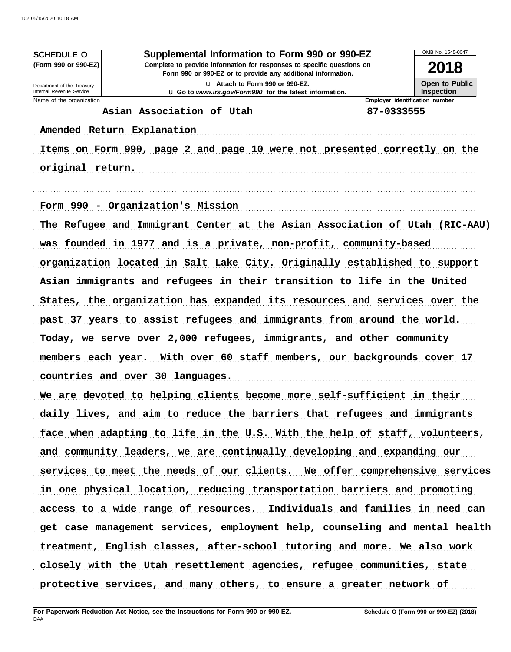| <b>SCHEDULE O</b>                                                           | Supplemental Information to Form 990 or 990-EZ                                                                                         |                                | OMB No. 1545-0047                   |  |  |  |
|-----------------------------------------------------------------------------|----------------------------------------------------------------------------------------------------------------------------------------|--------------------------------|-------------------------------------|--|--|--|
| (Form 990 or 990-EZ)                                                        | Complete to provide information for responses to specific questions on<br>Form 990 or 990-EZ or to provide any additional information. |                                | 2018                                |  |  |  |
| Department of the Treasury<br>Internal Revenue Service                      | u Attach to Form 990 or 990-EZ.<br>u Go to www.irs.gov/Form990 for the latest information.                                             |                                | Open to Public<br><b>Inspection</b> |  |  |  |
| Name of the organization                                                    |                                                                                                                                        | Employer identification number |                                     |  |  |  |
|                                                                             | Asian Association of Utah<br>87-0333555                                                                                                |                                |                                     |  |  |  |
|                                                                             | Amended Return Explanation                                                                                                             |                                |                                     |  |  |  |
|                                                                             | Items on Form 990, page 2 and page 10 were not presented correctly on the                                                              |                                |                                     |  |  |  |
| original return.                                                            |                                                                                                                                        |                                |                                     |  |  |  |
|                                                                             |                                                                                                                                        |                                |                                     |  |  |  |
|                                                                             | Form 990 - Organization's Mission                                                                                                      |                                |                                     |  |  |  |
|                                                                             | The Refugee and Immigrant Center at the Asian Association of Utah (RIC-AAU)                                                            |                                |                                     |  |  |  |
|                                                                             | was founded in 1977 and is a private, non-profit, community-based                                                                      |                                |                                     |  |  |  |
|                                                                             | organization located in Salt Lake City. Originally established to support                                                              |                                |                                     |  |  |  |
|                                                                             | Asian immigrants and refugees in their transition to life in the United                                                                |                                |                                     |  |  |  |
|                                                                             | States, the organization has expanded its resources and services over the                                                              |                                |                                     |  |  |  |
|                                                                             | past 37 years to assist refugees and immigrants from around the world.                                                                 |                                |                                     |  |  |  |
|                                                                             | Today, we serve over 2,000 refugees, immigrants, and other community                                                                   |                                |                                     |  |  |  |
| members each year.                                                          | With over 60 staff members, our backgrounds cover 17                                                                                   |                                |                                     |  |  |  |
|                                                                             | countries and over 30 languages.                                                                                                       |                                |                                     |  |  |  |
|                                                                             | We are devoted to helping clients become more self-sufficient in their                                                                 |                                |                                     |  |  |  |
|                                                                             | daily lives, and aim to reduce the barriers that refugees and immigrants                                                               |                                |                                     |  |  |  |
|                                                                             | face when adapting to life in the U.S. With the help of staff, volunteers,                                                             |                                |                                     |  |  |  |
|                                                                             | and community leaders, we are continually developing and expanding our                                                                 |                                |                                     |  |  |  |
|                                                                             | services to meet the needs of our clients. We offer comprehensive services                                                             |                                |                                     |  |  |  |
| in one physical location, reducing transportation barriers and promoting    |                                                                                                                                        |                                |                                     |  |  |  |
| access to a wide range of resources. Individuals and families in need can   |                                                                                                                                        |                                |                                     |  |  |  |
| get case management services, employment help, counseling and mental health |                                                                                                                                        |                                |                                     |  |  |  |
|                                                                             | treatment, English classes, after-school tutoring and more. We also work                                                               |                                |                                     |  |  |  |
|                                                                             | closely with the Utah resettlement agencies, refugee communities, state                                                                |                                |                                     |  |  |  |
|                                                                             | protective services, and many others, to ensure a greater network of                                                                   |                                |                                     |  |  |  |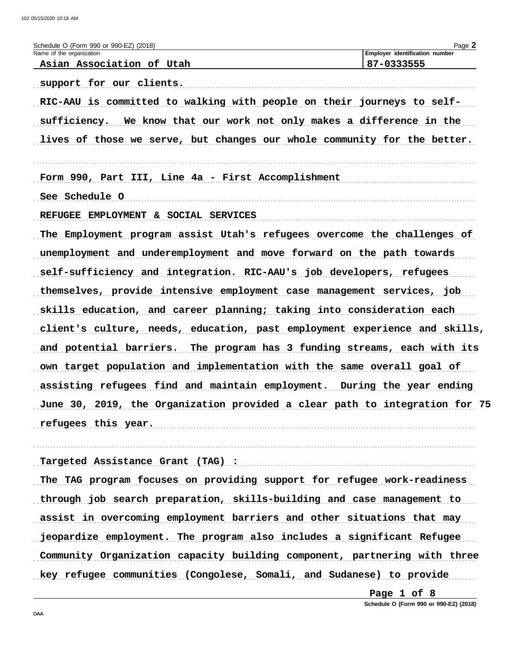| Schedule O (Form 990 or 990-EZ) (2018)                                      | Page 2                                |
|-----------------------------------------------------------------------------|---------------------------------------|
| Name of the organization                                                    | <b>Employer identification number</b> |
| Asian Association of Utah                                                   | 87-0333555                            |
| support for our clients.                                                    |                                       |
| RIC-AAU is committed to walking with people on their journeys to self-      |                                       |
| sufficiency. We know that our work not only makes a difference in the       |                                       |
| lives of those we serve, but changes our whole community for the better.    |                                       |
|                                                                             |                                       |
| Form 990, Part III, Line 4a - First Accomplishment                          |                                       |
| See Schedule O                                                              |                                       |
| REFUGEE EMPLOYMENT & SOCIAL SERVICES                                        |                                       |
| The Employment program assist Utah's refugees overcome the challenges of    |                                       |
| unemployment and underemployment and move forward on the path towards       |                                       |
| self-sufficiency and integration. RIC-AAU's job developers, refugees        |                                       |
| themselves, provide intensive employment case management services, job      |                                       |
| skills education, and career planning; taking into consideration each       |                                       |
| client's culture, needs, education, past employment experience and skills,  |                                       |
| and potential barriers. The program has 3 funding streams, each with its    |                                       |
| own target population and implementation with the same overall goal of      |                                       |
| assisting refugees find and maintain employment. During the year ending     |                                       |
| June 30, 2019, the Organization provided a clear path to integration for 75 |                                       |
| refugees this year.                                                         |                                       |
|                                                                             |                                       |

Targeted Assistance Grant (TAG) :

The TAG program focuses on providing support for refugee work-readiness through job search preparation, skills-building and case management to assist in overcoming employment barriers and other situations that may jeopardize employment. The program also includes a significant Refugee Community Organization capacity building component, partnering with three key refugee communities (Congolese, Somali, and Sudanese) to provide

> Page 1 of 8 Schedule O (Form 990 or 990-EZ) (2018)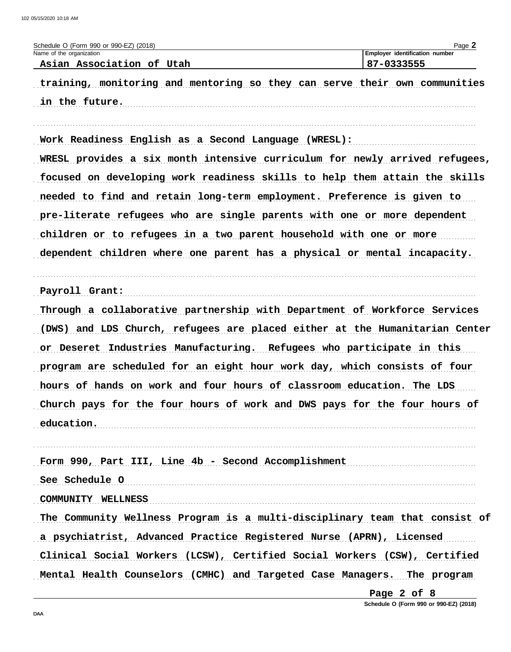| Schedule O (Form 990 or 990-EZ) (2018)<br>Name of the organization          | Page 2<br>Employer identification number |
|-----------------------------------------------------------------------------|------------------------------------------|
| Asian Association of Utah                                                   | 87-0333555                               |
| training, monitoring and mentoring so they can serve their own communities  |                                          |
| in the future.                                                              |                                          |
|                                                                             |                                          |
| Work Readiness English as a Second Language (WRESL):                        |                                          |
| WRESL provides a six month intensive curriculum for newly arrived refugees, |                                          |
| focused on developing work readiness skills to help them attain the skills  |                                          |
| needed to find and retain long-term employment. Preference is given to      |                                          |
| pre-literate refugees who are single parents with one or more dependent     |                                          |
| children or to refugees in a two parent household with one or more          |                                          |
| dependent children where one parent has a physical or mental incapacity.    |                                          |
|                                                                             |                                          |
| Payroll Grant:                                                              |                                          |
| Through a collaborative partnership with Department of Workforce Services   |                                          |
| (DWS) and LDS Church, refugees are placed either at the Humanitarian Center |                                          |
| or Deseret Industries Manufacturing. Refugees who participate in this       |                                          |
| program are scheduled for an eight hour work day, which consists of four    |                                          |
| hours of hands on work and four hours of classroom education. The LDS       |                                          |
| Church pays for the four hours of work and DWS pays for the four hours of   |                                          |
| education.                                                                  |                                          |
|                                                                             |                                          |
| Form 990, Part III, Line 4b - Second Accomplishment                         |                                          |
| See Schedule O                                                              |                                          |
| COMMUNITY WELLNESS                                                          |                                          |
| The Community Wellness Program is a multi-disciplinary team that consist of |                                          |
| a psychiatrist, Advanced Practice Registered Nurse (APRN), Licensed         |                                          |
| Clinical Social Workers (LCSW), Certified Social Workers (CSW), Certified   |                                          |
| Mental Health Counselors (CMHC) and Targeted Case Managers. The program     |                                          |
|                                                                             | Page 2 of 8                              |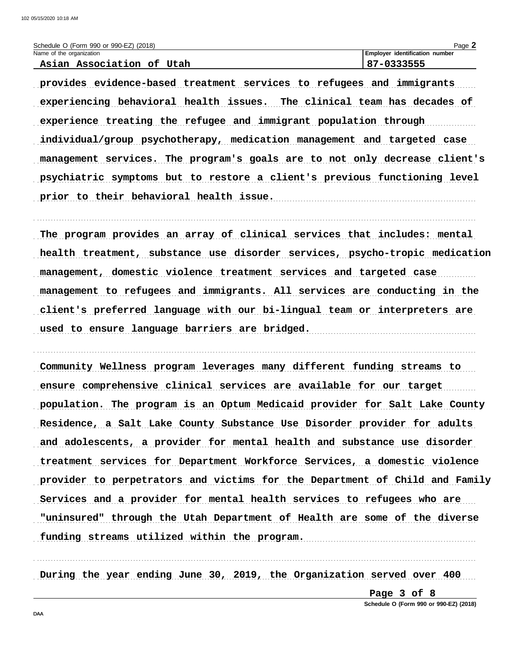| Schedule O (Form 990 or 990-EZ) (2018) | Page                               |
|----------------------------------------|------------------------------------|
| Name of the organization               | identification number<br>∟Emplover |
| Utah<br>Association<br>Asian<br>οË     | ,,,,,,,,,                          |

provides evidence-based treatment services to refugees and immigrants experiencing behavioral health issues. The clinical team has decades of experience treating the refugee and immigrant population through individual/group psychotherapy, medication management and targeted case management services. The program's goals are to not only decrease client's psychiatric symptoms but to restore a client's previous functioning level prior to their behavioral health issue.

The program provides an array of clinical services that includes: mental health treatment, substance use disorder services, psycho-tropic medication management, domestic violence treatment services and targeted case management to refugees and immigrants. All services are conducting in the client's preferred language with our bi-lingual team or interpreters are used to ensure language barriers are bridged.

Community Wellness program leverages many different funding streams to ensure comprehensive clinical services are available for our target population. The program is an Optum Medicaid provider for Salt Lake County Residence, a Salt Lake County Substance Use Disorder provider for adults and adolescents, a provider for mental health and substance use disorder treatment services for Department Workforce Services, a domestic violence provider to perpetrators and victims for the Department of Child and Family Services and a provider for mental health services to refugees who are "uninsured" through the Utah Department of Health are some of the diverse funding streams utilized within the program.

During the year ending June 30, 2019, the Organization served over 400

Page 3 of 8 Schedule O (Form 990 or 990-EZ) (2018)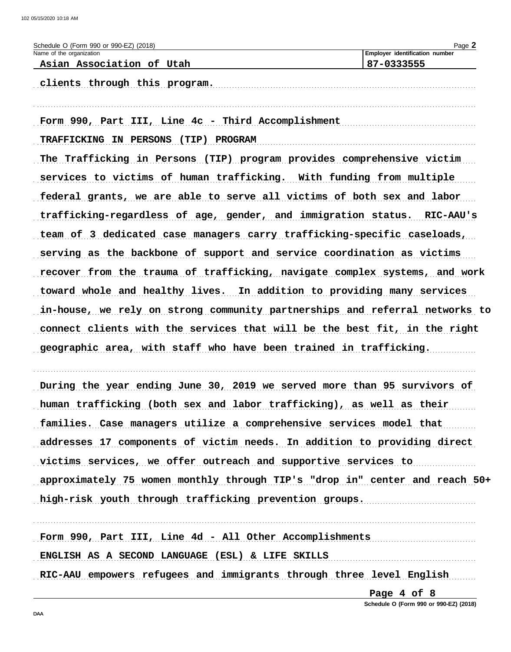| Schedule O (Form 990 or 990-EZ) (2018)                                      | Page 2                         |
|-----------------------------------------------------------------------------|--------------------------------|
| Name of the organization                                                    | Employer identification number |
| Asian Association of Utah                                                   | 87-0333555                     |
| clients through this program.                                               |                                |
|                                                                             |                                |
|                                                                             |                                |
| Form 990, Part III, Line 4c - Third Accomplishment                          |                                |
| TRAFFICKING IN PERSONS (TIP) PROGRAM                                        |                                |
| The Trafficking in Persons (TIP) program provides comprehensive victim      |                                |
| services to victims of human trafficking. With funding from multiple        |                                |
| federal grants, we are able to serve all victims of both sex and labor      |                                |
| trafficking-regardless of age, gender, and immigration status. RIC-AAU's    |                                |
| team of 3 dedicated case managers carry trafficking-specific caseloads,     |                                |
| serving as the backbone of support and service coordination as victims      |                                |
| recover from the trauma of trafficking, navigate complex systems, and work  |                                |
| toward whole and healthy lives. In addition to providing many services      |                                |
| in-house, we rely on strong community partnerships and referral networks to |                                |
| connect clients with the services that will be the best fit, in the right   |                                |
| geographic area, with staff who have been trained in trafficking.           |                                |
|                                                                             |                                |
| During the year ending June 30, 2019 we served more than 95 survivors of    |                                |
|                                                                             |                                |

human trafficking (both sex and labor trafficking), as well as their families. Case managers utilize a comprehensive services model that addresses 17 components of victim needs. In addition to providing direct victims services, we offer outreach and supportive services to approximately 75 women monthly through TIP's "drop in" center and reach 50+ high-risk youth through trafficking prevention groups.

Form 990, Part III, Line 4d - All Other Accomplishments ENGLISH AS A SECOND LANGUAGE (ESL) & LIFE SKILLS RIC-AAU empowers refugees and immigrants through three level English

> Page 4 of 8 Schedule O (Form 990 or 990-EZ) (2018)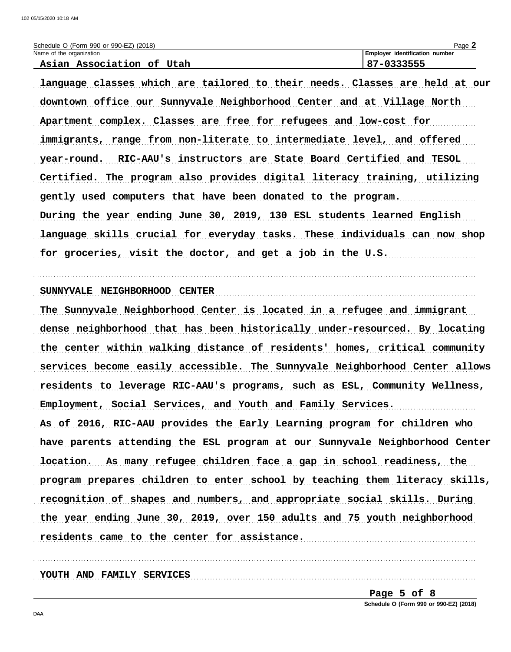| Schedule O (Form 990 or 990-EZ) (2018) | $P$ age $\geq$                        |
|----------------------------------------|---------------------------------------|
| Name of the organization               | <b>Employer identification number</b> |
| Agian Aggociation of<br>$I$ IItah      | 87-0333555                            |

language classes which are tailored to their needs. Classes are held at our downtown office our Sunnyvale Neighborhood Center and at Village North Apartment complex. Classes are free for refugees and low-cost for immigrants, range from non-literate to intermediate level, and offered year-round. RIC-AAU's instructors are State Board Certified and TESOL Certified. The program also provides digital literacy training, utilizing gently used computers that have been donated to the program. During the year ending June 30, 2019, 130 ESL students learned English language skills crucial for everyday tasks. These individuals can now shop for groceries, visit the doctor, and get a job in the U.S.

SUNNYVALE NEIGHBORHOOD CENTER (2000) CENTER (2000) CENTER (2000) CENTER (2000) CENTER (2000) CENTER (2000) CENTER (2000) CENTER (2000) CENTER (2000) CENTER (2000) CENTER (2000) CENTER (2000) CENTER (2000) CENTER (2000) CEN

The Sunnyvale Neighborhood Center is located in a refugee and immigrant dense neighborhood that has been historically under-resourced. By locating the center within walking distance of residents' homes, critical community services become easily accessible. The Sunnyvale Neighborhood Center allows residents to leverage RIC-AAU's programs, such as ESL, Community Wellness, Employment, Social Services, and Youth and Family Services. As of 2016, RIC-AAU provides the Early Learning program for children who have parents attending the ESL program at our Sunnyvale Neighborhood Center location. As many refugee children face a gap in school readiness, the program prepares children to enter school by teaching them literacy skills, recognition of shapes and numbers, and appropriate social skills. During the year ending June 30, 2019, over 150 adults and 75 youth neighborhood residents came to the center for assistance.

YOUTH AND FAMILY SERVICES

Page 5 of 8

Schedule O (Form 990 or 990-EZ) (2018)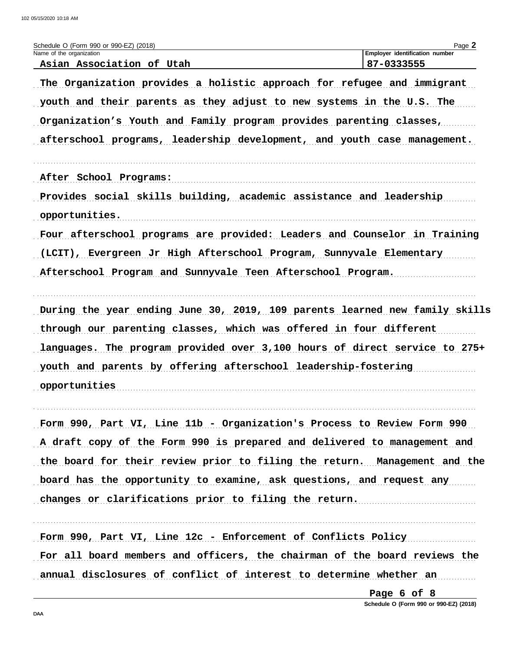| Schedule O (Form 990 or 990-EZ) (2018)                                                                                                                                                                                                                                                                                                                                                                                                                                                                                                                                                                  | Page 2                         |
|---------------------------------------------------------------------------------------------------------------------------------------------------------------------------------------------------------------------------------------------------------------------------------------------------------------------------------------------------------------------------------------------------------------------------------------------------------------------------------------------------------------------------------------------------------------------------------------------------------|--------------------------------|
| Name of the organization                                                                                                                                                                                                                                                                                                                                                                                                                                                                                                                                                                                | Employer identification number |
| Asian Association of Utah<br>The Organization provides a holistic approach for refugee and immigrant<br>youth and their parents as they adjust to new systems in the U.S. The<br>Organization's Youth and Family program provides parenting classes,<br>afterschool programs, leadership development, and youth case management.<br>After School Programs:<br>Provides social skills building, academic assistance and leadership<br>opportunities.<br>Four afterschool programs are provided: Leaders and Counselor in Training<br>(LCIT), Evergreen Jr High Afterschool Program, Sunnyvale Elementary | 87-0333555                     |
|                                                                                                                                                                                                                                                                                                                                                                                                                                                                                                                                                                                                         |                                |
| Afterschool Program and Sunnyvale Teen Afterschool Program.                                                                                                                                                                                                                                                                                                                                                                                                                                                                                                                                             |                                |
| During the year ending June 30, 2019, 109 parents learned new family skills                                                                                                                                                                                                                                                                                                                                                                                                                                                                                                                             |                                |
| through our parenting classes, which was offered in four different                                                                                                                                                                                                                                                                                                                                                                                                                                                                                                                                      |                                |
| languages. The program provided over 3,100 hours of direct service to 275+                                                                                                                                                                                                                                                                                                                                                                                                                                                                                                                              |                                |
| youth and parents by offering afterschool leadership-fostering                                                                                                                                                                                                                                                                                                                                                                                                                                                                                                                                          |                                |
| opportunities                                                                                                                                                                                                                                                                                                                                                                                                                                                                                                                                                                                           |                                |
| Form 990, Part VI, Line 11b - Organization's Process to Review Form 990                                                                                                                                                                                                                                                                                                                                                                                                                                                                                                                                 |                                |
| A draft copy of the Form 990 is prepared and delivered to management and                                                                                                                                                                                                                                                                                                                                                                                                                                                                                                                                |                                |
| the board for their review prior to filing the return. Management and the                                                                                                                                                                                                                                                                                                                                                                                                                                                                                                                               |                                |
| board has the opportunity to examine, ask questions, and request any                                                                                                                                                                                                                                                                                                                                                                                                                                                                                                                                    |                                |
| changes or clarifications prior to filing the return.                                                                                                                                                                                                                                                                                                                                                                                                                                                                                                                                                   |                                |
| Form 990, Part VI, Line 12c - Enforcement of Conflicts Policy                                                                                                                                                                                                                                                                                                                                                                                                                                                                                                                                           |                                |

For all board members and officers, the chairman of the board reviews the annual disclosures of conflict of interest to determine whether an

> Page 6 of 8 Schedule O (Form 990 or 990-EZ) (2018)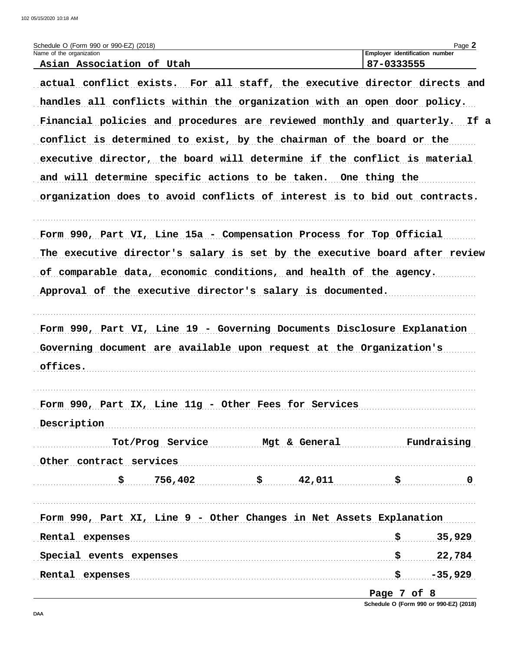| Schedule O (Form 990 or 990-EZ) (2018)                                     | Page 2                                       |
|----------------------------------------------------------------------------|----------------------------------------------|
| Name of the organization<br>Asian Association of Utah                      | Employer identification number<br>87-0333555 |
| actual conflict exists. For all staff, the executive director directs and  |                                              |
| handles all conflicts within the organization with an open door policy.    |                                              |
| Financial policies and procedures are reviewed monthly and quarterly. If a |                                              |
| conflict is determined to exist, by the chairman of the board or the       |                                              |
| executive director, the board will determine if the conflict is material   |                                              |
| and will determine specific actions to be taken. One thing the             |                                              |
|                                                                            |                                              |
| organization does to avoid conflicts of interest is to bid out contracts.  |                                              |
| Form 990, Part VI, Line 15a - Compensation Process for Top Official        |                                              |
| The executive director's salary is set by the executive board after review |                                              |
| of comparable data, economic conditions, and health of the agency.         |                                              |
| Approval of the executive director's salary is documented.                 |                                              |
|                                                                            |                                              |
| Form 990, Part VI, Line 19 - Governing Documents Disclosure Explanation    |                                              |
| Governing document are available upon request at the Organization's        |                                              |
| offices.                                                                   |                                              |
|                                                                            |                                              |
| Form 990, Part IX, Line 11g - Other Fees for Services                      |                                              |
| Description                                                                |                                              |
|                                                                            | Tot/Prog Service Mgt & General Fundraising   |
| Other contract services                                                    |                                              |
| $\frac{1}{5}$ 756,402 $\frac{1}{5}$ 42,011 $\frac{1}{5}$ 9                 |                                              |
|                                                                            |                                              |
| Form 990, Part XI, Line 9 - Other Changes in Net Assets Explanation        |                                              |
| Rental expenses                                                            | $\frac{1}{5}$ 35,929                         |
| Special events expenses Special events expenses                            | $\frac{1}{5}$ 22,784                         |
| Rental expenses                                                            | \$P\$5,929                                   |
|                                                                            | Page 7 of 8                                  |

Schedule O (Form 990 or 990-EZ) (2018)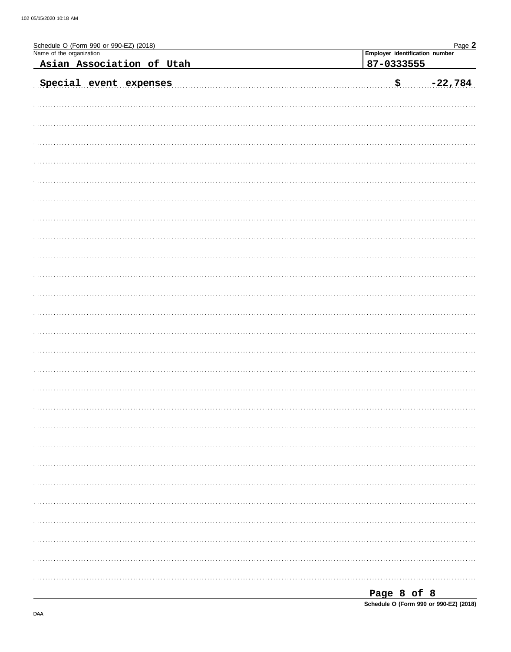| Schedule O (Form 990 or 990-EZ) (2018)<br>Name of the organization<br>Employer identification number |                           |           |  |
|------------------------------------------------------------------------------------------------------|---------------------------|-----------|--|
|                                                                                                      | 87-0333555                |           |  |
| Asian Association of Utah                                                                            |                           |           |  |
| Special event expenses                                                                               | $\boldsymbol{\mathsf{S}}$ | $-22,784$ |  |
|                                                                                                      |                           |           |  |
|                                                                                                      |                           |           |  |
|                                                                                                      |                           |           |  |
|                                                                                                      |                           |           |  |
|                                                                                                      |                           |           |  |
|                                                                                                      |                           |           |  |
|                                                                                                      |                           |           |  |
|                                                                                                      |                           |           |  |
|                                                                                                      |                           |           |  |
|                                                                                                      |                           |           |  |
|                                                                                                      |                           |           |  |
|                                                                                                      |                           |           |  |
|                                                                                                      |                           |           |  |
|                                                                                                      |                           |           |  |
|                                                                                                      |                           |           |  |
|                                                                                                      |                           |           |  |
|                                                                                                      |                           |           |  |
|                                                                                                      |                           |           |  |
|                                                                                                      |                           |           |  |
|                                                                                                      |                           |           |  |
|                                                                                                      |                           |           |  |
|                                                                                                      |                           |           |  |
|                                                                                                      |                           |           |  |
|                                                                                                      |                           |           |  |
|                                                                                                      |                           |           |  |
|                                                                                                      |                           |           |  |
|                                                                                                      |                           |           |  |
|                                                                                                      |                           |           |  |
|                                                                                                      |                           |           |  |
|                                                                                                      |                           |           |  |
|                                                                                                      |                           |           |  |
|                                                                                                      |                           |           |  |
|                                                                                                      |                           |           |  |
|                                                                                                      |                           |           |  |
|                                                                                                      |                           |           |  |
|                                                                                                      |                           |           |  |
|                                                                                                      |                           |           |  |
|                                                                                                      |                           |           |  |
|                                                                                                      |                           |           |  |
|                                                                                                      |                           |           |  |
|                                                                                                      |                           |           |  |